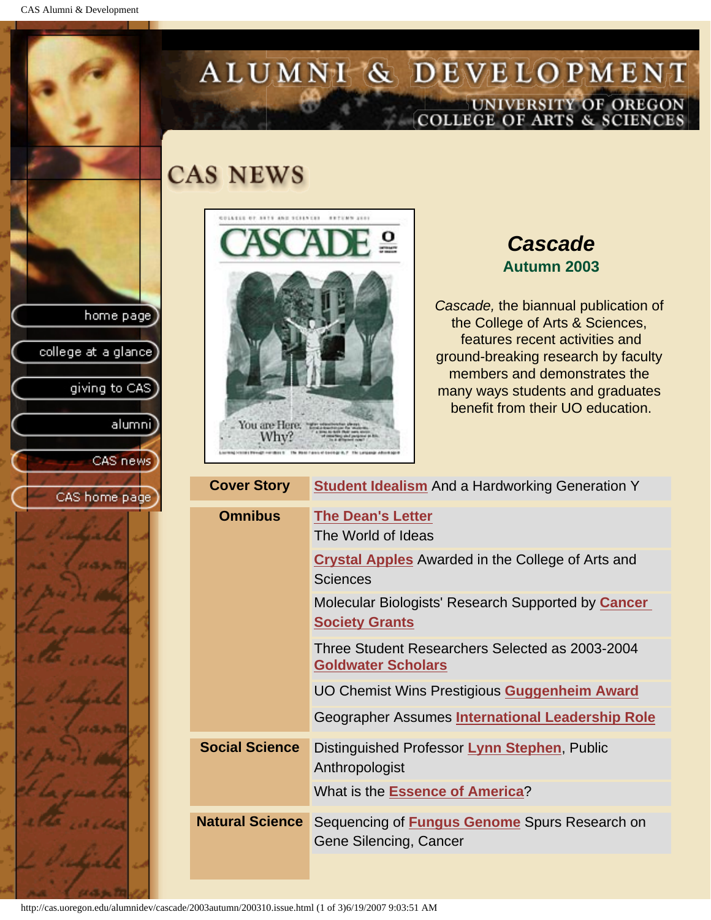CAS Alumni & Development

home page

college at a glance

giving to CAS

alumni]

CAS news

CAS home page

# ALUMNI & DEVELOPMENT UNIVERSITY OF OREGON<br>COLLEGE OF ARTS & SCIENCES

## **CAS NEWS**



## *Cascade* **Autumn 2003**

*Cascade,* the biannual publication of the College of Arts & Sciences, features recent activities and ground-breaking research by faculty members and demonstrates the many ways students and graduates benefit from their UO education.

| <b>Cover Story</b>     | <b>Student Idealism</b> And a Hardworking Generation Y                         |
|------------------------|--------------------------------------------------------------------------------|
| <b>Omnibus</b>         | <b>The Dean's Letter</b><br>The World of Ideas                                 |
|                        | <b>Crystal Apples</b> Awarded in the College of Arts and<br>Sciences           |
|                        | Molecular Biologists' Research Supported by Cancer<br><b>Society Grants</b>    |
|                        | Three Student Researchers Selected as 2003-2004<br><b>Goldwater Scholars</b>   |
|                        | UO Chemist Wins Prestigious Guggenheim Award                                   |
|                        | Geographer Assumes International Leadership Role                               |
| <b>Social Science</b>  | Distinguished Professor Lynn Stephen, Public<br>Anthropologist                 |
|                        | What is the Essence of America?                                                |
| <b>Natural Science</b> | Sequencing of <b>Fungus Genome</b> Spurs Research on<br>Gene Silencing, Cancer |
|                        |                                                                                |

http://cas.uoregon.edu/alumnidev/cascade/2003autumn/200310.issue.html (1 of 3)6/19/2007 9:03:51 AM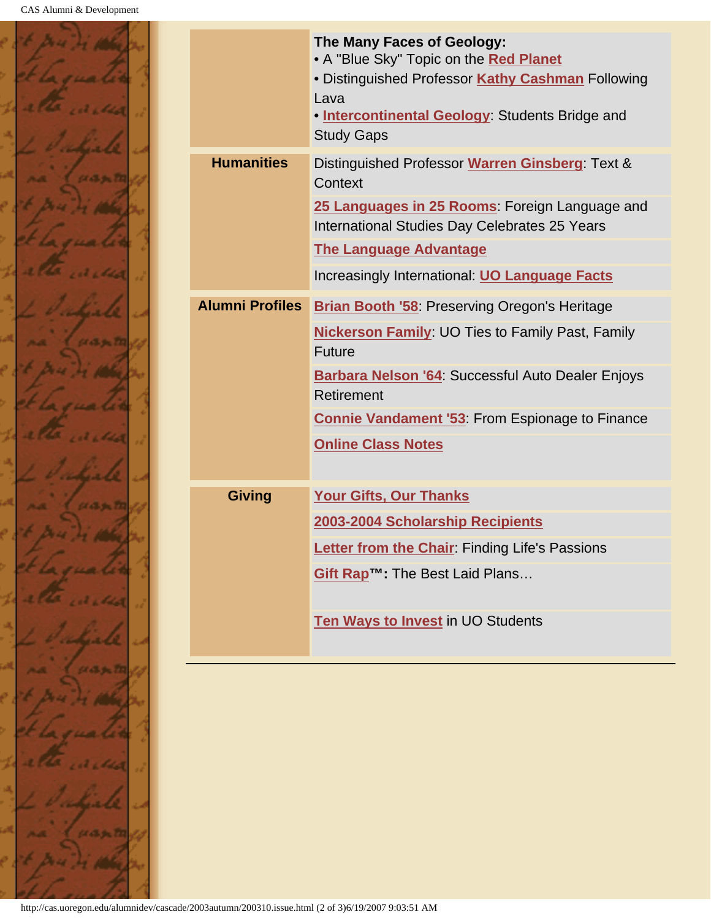

|                        | The Many Faces of Geology:<br>• A "Blue Sky" Topic on the Red Planet<br>• Distinguished Professor Kathy Cashman Following<br>Lava<br>. Intercontinental Geology: Students Bridge and<br><b>Study Gaps</b> |
|------------------------|-----------------------------------------------------------------------------------------------------------------------------------------------------------------------------------------------------------|
| <b>Humanities</b>      | Distinguished Professor Warren Ginsberg: Text &<br>Context                                                                                                                                                |
|                        | 25 Languages in 25 Rooms: Foreign Language and<br>International Studies Day Celebrates 25 Years                                                                                                           |
|                        | <b>The Language Advantage</b>                                                                                                                                                                             |
|                        | Increasingly International: <b>UO Language Facts</b>                                                                                                                                                      |
| <b>Alumni Profiles</b> | <b>Brian Booth '58: Preserving Oregon's Heritage</b>                                                                                                                                                      |
|                        | <b>Nickerson Family: UO Ties to Family Past, Family</b><br><b>Future</b>                                                                                                                                  |
|                        | Barbara Nelson '64: Successful Auto Dealer Enjoys<br>Retirement                                                                                                                                           |
|                        | <b>Connie Vandament '53: From Espionage to Finance</b>                                                                                                                                                    |
|                        | <b>Online Class Notes</b>                                                                                                                                                                                 |
| <b>Giving</b>          | <b>Your Gifts, Our Thanks</b>                                                                                                                                                                             |
|                        | 2003-2004 Scholarship Recipients                                                                                                                                                                          |
|                        | Letter from the Chair: Finding Life's Passions                                                                                                                                                            |
|                        | Gift Rap <sup>™</sup> : The Best Laid Plans                                                                                                                                                               |
|                        | Ten Ways to Invest in UO Students                                                                                                                                                                         |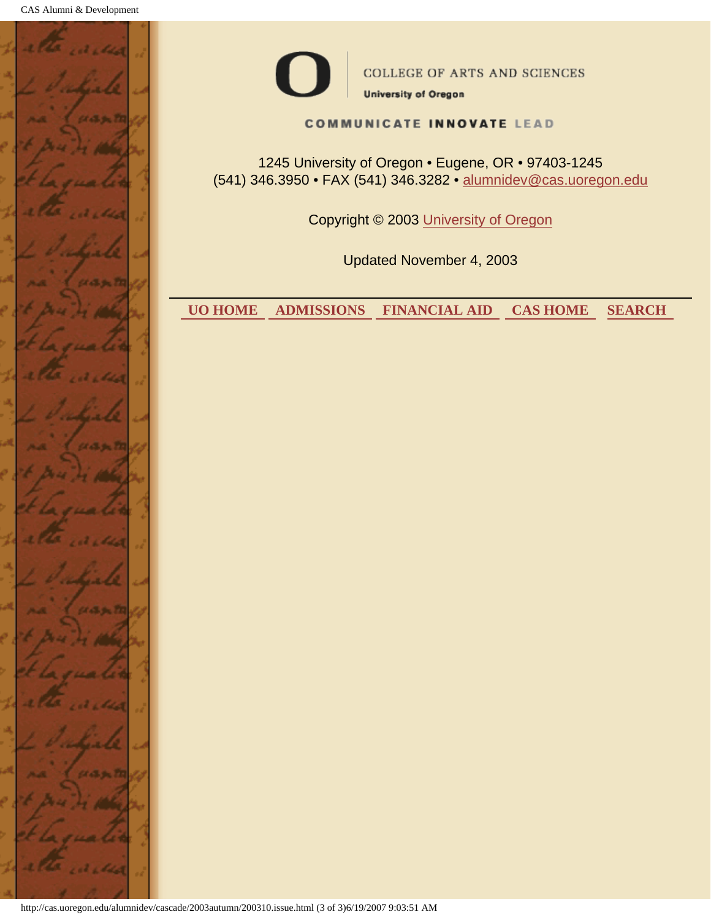



COLLEGE OF ARTS AND SCIENCES **University of Oregon** 

#### **COMMUNICATE INNOVATE LEAD**

1245 University of Oregon • Eugene, OR • 97403-1245 (541) 346.3950 • FAX (541) 346.3282 • alumnidev@cas.uoregon.edu

Copyright © 2003 University of Oregon

Updated November 4, 2003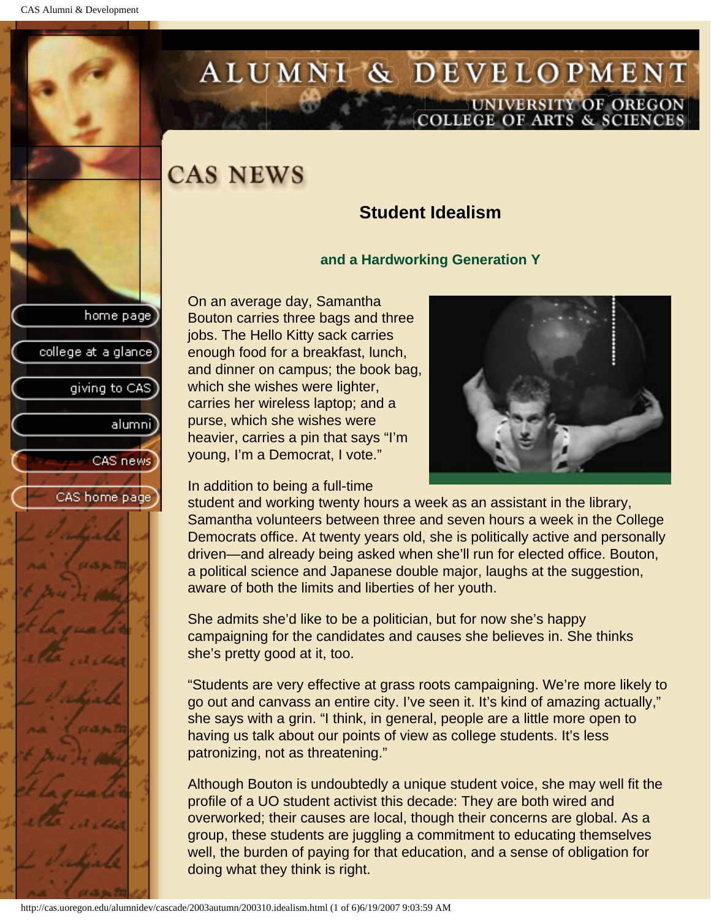college at a glance

giving to CAS

alumnil

CAS news

CAS home page

# <span id="page-3-0"></span>ALUMNI & DEVELOPMENT UNIVERSITY OF OREGON<br>COLLEGE OF ARTS & SCIENCES

## **CAS NEWS**

### **Student Idealism**

#### **and a Hardworking Generation Y**

On an average day, Samantha Bouton carries three bags and three jobs. The Hello Kitty sack carries enough food for a breakfast, lunch, and dinner on campus; the book bag, which she wishes were lighter, carries her wireless laptop; and a purse, which she wishes were heavier, carries a pin that says "I'm young, I'm a Democrat, I vote."

In addition to being a full-time



student and working twenty hours a week as an assistant in the library, Samantha volunteers between three and seven hours a week in the College Democrats office. At twenty years old, she is politically active and personally driven—and already being asked when she'll run for elected office. Bouton, a political science and Japanese double major, laughs at the suggestion, aware of both the limits and liberties of her youth.

She admits she'd like to be a politician, but for now she's happy campaigning for the candidates and causes she believes in. She thinks she's pretty good at it, too.

"Students are very effective at grass roots campaigning. We're more likely to go out and canvass an entire city. I've seen it. It's kind of amazing actually," she says with a grin. "I think, in general, people are a little more open to having us talk about our points of view as college students. It's less patronizing, not as threatening."

Although Bouton is undoubtedly a unique student voice, she may well fit the profile of a UO student activist this decade: They are both wired and overworked; their causes are local, though their concerns are global. As a group, these students are juggling a commitment to educating themselves well, the burden of paying for that education, and a sense of obligation for doing what they think is right.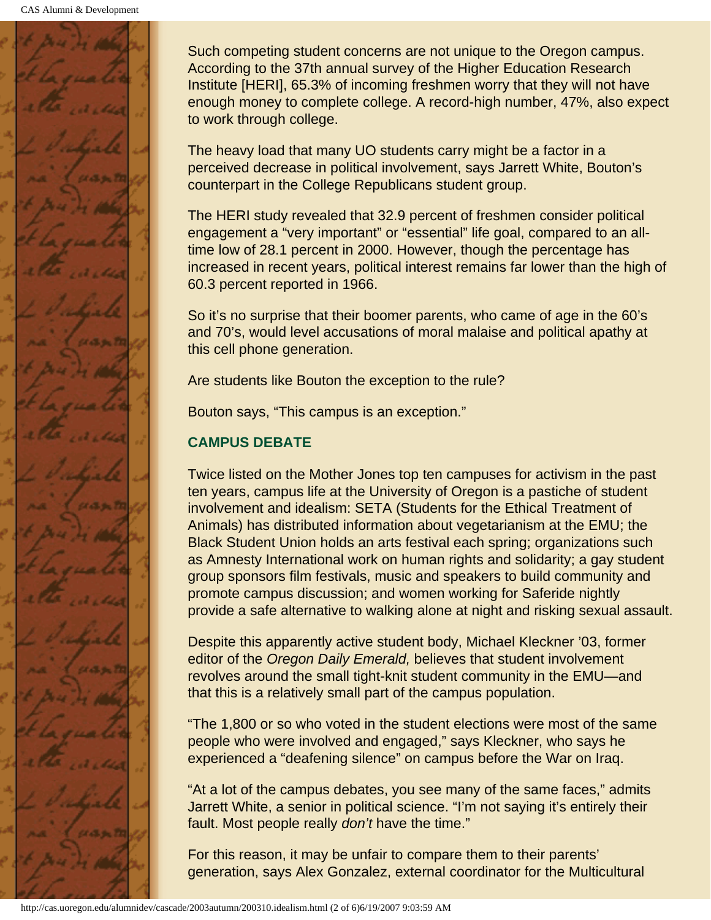

Such competing student concerns are not unique to the Oregon campus. According to the 37th annual survey of the Higher Education Research Institute [HERI], 65.3% of incoming freshmen worry that they will not have enough money to complete college. A record-high number, 47%, also expect to work through college.

The heavy load that many UO students carry might be a factor in a perceived decrease in political involvement, says Jarrett White, Bouton's counterpart in the College Republicans student group.

The HERI study revealed that 32.9 percent of freshmen consider political engagement a "very important" or "essential" life goal, compared to an alltime low of 28.1 percent in 2000. However, though the percentage has increased in recent years, political interest remains far lower than the high of 60.3 percent reported in 1966.

So it's no surprise that their boomer parents, who came of age in the 60's and 70's, would level accusations of moral malaise and political apathy at this cell phone generation.

Are students like Bouton the exception to the rule?

Bouton says, "This campus is an exception."

#### **CAMPUS DEBATE**

Twice listed on the Mother Jones top ten campuses for activism in the past ten years, campus life at the University of Oregon is a pastiche of student involvement and idealism: SETA (Students for the Ethical Treatment of Animals) has distributed information about vegetarianism at the EMU; the Black Student Union holds an arts festival each spring; organizations such as Amnesty International work on human rights and solidarity; a gay student group sponsors film festivals, music and speakers to build community and promote campus discussion; and women working for Saferide nightly provide a safe alternative to walking alone at night and risking sexual assault.

Despite this apparently active student body, Michael Kleckner '03, former editor of the *Oregon Daily Emerald,* believes that student involvement revolves around the small tight-knit student community in the EMU—and that this is a relatively small part of the campus population.

"The 1,800 or so who voted in the student elections were most of the same people who were involved and engaged," says Kleckner, who says he experienced a "deafening silence" on campus before the War on Iraq.

"At a lot of the campus debates, you see many of the same faces," admits Jarrett White, a senior in political science. "I'm not saying it's entirely their fault. Most people really *don't* have the time."

For this reason, it may be unfair to compare them to their parents' generation, says Alex Gonzalez, external coordinator for the Multicultural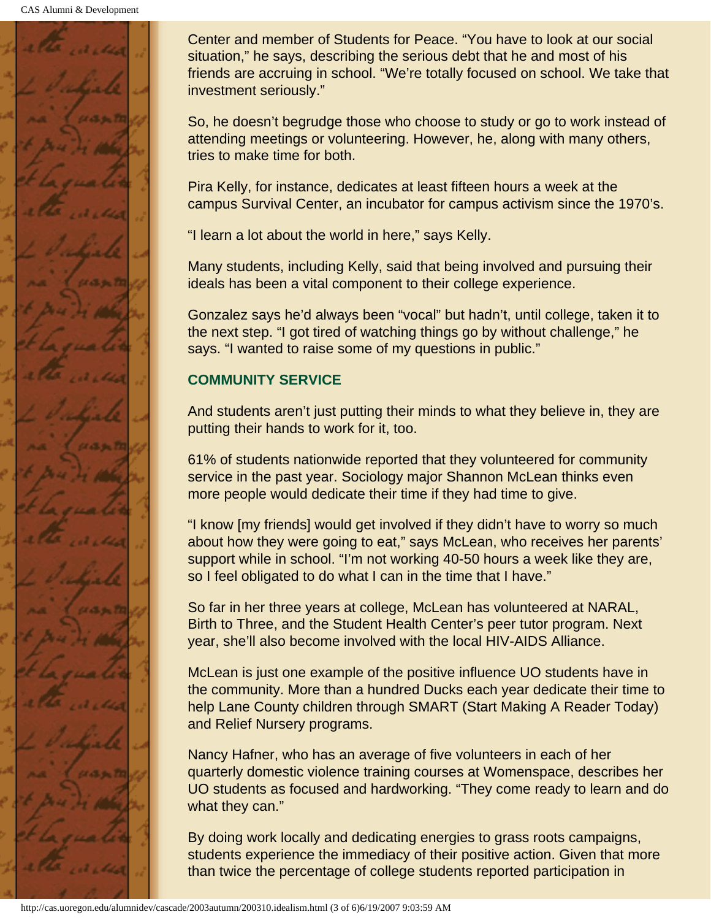

Center and member of Students for Peace. "You have to look at our social situation," he says, describing the serious debt that he and most of his friends are accruing in school. "We're totally focused on school. We take that investment seriously."

So, he doesn't begrudge those who choose to study or go to work instead of attending meetings or volunteering. However, he, along with many others, tries to make time for both.

Pira Kelly, for instance, dedicates at least fifteen hours a week at the campus Survival Center, an incubator for campus activism since the 1970's.

"I learn a lot about the world in here," says Kelly.

Many students, including Kelly, said that being involved and pursuing their ideals has been a vital component to their college experience.

Gonzalez says he'd always been "vocal" but hadn't, until college, taken it to the next step. "I got tired of watching things go by without challenge," he says. "I wanted to raise some of my questions in public."

#### **COMMUNITY SERVICE**

And students aren't just putting their minds to what they believe in, they are putting their hands to work for it, too.

61% of students nationwide reported that they volunteered for community service in the past year. Sociology major Shannon McLean thinks even more people would dedicate their time if they had time to give.

"I know [my friends] would get involved if they didn't have to worry so much about how they were going to eat," says McLean, who receives her parents' support while in school. "I'm not working 40-50 hours a week like they are, so I feel obligated to do what I can in the time that I have."

So far in her three years at college, McLean has volunteered at NARAL, Birth to Three, and the Student Health Center's peer tutor program. Next year, she'll also become involved with the local HIV-AIDS Alliance.

McLean is just one example of the positive influence UO students have in the community. More than a hundred Ducks each year dedicate their time to help Lane County children through SMART (Start Making A Reader Today) and Relief Nursery programs.

Nancy Hafner, who has an average of five volunteers in each of her quarterly domestic violence training courses at Womenspace, describes her UO students as focused and hardworking. "They come ready to learn and do what they can."

By doing work locally and dedicating energies to grass roots campaigns, students experience the immediacy of their positive action. Given that more than twice the percentage of college students reported participation in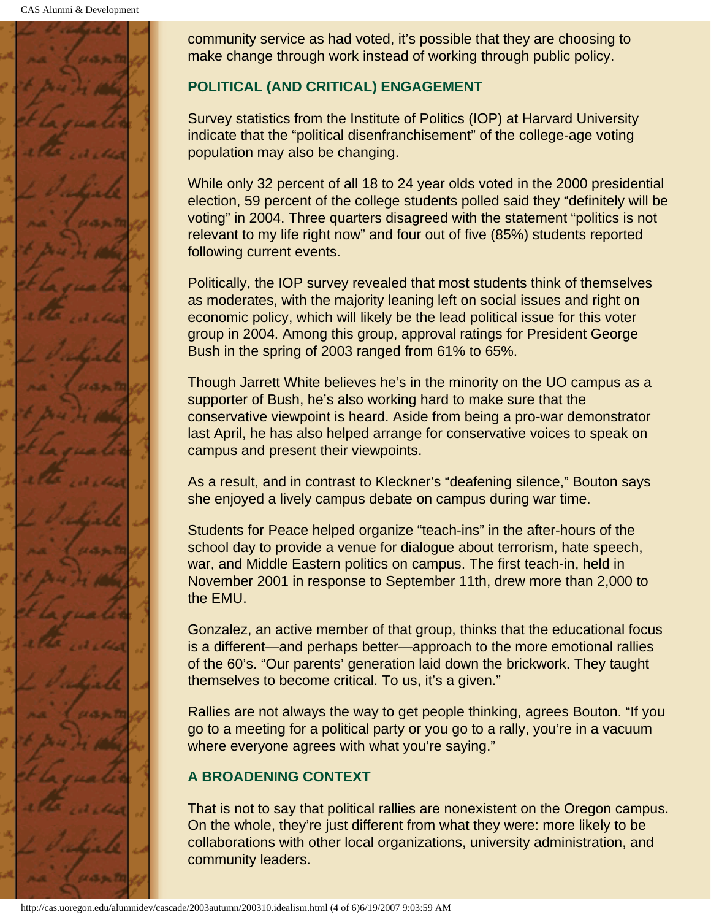

community service as had voted, it's possible that they are choosing to make change through work instead of working through public policy.

#### **POLITICAL (AND CRITICAL) ENGAGEMENT**

Survey statistics from the Institute of Politics (IOP) at Harvard University indicate that the "political disenfranchisement" of the college-age voting population may also be changing.

While only 32 percent of all 18 to 24 year olds voted in the 2000 presidential election, 59 percent of the college students polled said they "definitely will be voting" in 2004. Three quarters disagreed with the statement "politics is not relevant to my life right now" and four out of five (85%) students reported following current events.

Politically, the IOP survey revealed that most students think of themselves as moderates, with the majority leaning left on social issues and right on economic policy, which will likely be the lead political issue for this voter group in 2004. Among this group, approval ratings for President George Bush in the spring of 2003 ranged from 61% to 65%.

Though Jarrett White believes he's in the minority on the UO campus as a supporter of Bush, he's also working hard to make sure that the conservative viewpoint is heard. Aside from being a pro-war demonstrator last April, he has also helped arrange for conservative voices to speak on campus and present their viewpoints.

As a result, and in contrast to Kleckner's "deafening silence," Bouton says she enjoyed a lively campus debate on campus during war time.

Students for Peace helped organize "teach-ins" in the after-hours of the school day to provide a venue for dialogue about terrorism, hate speech, war, and Middle Eastern politics on campus. The first teach-in, held in November 2001 in response to September 11th, drew more than 2,000 to the EMU.

Gonzalez, an active member of that group, thinks that the educational focus is a different—and perhaps better—approach to the more emotional rallies of the 60's. "Our parents' generation laid down the brickwork. They taught themselves to become critical. To us, it's a given."

Rallies are not always the way to get people thinking, agrees Bouton. "If you go to a meeting for a political party or you go to a rally, you're in a vacuum where everyone agrees with what you're saying."

#### **A BROADENING CONTEXT**

That is not to say that political rallies are nonexistent on the Oregon campus. On the whole, they're just different from what they were: more likely to be collaborations with other local organizations, university administration, and community leaders.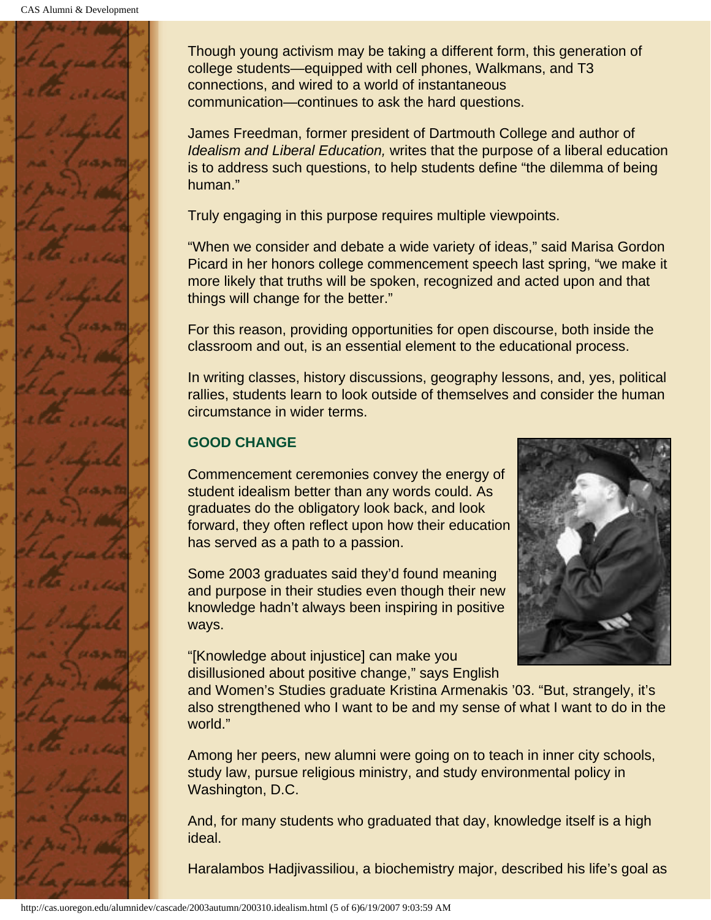

Though young activism may be taking a different form, this generation of college students—equipped with cell phones, Walkmans, and T3 connections, and wired to a world of instantaneous communication—continues to ask the hard questions.

James Freedman, former president of Dartmouth College and author of *Idealism and Liberal Education,* writes that the purpose of a liberal education is to address such questions, to help students define "the dilemma of being human."

Truly engaging in this purpose requires multiple viewpoints.

"When we consider and debate a wide variety of ideas," said Marisa Gordon Picard in her honors college commencement speech last spring, "we make it more likely that truths will be spoken, recognized and acted upon and that things will change for the better."

For this reason, providing opportunities for open discourse, both inside the classroom and out, is an essential element to the educational process.

In writing classes, history discussions, geography lessons, and, yes, political rallies, students learn to look outside of themselves and consider the human circumstance in wider terms.

#### **GOOD CHANGE**

Commencement ceremonies convey the energy of student idealism better than any words could. As graduates do the obligatory look back, and look forward, they often reflect upon how their education has served as a path to a passion.

Some 2003 graduates said they'd found meaning and purpose in their studies even though their new knowledge hadn't always been inspiring in positive ways.

"[Knowledge about injustice] can make you disillusioned about positive change," says English



and Women's Studies graduate Kristina Armenakis '03. "But, strangely, it's also strengthened who I want to be and my sense of what I want to do in the world."

Among her peers, new alumni were going on to teach in inner city schools, study law, pursue religious ministry, and study environmental policy in Washington, D.C.

And, for many students who graduated that day, knowledge itself is a high ideal.

Haralambos Hadjivassiliou, a biochemistry major, described his life's goal as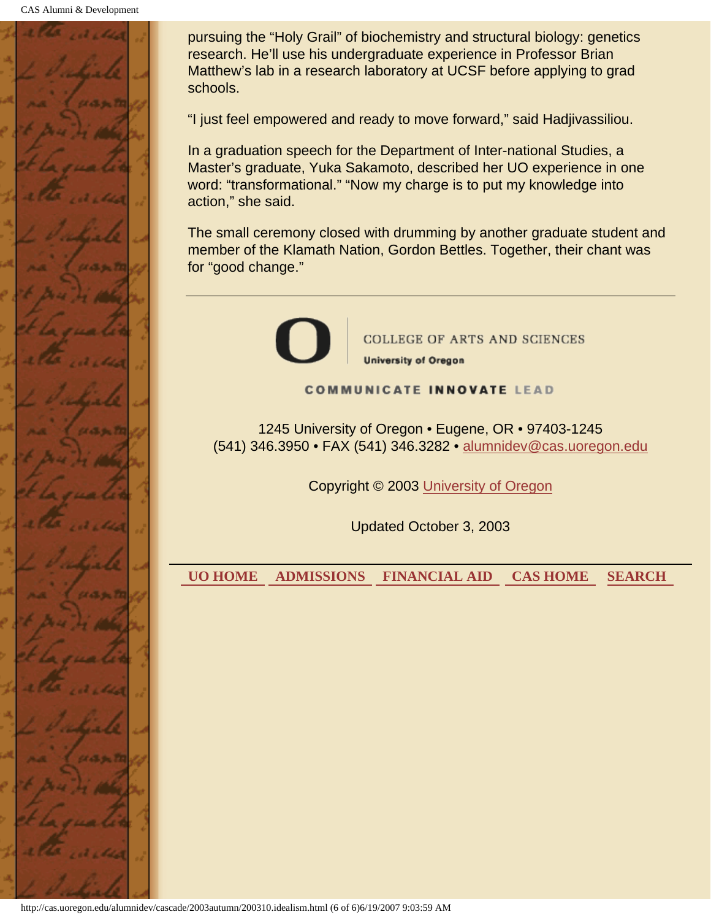

pursuing the "Holy Grail" of biochemistry and structural biology: genetics research. He'll use his undergraduate experience in Professor Brian Matthew's lab in a research laboratory at UCSF before applying to grad schools.

"I just feel empowered and ready to move forward," said Hadjivassiliou.

In a graduation speech for the Department of Inter-national Studies, a Master's graduate, Yuka Sakamoto, described her UO experience in one word: "transformational." "Now my charge is to put my knowledge into action," she said.

The small ceremony closed with drumming by another graduate student and member of the Klamath Nation, Gordon Bettles. Together, their chant was for "good change."



**COLLEGE OF ARTS AND SCIENCES University of Oregon** 

**COMMUNICATE INNOVATE LEAD** 

1245 University of Oregon • Eugene, OR • 97403-1245 (541) 346.3950 • FAX (541) 346.3282 • alumnidev@cas.uoregon.edu

Copyright © 2003 University of Oregon

Updated October 3, 2003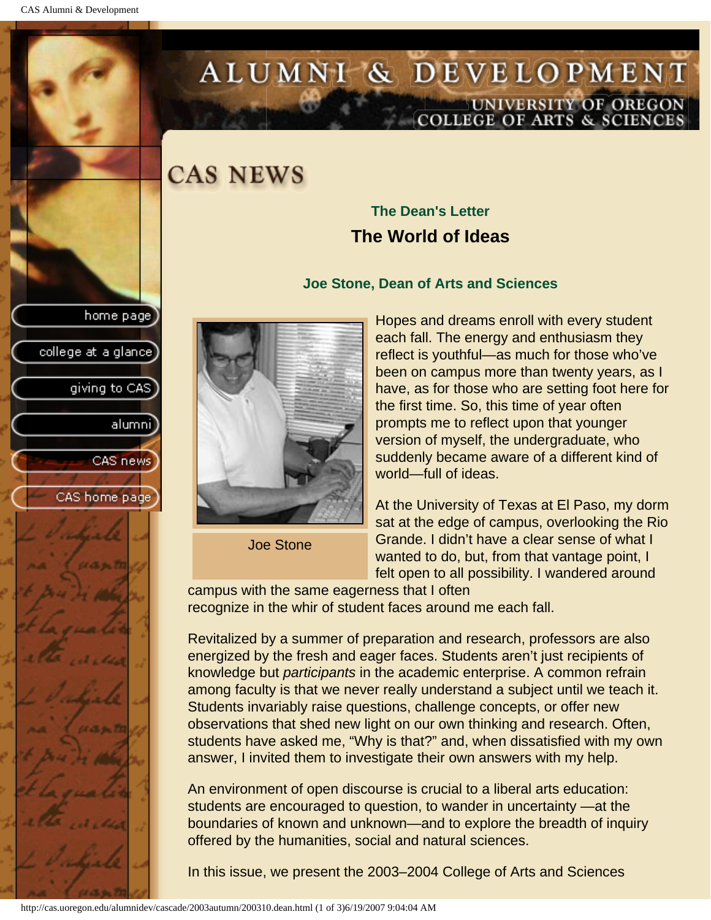college at a glance]

giving to CAS

alumni

CAS news

CAS home page

# <span id="page-9-0"></span>ALUMNI & DEVELOPMENT UNIVERSITY OF OREGON<br>COLLEGE OF ARTS & SCIENCES

## **CAS NEWS**

### **The Dean's Letter The World of Ideas**

#### **Joe Stone, Dean of Arts and Sciences**



Joe Stone

Hopes and dreams enroll with every student each fall. The energy and enthusiasm they reflect is youthful—as much for those who've been on campus more than twenty years, as I have, as for those who are setting foot here for the first time. So, this time of year often prompts me to reflect upon that younger version of myself, the undergraduate, who suddenly became aware of a different kind of world—full of ideas.

At the University of Texas at El Paso, my dorm sat at the edge of campus, overlooking the Rio Grande. I didn't have a clear sense of what I wanted to do, but, from that vantage point, I felt open to all possibility. I wandered around

campus with the same eagerness that I often recognize in the whir of student faces around me each fall.

Revitalized by a summer of preparation and research, professors are also energized by the fresh and eager faces. Students aren't just recipients of knowledge but *participants* in the academic enterprise. A common refrain among faculty is that we never really understand a subject until we teach it. Students invariably raise questions, challenge concepts, or offer new observations that shed new light on our own thinking and research. Often, students have asked me, "Why is that?" and, when dissatisfied with my own answer, I invited them to investigate their own answers with my help.

An environment of open discourse is crucial to a liberal arts education: students are encouraged to question, to wander in uncertainty —at the boundaries of known and unknown—and to explore the breadth of inquiry offered by the humanities, social and natural sciences.

In this issue, we present the 2003–2004 College of Arts and Sciences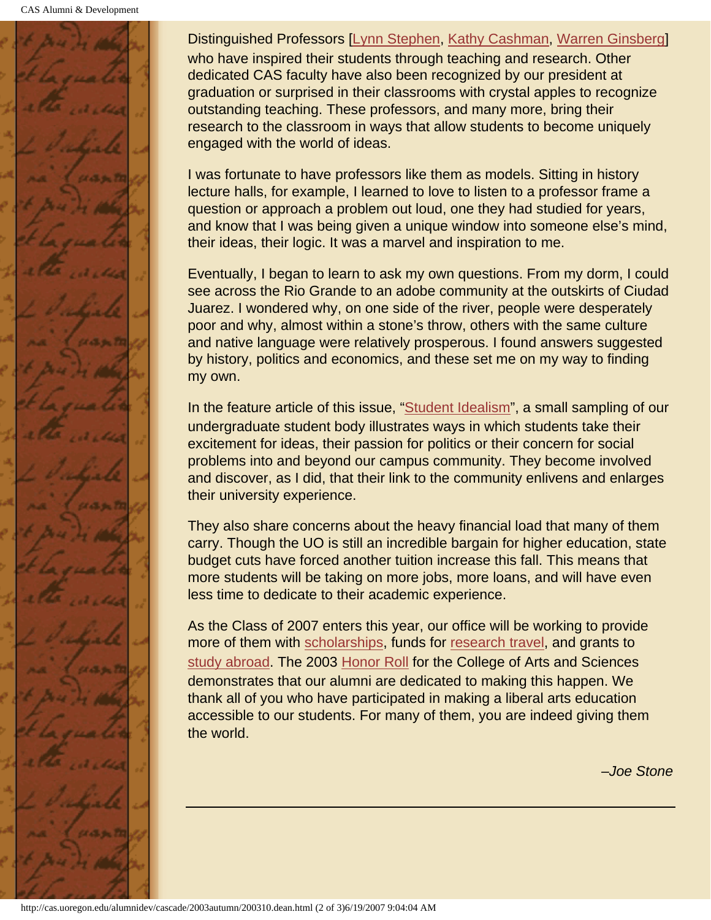

Distinguished Professors [[Lynn Stephen](#page-18-0), [Kathy Cashman,](#page-27-0) [Warren Ginsberg\]](#page-31-0) who have inspired their students through teaching and research. Other dedicated CAS faculty have also been recognized by our president at graduation or surprised in their classrooms with crystal apples to recognize outstanding teaching. These professors, and many more, bring their research to the classroom in ways that allow students to become uniquely engaged with the world of ideas.

I was fortunate to have professors like them as models. Sitting in history lecture halls, for example, I learned to love to listen to a professor frame a question or approach a problem out loud, one they had studied for years, and know that I was being given a unique window into someone else's mind, their ideas, their logic. It was a marvel and inspiration to me.

Eventually, I began to learn to ask my own questions. From my dorm, I could see across the Rio Grande to an adobe community at the outskirts of Ciudad Juarez. I wondered why, on one side of the river, people were desperately poor and why, almost within a stone's throw, others with the same culture and native language were relatively prosperous. I found answers suggested by history, politics and economics, and these set me on my way to finding my own.

In the feature article of this issue, "[Student Idealism"](#page-3-0), a small sampling of our undergraduate student body illustrates ways in which students take their excitement for ideas, their passion for politics or their concern for social problems into and beyond our campus community. They become involved and discover, as I did, that their link to the community enlivens and enlarges their university experience.

They also share concerns about the heavy financial load that many of them carry. Though the UO is still an incredible bargain for higher education, state budget cuts have forced another tuition increase this fall. This means that more students will be taking on more jobs, more loans, and will have even less time to dedicate to their academic experience.

As the Class of 2007 enters this year, our office will be working to provide more of them with [scholarships](#page-51-0), funds for [research travel,](#page-29-0) and grants to [study abroad](#page-35-0). The 2003 [Honor Roll](#page-50-0) for the College of Arts and Sciences demonstrates that our alumni are dedicated to making this happen. We thank all of you who have participated in making a liberal arts education accessible to our students. For many of them, you are indeed giving them the world.

*–Joe Stone*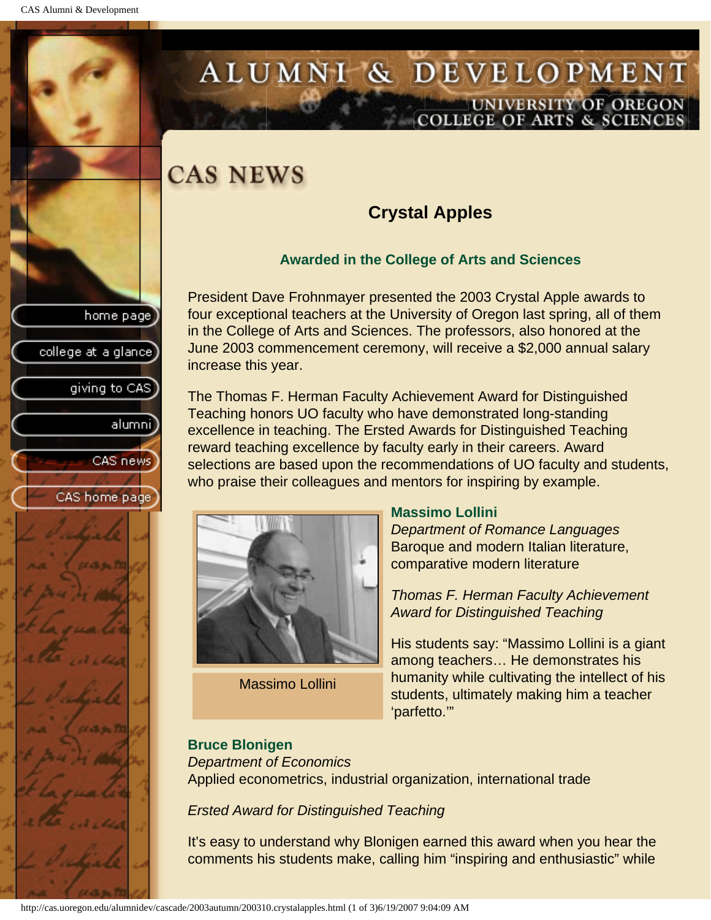college at a glance

giving to CAS

alumnil

CAS news

CAS home page

# <span id="page-11-0"></span>ALUMNI & DEVELOPMENT UNIVERSITY OF OREGON<br>COLLEGE OF ARTS & SCIENCES

## **CAS NEWS**

### **Crystal Apples**

#### **Awarded in the College of Arts and Sciences**

President Dave Frohnmayer presented the 2003 Crystal Apple awards to four exceptional teachers at the University of Oregon last spring, all of them in the College of Arts and Sciences. The professors, also honored at the June 2003 commencement ceremony, will receive a \$2,000 annual salary increase this year.

The Thomas F. Herman Faculty Achievement Award for Distinguished Teaching honors UO faculty who have demonstrated long-standing excellence in teaching. The Ersted Awards for Distinguished Teaching reward teaching excellence by faculty early in their careers. Award selections are based upon the recommendations of UO faculty and students, who praise their colleagues and mentors for inspiring by example.



Massimo Lollini

#### **Massimo Lollini**

*Department of Romance Languages* Baroque and modern Italian literature, comparative modern literature

*Thomas F. Herman Faculty Achievement Award for Distinguished Teaching*

His students say: "Massimo Lollini is a giant among teachers… He demonstrates his humanity while cultivating the intellect of his students, ultimately making him a teacher 'parfetto.'"

#### **Bruce Blonigen**

*Department of Economics* Applied econometrics, industrial organization, international trade

*Ersted Award for Distinguished Teaching*

It's easy to understand why Blonigen earned this award when you hear the comments his students make, calling him "inspiring and enthusiastic" while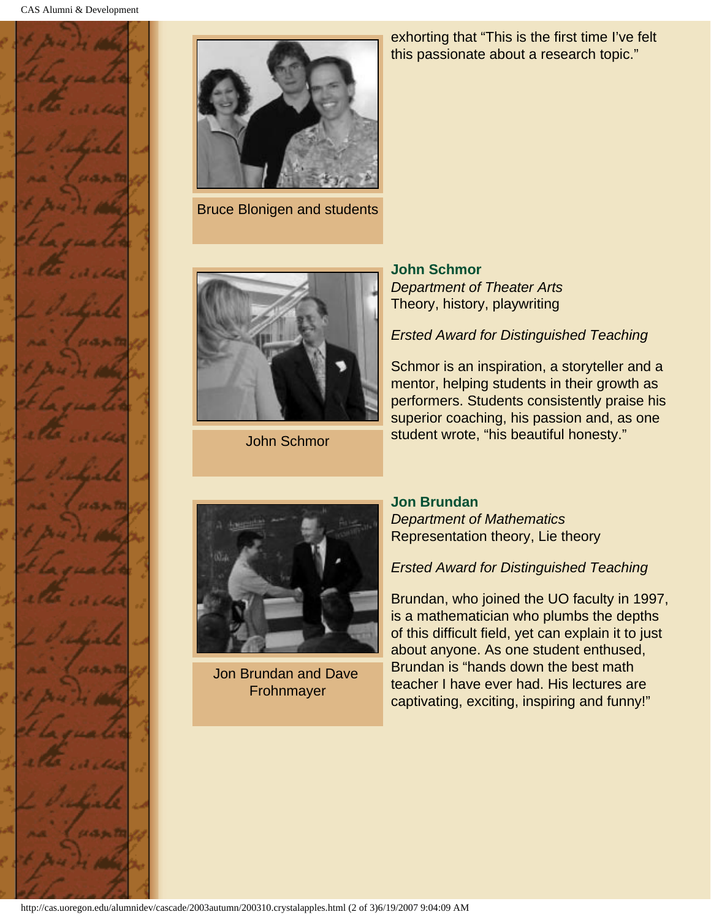



Bruce Blonigen and students

John Schmor

exhorting that "This is the first time I've felt this passionate about a research topic."

**John Schmor** *Department of Theater Arts* Theory, history, playwriting

*Ersted Award for Distinguished Teaching*

Schmor is an inspiration, a storyteller and a mentor, helping students in their growth as performers. Students consistently praise his superior coaching, his passion and, as one student wrote, "his beautiful honesty."



Jon Brundan and Dave Frohnmayer

#### **Jon Brundan**

*Department of Mathematics* Representation theory, Lie theory

*Ersted Award for Distinguished Teaching*

Brundan, who joined the UO faculty in 1997, is a mathematician who plumbs the depths of this difficult field, yet can explain it to just about anyone. As one student enthused, Brundan is "hands down the best math teacher I have ever had. His lectures are captivating, exciting, inspiring and funny!"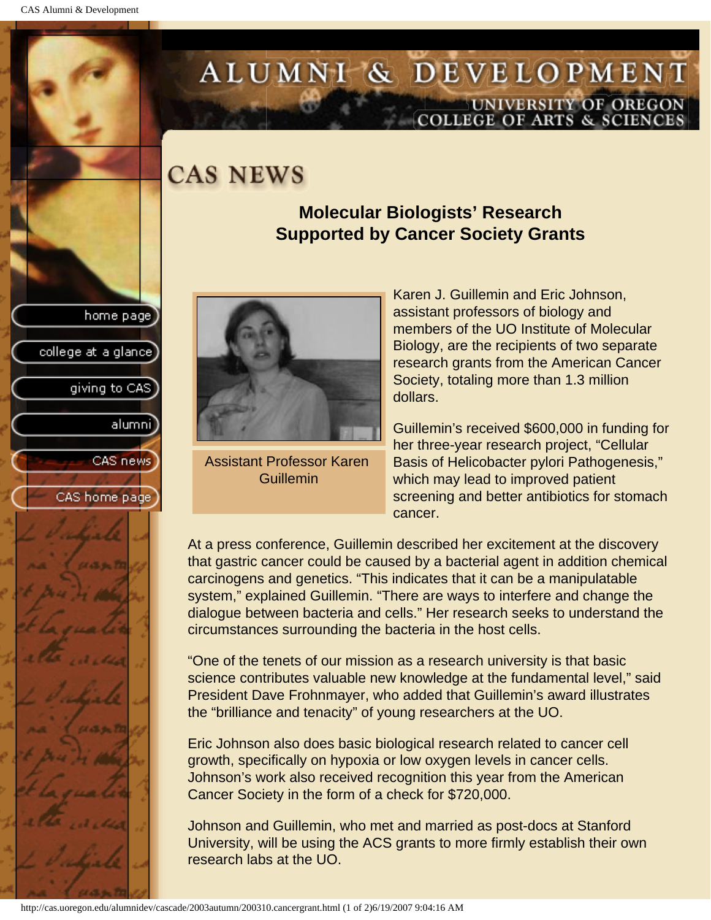college at a glance

giving to CAS

alumnil

CAS news

CAS home page

# <span id="page-13-0"></span>ALUMNI & DEVELOPMENT UNIVERSITY OF OREGON<br>COLLEGE OF ARTS & SCIENCES

## **CAS NEWS**

### **Molecular Biologists' Research Supported by Cancer Society Grants**



Assistant Professor Karen Guillemin

Karen J. Guillemin and Eric Johnson, assistant professors of biology and members of the UO Institute of Molecular Biology, are the recipients of two separate research grants from the American Cancer Society, totaling more than 1.3 million dollars.

Guillemin's received \$600,000 in funding for her three-year research project, "Cellular Basis of Helicobacter pylori Pathogenesis," which may lead to improved patient screening and better antibiotics for stomach cancer.

At a press conference, Guillemin described her excitement at the discovery that gastric cancer could be caused by a bacterial agent in addition chemical carcinogens and genetics. "This indicates that it can be a manipulatable system," explained Guillemin. "There are ways to interfere and change the dialogue between bacteria and cells." Her research seeks to understand the circumstances surrounding the bacteria in the host cells.

"One of the tenets of our mission as a research university is that basic science contributes valuable new knowledge at the fundamental level," said President Dave Frohnmayer, who added that Guillemin's award illustrates the "brilliance and tenacity" of young researchers at the UO.

Eric Johnson also does basic biological research related to cancer cell growth, specifically on hypoxia or low oxygen levels in cancer cells. Johnson's work also received recognition this year from the American Cancer Society in the form of a check for \$720,000.

Johnson and Guillemin, who met and married as post-docs at Stanford University, will be using the ACS grants to more firmly establish their own research labs at the UO.

```
http://cas.uoregon.edu/alumnidev/cascade/2003autumn/200310.cancergrant.html (1 of 2)6/19/2007 9:04:16 AM
```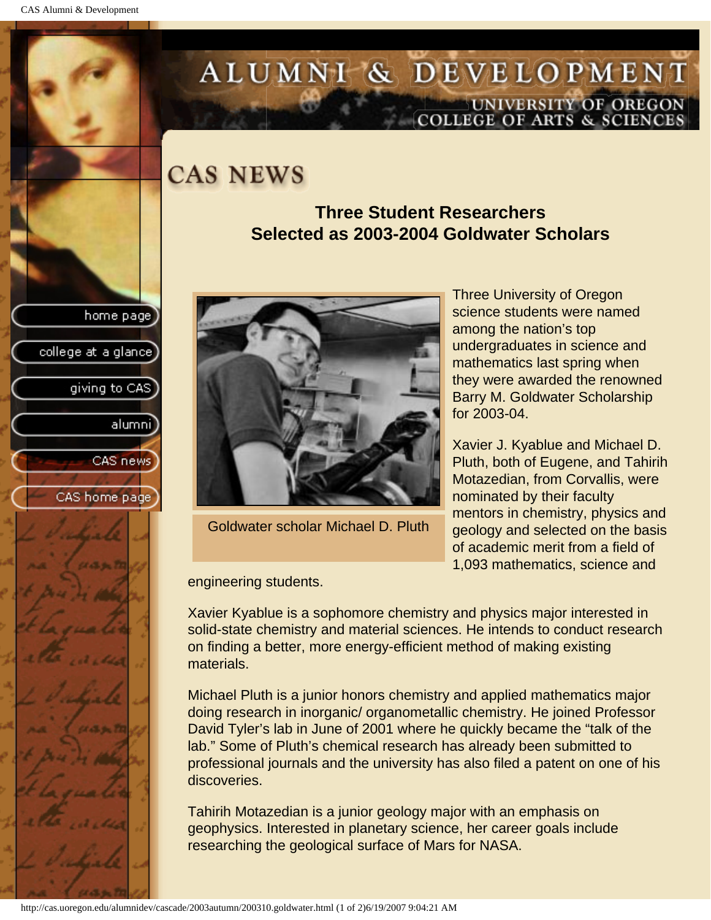college at a glance

giving to CAS

alumnil

CAS news

CAS home page

# <span id="page-14-0"></span>ALUMNI & DEVELOPMENT UNIVERSITY OF OREGON<br>COLLEGE OF ARTS & SCIENCES

## **CAS NEWS**

### **Three Student Researchers Selected as 2003-2004 Goldwater Scholars**



Goldwater scholar Michael D. Pluth

Three University of Oregon science students were named among the nation's top undergraduates in science and mathematics last spring when they were awarded the renowned Barry M. Goldwater Scholarship for 2003-04.

Xavier J. Kyablue and Michael D. Pluth, both of Eugene, and Tahirih Motazedian, from Corvallis, were nominated by their faculty mentors in chemistry, physics and geology and selected on the basis of academic merit from a field of 1,093 mathematics, science and

engineering students.

Xavier Kyablue is a sophomore chemistry and physics major interested in solid-state chemistry and material sciences. He intends to conduct research on finding a better, more energy-efficient method of making existing materials.

Michael Pluth is a junior honors chemistry and applied mathematics major doing research in inorganic/ organometallic chemistry. He joined Professor David Tyler's lab in June of 2001 where he quickly became the "talk of the lab." Some of Pluth's chemical research has already been submitted to professional journals and the university has also filed a patent on one of his discoveries.

Tahirih Motazedian is a junior geology major with an emphasis on geophysics. Interested in planetary science, her career goals include researching the geological surface of Mars for NASA.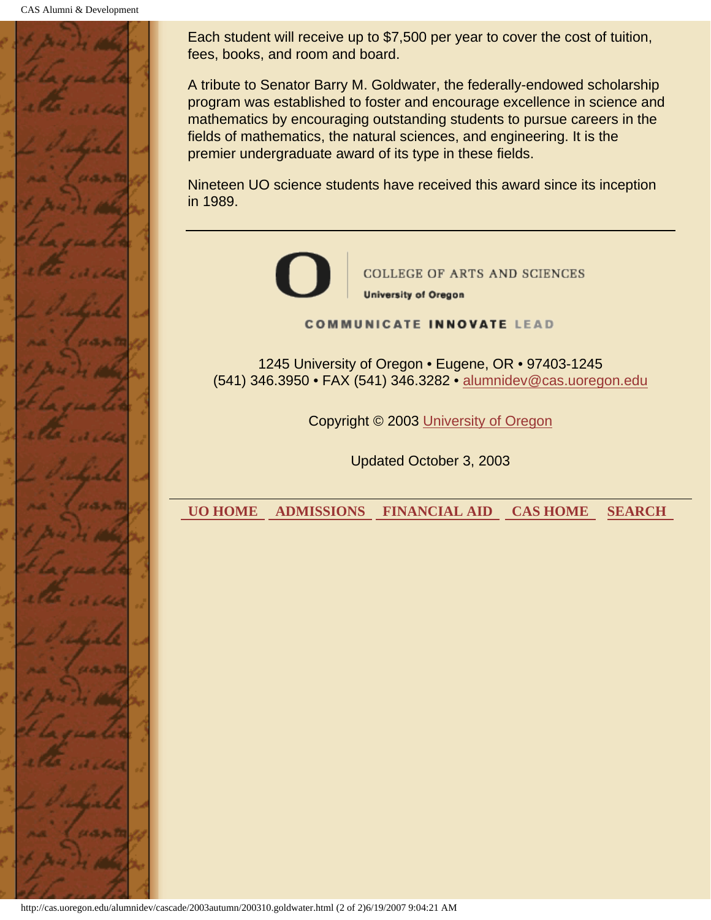

Each student will receive up to \$7,500 per year to cover the cost of tuition, fees, books, and room and board.

A tribute to Senator Barry M. Goldwater, the federally-endowed scholarship program was established to foster and encourage excellence in science and mathematics by encouraging outstanding students to pursue careers in the fields of mathematics, the natural sciences, and engineering. It is the premier undergraduate award of its type in these fields.

Nineteen UO science students have received this award since its inception in 1989.



**COLLEGE OF ARTS AND SCIENCES University of Oregon** 

**COMMUNICATE INNOVATE LEAD** 

1245 University of Oregon • Eugene, OR • 97403-1245 (541) 346.3950 • FAX (541) 346.3282 • alumnidev@cas.uoregon.edu

Copyright © 2003 University of Oregon

Updated October 3, 2003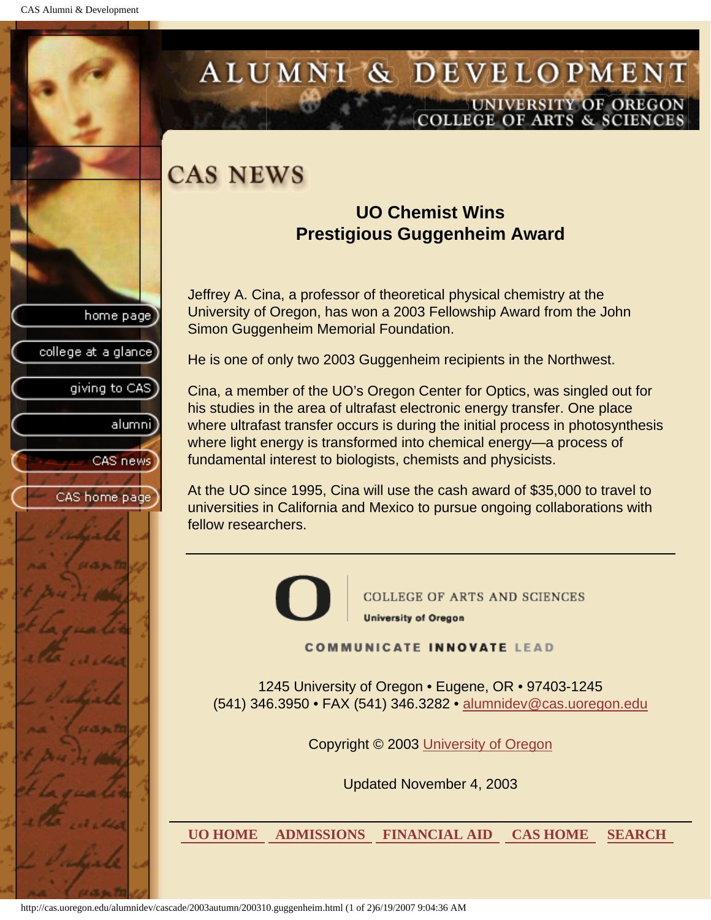college at a glance

giving to CAS

alumnil

CAS news

CAS home page

# <span id="page-16-0"></span>ALUMNI & DEVELOPMENT UNIVERSITY OF OREGON<br>COLLEGE OF ARTS & SCIENCES

## **CAS NEWS**

### **UO Chemist Wins Prestigious Guggenheim Award**

Jeffrey A. Cina, a professor of theoretical physical chemistry at the University of Oregon, has won a 2003 Fellowship Award from the John Simon Guggenheim Memorial Foundation.

He is one of only two 2003 Guggenheim recipients in the Northwest.

Cina, a member of the UO's Oregon Center for Optics, was singled out for his studies in the area of ultrafast electronic energy transfer. One place where ultrafast transfer occurs is during the initial process in photosynthesis where light energy is transformed into chemical energy—a process of fundamental interest to biologists, chemists and physicists.

At the UO since 1995, Cina will use the cash award of \$35,000 to travel to universities in California and Mexico to pursue ongoing collaborations with fellow researchers.



**COLLEGE OF ARTS AND SCIENCES University of Oregon** 

**COMMUNICATE INNOVATE LEAD** 

1245 University of Oregon • Eugene, OR • 97403-1245 (541) 346.3950 • FAX (541) 346.3282 • alumnidev@cas.uoregon.edu

Copyright © 2003 University of Oregon

Updated November 4, 2003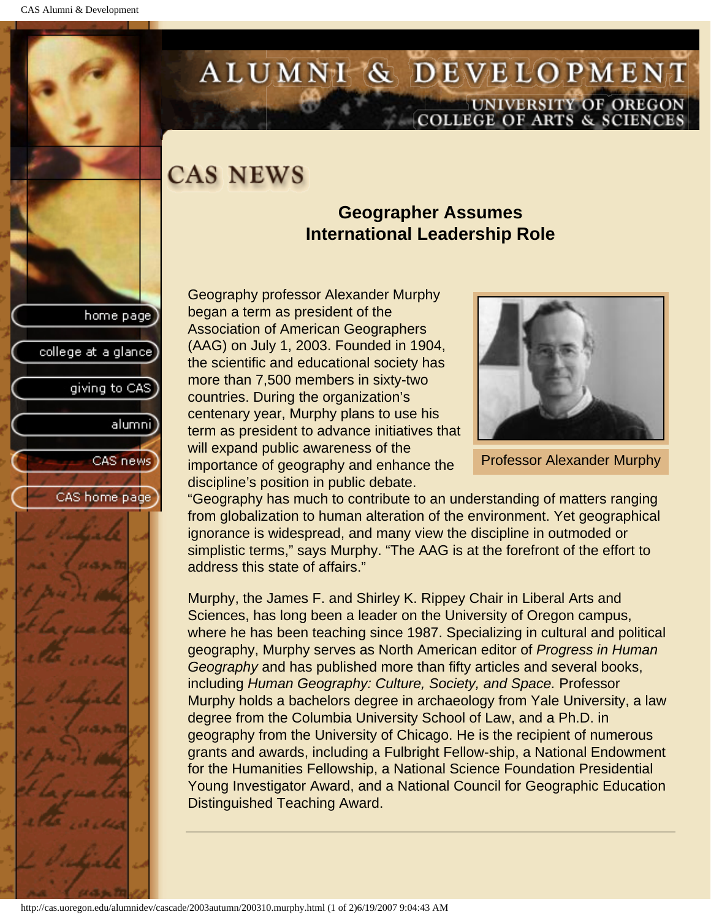college at a glance

giving to CAS

alumni

CAS news

CAS home page

# <span id="page-17-0"></span>ALUMNI & DEVELOPMENT UNIVERSITY OF OREGON<br>COLLEGE OF ARTS & SCIENCES

## **CAS NEWS**

### **Geographer Assumes International Leadership Role**

Geography professor Alexander Murphy began a term as president of the Association of American Geographers (AAG) on July 1, 2003. Founded in 1904, the scientific and educational society has more than 7,500 members in sixty-two countries. During the organization's centenary year, Murphy plans to use his term as president to advance initiatives that will expand public awareness of the importance of geography and enhance the discipline's position in public debate.



Professor Alexander Murphy

"Geography has much to contribute to an understanding of matters ranging from globalization to human alteration of the environment. Yet geographical ignorance is widespread, and many view the discipline in outmoded or simplistic terms," says Murphy. "The AAG is at the forefront of the effort to address this state of affairs."

Murphy, the James F. and Shirley K. Rippey Chair in Liberal Arts and Sciences, has long been a leader on the University of Oregon campus, where he has been teaching since 1987. Specializing in cultural and political geography, Murphy serves as North American editor of *Progress in Human Geography* and has published more than fifty articles and several books, including *Human Geography: Culture, Society, and Space.* Professor Murphy holds a bachelors degree in archaeology from Yale University, a law degree from the Columbia University School of Law, and a Ph.D. in geography from the University of Chicago. He is the recipient of numerous grants and awards, including a Fulbright Fellow-ship, a National Endowment for the Humanities Fellowship, a National Science Foundation Presidential Young Investigator Award, and a National Council for Geographic Education Distinguished Teaching Award.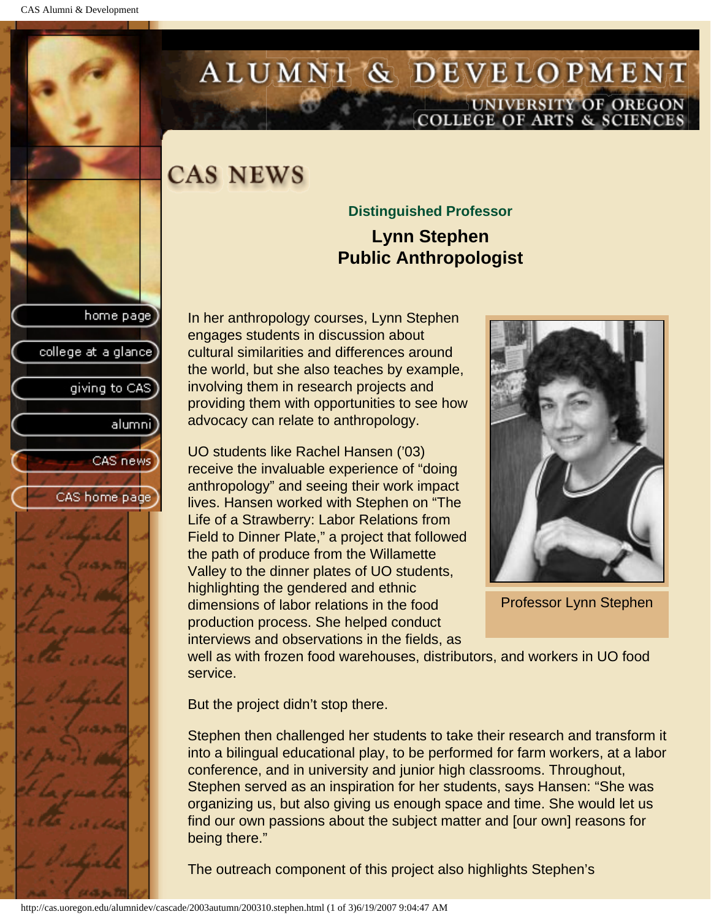college at a glance

giving to CAS

alumni

CAS news

CAS home page

# <span id="page-18-0"></span>ALUMNI & DEVELOPMENT UNIVERSITY OF OREGON<br>COLLEGE OF ARTS & SCIENCES

## **CAS NEWS**

### **Distinguished Professor Lynn Stephen Public Anthropologist**

In her anthropology courses, Lynn Stephen engages students in discussion about cultural similarities and differences around the world, but she also teaches by example, involving them in research projects and providing them with opportunities to see how advocacy can relate to anthropology.

UO students like Rachel Hansen ('03) receive the invaluable experience of "doing anthropology" and seeing their work impact lives. Hansen worked with Stephen on "The Life of a Strawberry: Labor Relations from Field to Dinner Plate," a project that followed the path of produce from the Willamette Valley to the dinner plates of UO students, highlighting the gendered and ethnic dimensions of labor relations in the food production process. She helped conduct interviews and observations in the fields, as



Professor Lynn Stephen

well as with frozen food warehouses, distributors, and workers in UO food service.

But the project didn't stop there.

Stephen then challenged her students to take their research and transform it into a bilingual educational play, to be performed for farm workers, at a labor conference, and in university and junior high classrooms. Throughout, Stephen served as an inspiration for her students, says Hansen: "She was organizing us, but also giving us enough space and time. She would let us find our own passions about the subject matter and [our own] reasons for being there."

The outreach component of this project also highlights Stephen's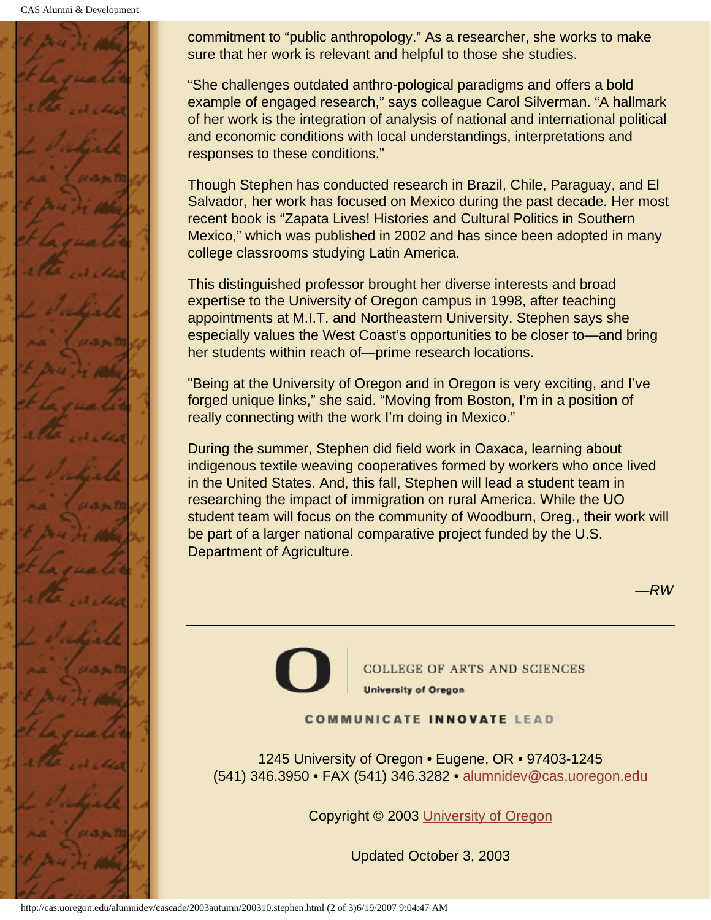CAS Alumni & Development



commitment to "public anthropology." As a researcher, she works to make sure that her work is relevant and helpful to those she studies.

"She challenges outdated anthro-pological paradigms and offers a bold example of engaged research," says colleague Carol Silverman. "A hallmark of her work is the integration of analysis of national and international political and economic conditions with local understandings, interpretations and responses to these conditions."

Though Stephen has conducted research in Brazil, Chile, Paraguay, and El Salvador, her work has focused on Mexico during the past decade. Her most recent book is "Zapata Lives! Histories and Cultural Politics in Southern Mexico," which was published in 2002 and has since been adopted in many college classrooms studying Latin America.

This distinguished professor brought her diverse interests and broad expertise to the University of Oregon campus in 1998, after teaching appointments at M.I.T. and Northeastern University. Stephen says she especially values the West Coast's opportunities to be closer to—and bring her students within reach of—prime research locations.

"Being at the University of Oregon and in Oregon is very exciting, and I've forged unique links," she said. "Moving from Boston, I'm in a position of really connecting with the work I'm doing in Mexico."

During the summer, Stephen did field work in Oaxaca, learning about indigenous textile weaving cooperatives formed by workers who once lived in the United States. And, this fall, Stephen will lead a student team in researching the impact of immigration on rural America. While the UO student team will focus on the community of Woodburn, Oreg., their work will be part of a larger national comparative project funded by the U.S. Department of Agriculture.



**COLLEGE OF ARTS AND SCIENCES University of Oregon** 

#### **COMMUNICATE INNOVATE LEAD**

1245 University of Oregon • Eugene, OR • 97403-1245 (541) 346.3950 • FAX (541) 346.3282 • alumnidev@cas.uoregon.edu

Copyright © 2003 University of Oregon

Updated October 3, 2003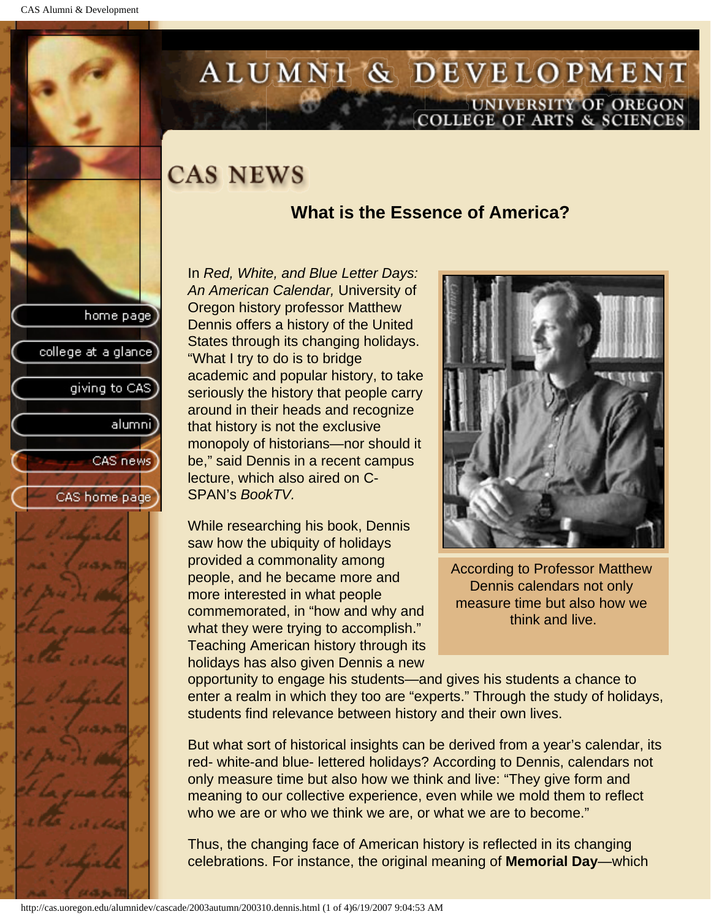college at a glance]

giving to CAS

alumnil

CAS news

CAS home page

# <span id="page-20-0"></span>ALUMNI & DEVELOPMENT UNIVERSITY OF OREGON<br>COLLEGE OF ARTS & SCIENCES

## **CAS NEWS**

### **What is the Essence of America?**

In *Red, White, and Blue Letter Days: An American Calendar,* University of Oregon history professor Matthew Dennis offers a history of the United States through its changing holidays. "What I try to do is to bridge academic and popular history, to take seriously the history that people carry around in their heads and recognize that history is not the exclusive monopoly of historians—nor should it be," said Dennis in a recent campus lecture, which also aired on C-SPAN's *BookTV.*

While researching his book, Dennis saw how the ubiquity of holidays provided a commonality among people, and he became more and more interested in what people commemorated, in "how and why and what they were trying to accomplish." Teaching American history through its holidays has also given Dennis a new



According to Professor Matthew Dennis calendars not only measure time but also how we think and live.

opportunity to engage his students—and gives his students a chance to enter a realm in which they too are "experts." Through the study of holidays, students find relevance between history and their own lives.

But what sort of historical insights can be derived from a year's calendar, its red- white-and blue- lettered holidays? According to Dennis, calendars not only measure time but also how we think and live: "They give form and meaning to our collective experience, even while we mold them to reflect who we are or who we think we are, or what we are to become."

Thus, the changing face of American history is reflected in its changing celebrations. For instance, the original meaning of **Memorial Day**—which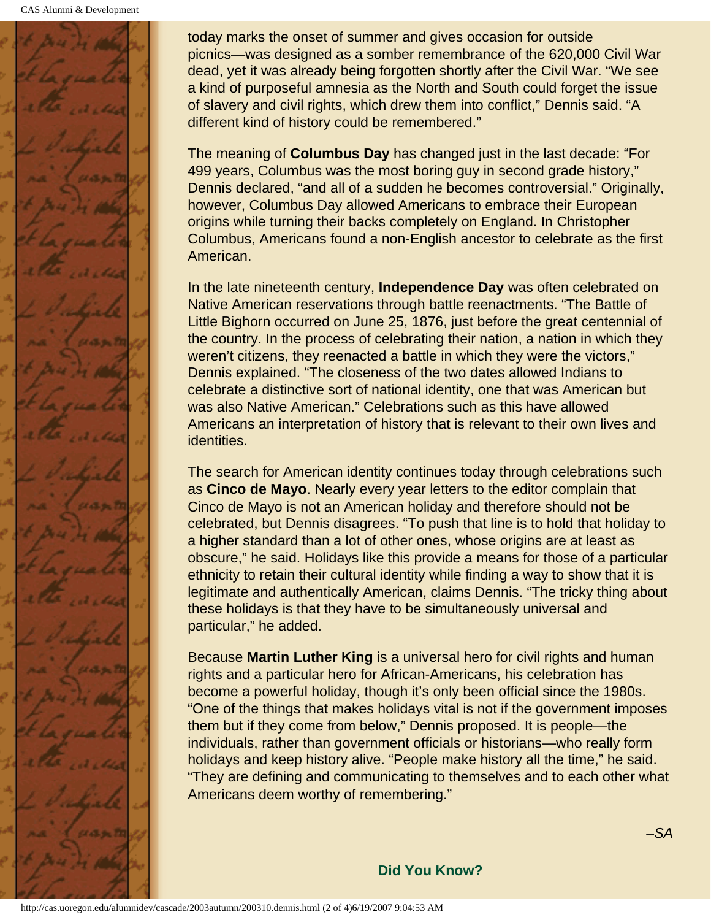

today marks the onset of summer and gives occasion for outside picnics—was designed as a somber remembrance of the 620,000 Civil War dead, yet it was already being forgotten shortly after the Civil War. "We see a kind of purposeful amnesia as the North and South could forget the issue of slavery and civil rights, which drew them into conflict," Dennis said. "A different kind of history could be remembered."

The meaning of **Columbus Day** has changed just in the last decade: "For 499 years, Columbus was the most boring guy in second grade history," Dennis declared, "and all of a sudden he becomes controversial." Originally, however, Columbus Day allowed Americans to embrace their European origins while turning their backs completely on England. In Christopher Columbus, Americans found a non-English ancestor to celebrate as the first American.

In the late nineteenth century, **Independence Day** was often celebrated on Native American reservations through battle reenactments. "The Battle of Little Bighorn occurred on June 25, 1876, just before the great centennial of the country. In the process of celebrating their nation, a nation in which they weren't citizens, they reenacted a battle in which they were the victors," Dennis explained. "The closeness of the two dates allowed Indians to celebrate a distinctive sort of national identity, one that was American but was also Native American." Celebrations such as this have allowed Americans an interpretation of history that is relevant to their own lives and identities.

The search for American identity continues today through celebrations such as **Cinco de Mayo**. Nearly every year letters to the editor complain that Cinco de Mayo is not an American holiday and therefore should not be celebrated, but Dennis disagrees. "To push that line is to hold that holiday to a higher standard than a lot of other ones, whose origins are at least as obscure," he said. Holidays like this provide a means for those of a particular ethnicity to retain their cultural identity while finding a way to show that it is legitimate and authentically American, claims Dennis. "The tricky thing about these holidays is that they have to be simultaneously universal and particular," he added.

Because **Martin Luther King** is a universal hero for civil rights and human rights and a particular hero for African-Americans, his celebration has become a powerful holiday, though it's only been official since the 1980s. "One of the things that makes holidays vital is not if the government imposes them but if they come from below," Dennis proposed. It is people—the individuals, rather than government officials or historians—who really form holidays and keep history alive. "People make history all the time," he said. "They are defining and communicating to themselves and to each other what Americans deem worthy of remembering."

#### **Did You Know?**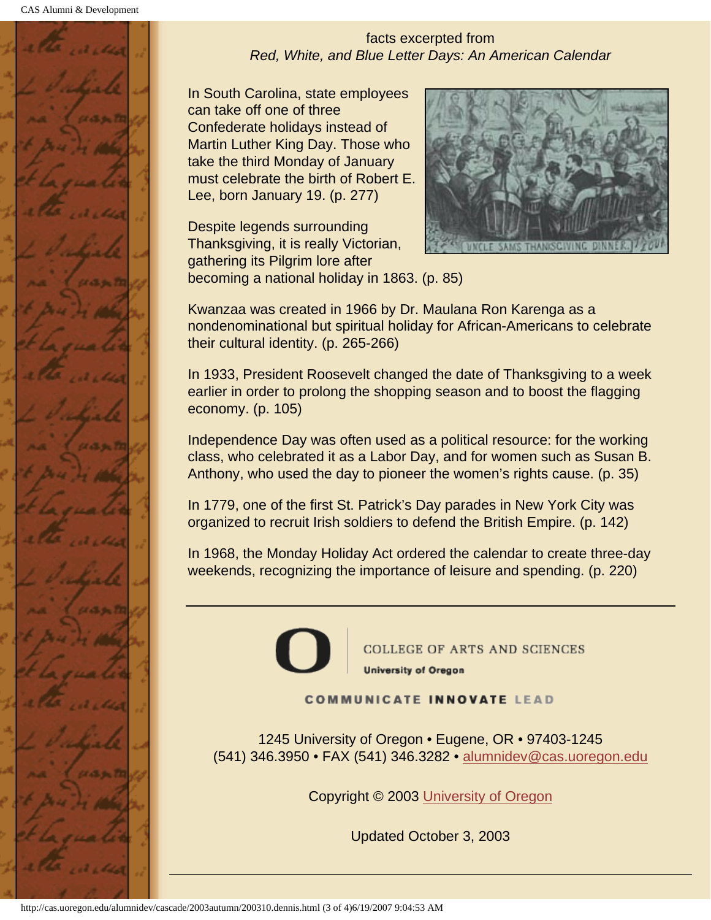

facts excerpted from *Red, White, and Blue Letter Days: An American Calendar*

In South Carolina, state employees can take off one of three Confederate holidays instead of Martin Luther King Day. Those who take the third Monday of January must celebrate the birth of Robert E. Lee, born January 19. (p. 277)

Despite legends surrounding Thanksgiving, it is really Victorian, gathering its Pilgrim lore after becoming a national holiday in 1863. (p. 85)



Kwanzaa was created in 1966 by Dr. Maulana Ron Karenga as a nondenominational but spiritual holiday for African-Americans to celebrate their cultural identity. (p. 265-266)

In 1933, President Roosevelt changed the date of Thanksgiving to a week earlier in order to prolong the shopping season and to boost the flagging economy. (p. 105)

Independence Day was often used as a political resource: for the working class, who celebrated it as a Labor Day, and for women such as Susan B. Anthony, who used the day to pioneer the women's rights cause. (p. 35)

In 1779, one of the first St. Patrick's Day parades in New York City was organized to recruit Irish soldiers to defend the British Empire. (p. 142)

In 1968, the Monday Holiday Act ordered the calendar to create three-day weekends, recognizing the importance of leisure and spending. (p. 220)



**COLLEGE OF ARTS AND SCIENCES University of Oregon** 

**COMMUNICATE INNOVATE LEAD** 

1245 University of Oregon • Eugene, OR • 97403-1245 (541) 346.3950 • FAX (541) 346.3282 • alumnidev@cas.uoregon.edu

Copyright © 2003 University of Oregon

Updated October 3, 2003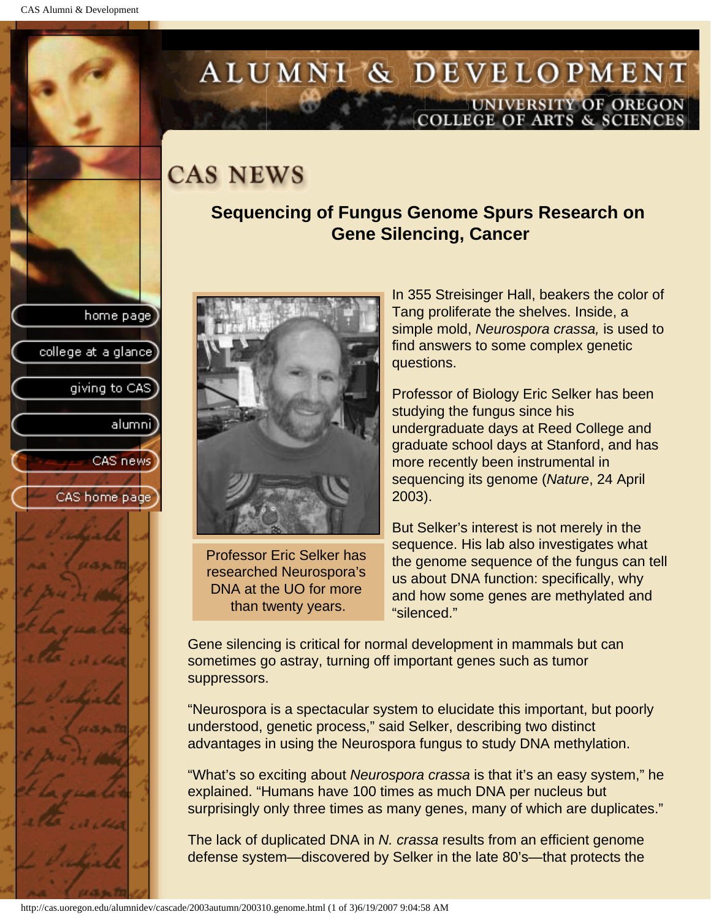college at a glance]

giving to CAS

alumni

CAS news

CAS home page

# <span id="page-23-0"></span>ALUMNI & DEVELOPMENT UNIVERSITY OF OREGON<br>COLLEGE OF ARTS & SCIENCES

## **CAS NEWS**

### **Sequencing of Fungus Genome Spurs Research on Gene Silencing, Cancer**



Professor Eric Selker has researched Neurospora's DNA at the UO for more than twenty years.

In 355 Streisinger Hall, beakers the color of Tang proliferate the shelves. Inside, a simple mold, *Neurospora crassa,* is used to find answers to some complex genetic questions.

Professor of Biology Eric Selker has been studying the fungus since his undergraduate days at Reed College and graduate school days at Stanford, and has more recently been instrumental in sequencing its genome (*Nature*, 24 April 2003).

But Selker's interest is not merely in the sequence. His lab also investigates what the genome sequence of the fungus can tell us about DNA function: specifically, why and how some genes are methylated and "silenced."

Gene silencing is critical for normal development in mammals but can sometimes go astray, turning off important genes such as tumor suppressors.

"Neurospora is a spectacular system to elucidate this important, but poorly understood, genetic process," said Selker, describing two distinct advantages in using the Neurospora fungus to study DNA methylation.

"What's so exciting about *Neurospora crassa* is that it's an easy system," he explained. "Humans have 100 times as much DNA per nucleus but surprisingly only three times as many genes, many of which are duplicates."

The lack of duplicated DNA in *N. crassa* results from an efficient genome defense system—discovered by Selker in the late 80's—that protects the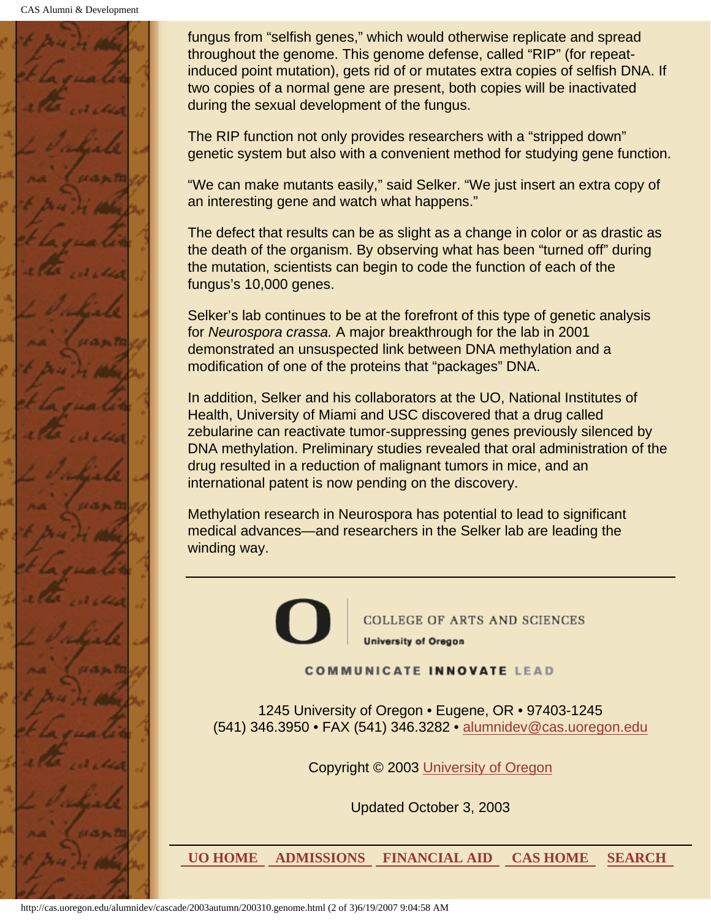CAS Alumni & Development



fungus from "selfish genes," which would otherwise replicate and spread throughout the genome. This genome defense, called "RIP" (for repeatinduced point mutation), gets rid of or mutates extra copies of selfish DNA. If two copies of a normal gene are present, both copies will be inactivated during the sexual development of the fungus.

The RIP function not only provides researchers with a "stripped down" genetic system but also with a convenient method for studying gene function.

"We can make mutants easily," said Selker. "We just insert an extra copy of an interesting gene and watch what happens."

The defect that results can be as slight as a change in color or as drastic as the death of the organism. By observing what has been "turned off" during the mutation, scientists can begin to code the function of each of the fungus's 10,000 genes.

Selker's lab continues to be at the forefront of this type of genetic analysis for *Neurospora crassa.* A major breakthrough for the lab in 2001 demonstrated an unsuspected link between DNA methylation and a modification of one of the proteins that "packages" DNA.

In addition, Selker and his collaborators at the UO, National Institutes of Health, University of Miami and USC discovered that a drug called zebularine can reactivate tumor-suppressing genes previously silenced by DNA methylation. Preliminary studies revealed that oral administration of the drug resulted in a reduction of malignant tumors in mice, and an international patent is now pending on the discovery.

Methylation research in Neurospora has potential to lead to significant medical advances—and researchers in the Selker lab are leading the winding way.

> **COLLEGE OF ARTS AND SCIENCES University of Oregon**

**COMMUNICATE INNOVATE LEAD** 

1245 University of Oregon • Eugene, OR • 97403-1245 (541) 346.3950 • FAX (541) 346.3282 • alumnidev@cas.uoregon.edu

Copyright © 2003 University of Oregon

Updated October 3, 2003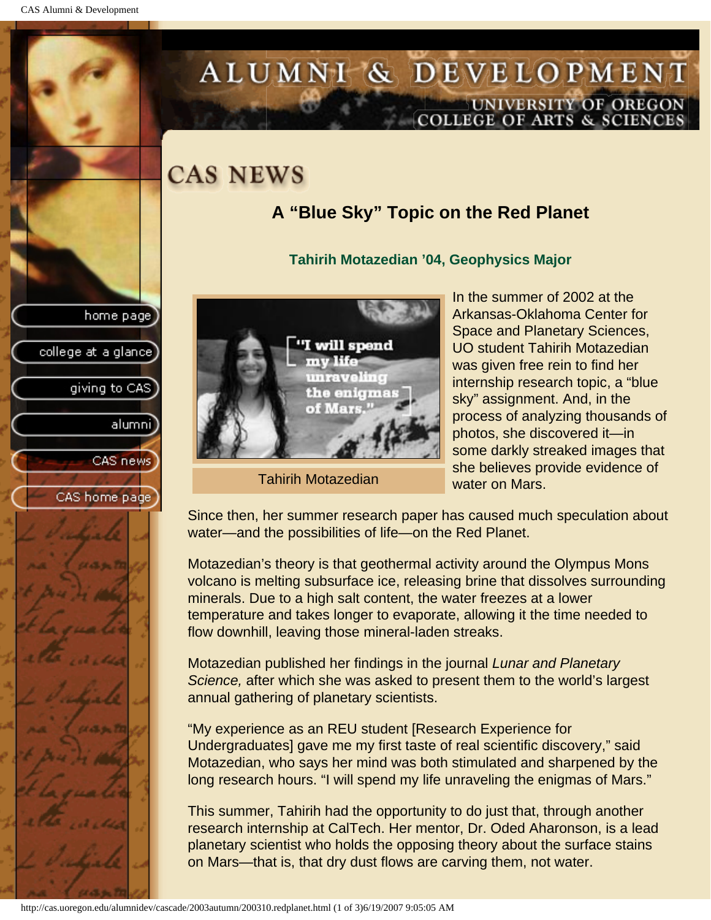college at a glance]

giving to CAS

alumnil

CAS news

CAS home page

# <span id="page-25-0"></span>ALUMNI & DEVELOPMENT UNIVERSITY OF OREGON<br>COLLEGE OF ARTS & SCIENCES

## **CAS NEWS**

## **A "Blue Sky" Topic on the Red Planet**

#### **Tahirih Motazedian '04, Geophysics Major**



Tahirih Motazedian

In the summer of 2002 at the Arkansas-Oklahoma Center for Space and Planetary Sciences, UO student Tahirih Motazedian was given free rein to find her internship research topic, a "blue sky" assignment. And, in the process of analyzing thousands of photos, she discovered it—in some darkly streaked images that she believes provide evidence of water on Mars.

Since then, her summer research paper has caused much speculation about water—and the possibilities of life—on the Red Planet.

Motazedian's theory is that geothermal activity around the Olympus Mons volcano is melting subsurface ice, releasing brine that dissolves surrounding minerals. Due to a high salt content, the water freezes at a lower temperature and takes longer to evaporate, allowing it the time needed to flow downhill, leaving those mineral-laden streaks.

Motazedian published her findings in the journal *Lunar and Planetary Science,* after which she was asked to present them to the world's largest annual gathering of planetary scientists.

"My experience as an REU student [Research Experience for Undergraduates] gave me my first taste of real scientific discovery," said Motazedian, who says her mind was both stimulated and sharpened by the long research hours. "I will spend my life unraveling the enigmas of Mars."

This summer, Tahirih had the opportunity to do just that, through another research internship at CalTech. Her mentor, Dr. Oded Aharonson, is a lead planetary scientist who holds the opposing theory about the surface stains on Mars—that is, that dry dust flows are carving them, not water.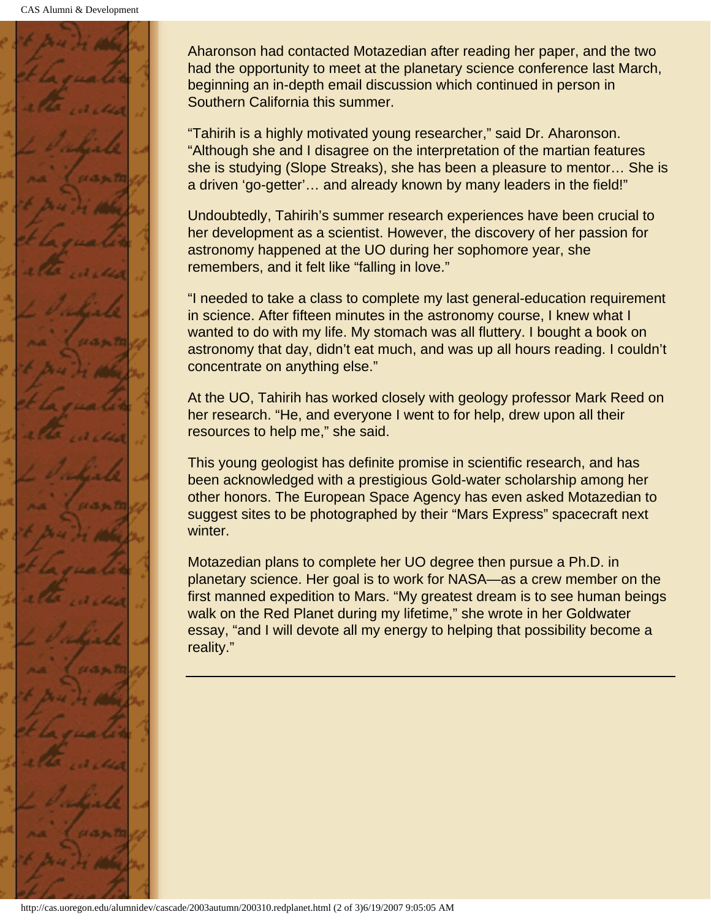

Aharonson had contacted Motazedian after reading her paper, and the two had the opportunity to meet at the planetary science conference last March, beginning an in-depth email discussion which continued in person in Southern California this summer.

"Tahirih is a highly motivated young researcher," said Dr. Aharonson. "Although she and I disagree on the interpretation of the martian features she is studying (Slope Streaks), she has been a pleasure to mentor… She is a driven 'go-getter'… and already known by many leaders in the field!"

Undoubtedly, Tahirih's summer research experiences have been crucial to her development as a scientist. However, the discovery of her passion for astronomy happened at the UO during her sophomore year, she remembers, and it felt like "falling in love."

"I needed to take a class to complete my last general-education requirement in science. After fifteen minutes in the astronomy course, I knew what I wanted to do with my life. My stomach was all fluttery. I bought a book on astronomy that day, didn't eat much, and was up all hours reading. I couldn't concentrate on anything else."

At the UO, Tahirih has worked closely with geology professor Mark Reed on her research. "He, and everyone I went to for help, drew upon all their resources to help me," she said.

This young geologist has definite promise in scientific research, and has been acknowledged with a prestigious Gold-water scholarship among her other honors. The European Space Agency has even asked Motazedian to suggest sites to be photographed by their "Mars Express" spacecraft next winter.

Motazedian plans to complete her UO degree then pursue a Ph.D. in planetary science. Her goal is to work for NASA—as a crew member on the first manned expedition to Mars. "My greatest dream is to see human beings walk on the Red Planet during my lifetime," she wrote in her Goldwater essay, "and I will devote all my energy to helping that possibility become a reality."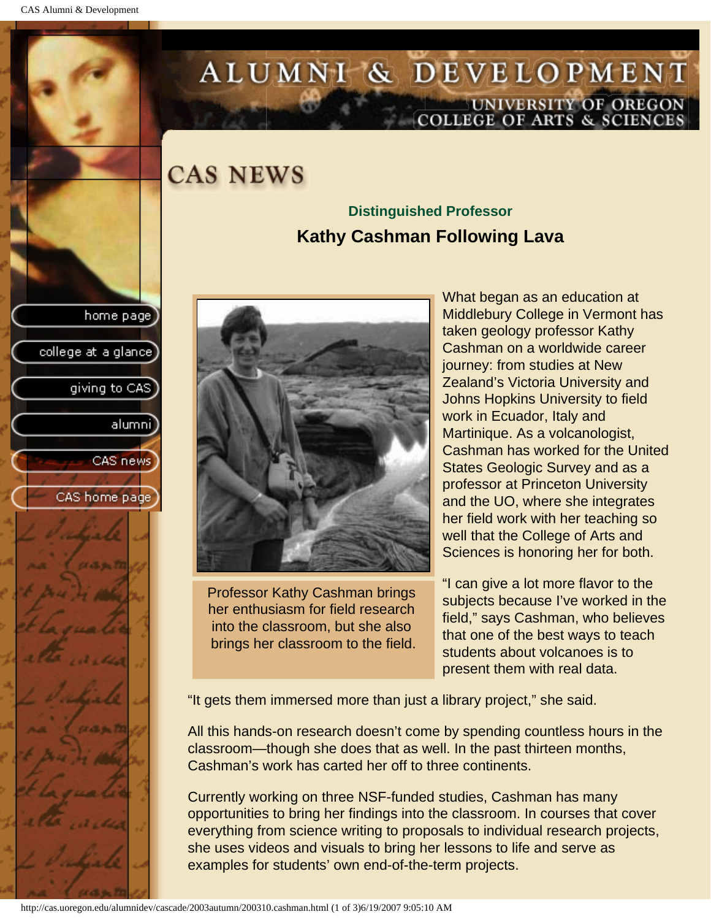college at a glance]

giving to CAS

alumnil

CAS news

CAS home page

# <span id="page-27-0"></span>ALUMNI & DEVELOPMENT UNIVERSITY OF OREGON<br>COLLEGE OF ARTS & SCIENCES

**CAS NEWS** 

### **Distinguished Professor Kathy Cashman Following Lava**



Professor Kathy Cashman brings her enthusiasm for field research into the classroom, but she also brings her classroom to the field. What began as an education at Middlebury College in Vermont has taken geology professor Kathy Cashman on a worldwide career journey: from studies at New Zealand's Victoria University and Johns Hopkins University to field work in Ecuador, Italy and Martinique. As a volcanologist, Cashman has worked for the United States Geologic Survey and as a professor at Princeton University and the UO, where she integrates her field work with her teaching so well that the College of Arts and Sciences is honoring her for both.

"I can give a lot more flavor to the subjects because I've worked in the field," says Cashman, who believes that one of the best ways to teach students about volcanoes is to present them with real data.

"It gets them immersed more than just a library project," she said.

All this hands-on research doesn't come by spending countless hours in the classroom—though she does that as well. In the past thirteen months, Cashman's work has carted her off to three continents.

Currently working on three NSF-funded studies, Cashman has many opportunities to bring her findings into the classroom. In courses that cover everything from science writing to proposals to individual research projects, she uses videos and visuals to bring her lessons to life and serve as examples for students' own end-of-the-term projects.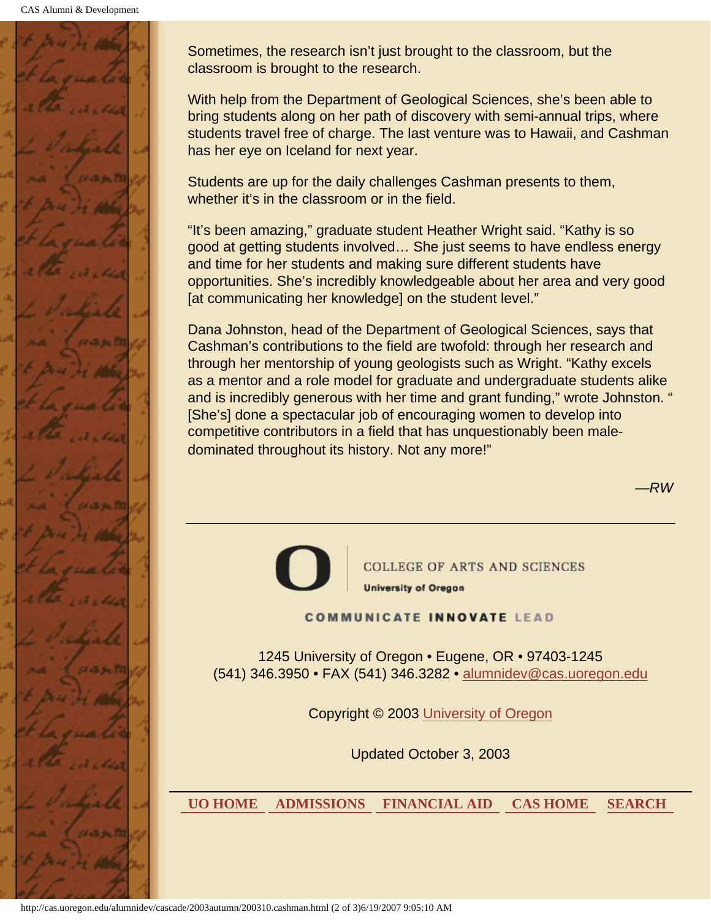

Sometimes, the research isn't just brought to the classroom, but the classroom is brought to the research.

With help from the Department of Geological Sciences, she's been able to bring students along on her path of discovery with semi-annual trips, where students travel free of charge. The last venture was to Hawaii, and Cashman has her eye on Iceland for next year.

Students are up for the daily challenges Cashman presents to them, whether it's in the classroom or in the field.

"It's been amazing," graduate student Heather Wright said. "Kathy is so good at getting students involved… She just seems to have endless energy and time for her students and making sure different students have opportunities. She's incredibly knowledgeable about her area and very good [at communicating her knowledge] on the student level."

Dana Johnston, head of the Department of Geological Sciences, says that Cashman's contributions to the field are twofold: through her research and through her mentorship of young geologists such as Wright. "Kathy excels as a mentor and a role model for graduate and undergraduate students alike and is incredibly generous with her time and grant funding," wrote Johnston. " [She's] done a spectacular job of encouraging women to develop into competitive contributors in a field that has unquestionably been maledominated throughout its history. Not any more!"

—*RW*



**COLLEGE OF ARTS AND SCIENCES University of Oregon** 

**COMMUNICATE INNOVATE LEAD** 

1245 University of Oregon • Eugene, OR • 97403-1245 (541) 346.3950 • FAX (541) 346.3282 • alumnidev@cas.uoregon.edu

Copyright © 2003 University of Oregon

Updated October 3, 2003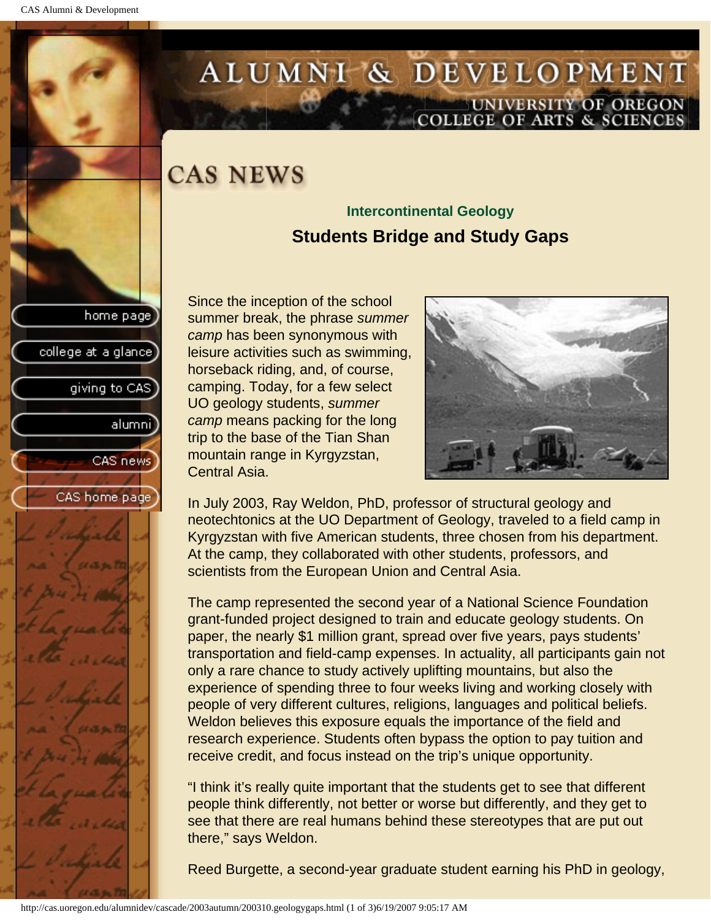college at a glance

giving to CAS

alumni

CAS news

CAS home page

# <span id="page-29-0"></span>ALUMNI & DEVELOPMENT UNIVERSITY OF OREGON<br>COLLEGE OF ARTS & SCIENCES

## **CAS NEWS**

### **Intercontinental Geology Students Bridge and Study Gaps**

Since the inception of the school summer break, the phrase *summer camp* has been synonymous with leisure activities such as swimming, horseback riding, and, of course, camping. Today, for a few select UO geology students, *summer camp* means packing for the long trip to the base of the Tian Shan mountain range in Kyrgyzstan, Central Asia.



In July 2003, Ray Weldon, PhD, professor of structural geology and neotechtonics at the UO Department of Geology, traveled to a field camp in Kyrgyzstan with five American students, three chosen from his department. At the camp, they collaborated with other students, professors, and scientists from the European Union and Central Asia.

The camp represented the second year of a National Science Foundation grant-funded project designed to train and educate geology students. On paper, the nearly \$1 million grant, spread over five years, pays students' transportation and field-camp expenses. In actuality, all participants gain not only a rare chance to study actively uplifting mountains, but also the experience of spending three to four weeks living and working closely with people of very different cultures, religions, languages and political beliefs. Weldon believes this exposure equals the importance of the field and research experience. Students often bypass the option to pay tuition and receive credit, and focus instead on the trip's unique opportunity.

"I think it's really quite important that the students get to see that different people think differently, not better or worse but differently, and they get to see that there are real humans behind these stereotypes that are put out there," says Weldon.

Reed Burgette, a second-year graduate student earning his PhD in geology,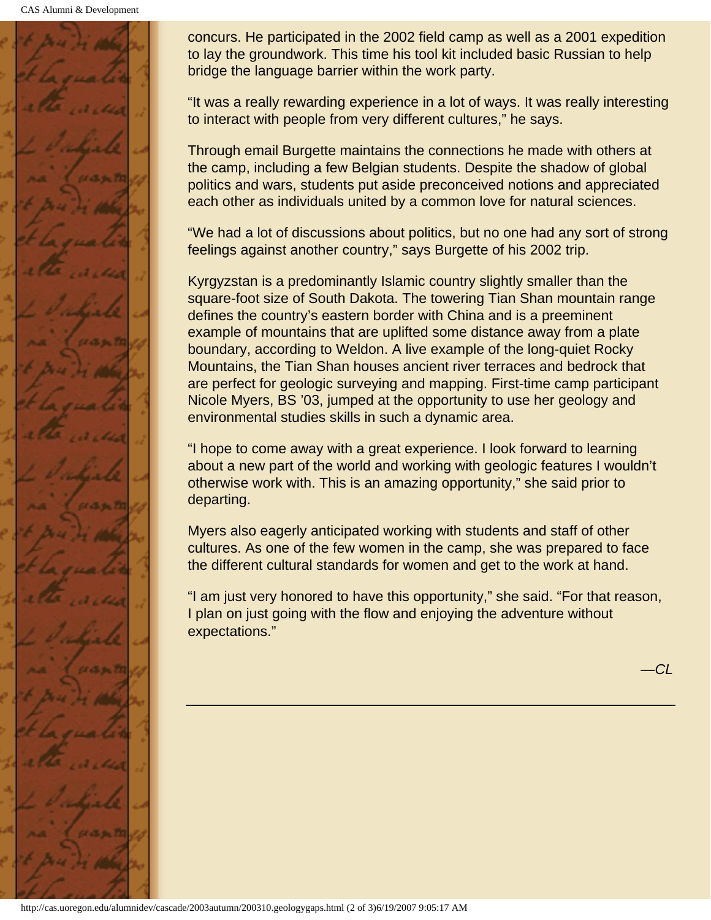CAS Alumni & Development



concurs. He participated in the 2002 field camp as well as a 2001 expedition to lay the groundwork. This time his tool kit included basic Russian to help bridge the language barrier within the work party.

"It was a really rewarding experience in a lot of ways. It was really interesting to interact with people from very different cultures," he says.

Through email Burgette maintains the connections he made with others at the camp, including a few Belgian students. Despite the shadow of global politics and wars, students put aside preconceived notions and appreciated each other as individuals united by a common love for natural sciences.

"We had a lot of discussions about politics, but no one had any sort of strong feelings against another country," says Burgette of his 2002 trip.

Kyrgyzstan is a predominantly Islamic country slightly smaller than the square-foot size of South Dakota. The towering Tian Shan mountain range defines the country's eastern border with China and is a preeminent example of mountains that are uplifted some distance away from a plate boundary, according to Weldon. A live example of the long-quiet Rocky Mountains, the Tian Shan houses ancient river terraces and bedrock that are perfect for geologic surveying and mapping. First-time camp participant Nicole Myers, BS '03, jumped at the opportunity to use her geology and environmental studies skills in such a dynamic area.

"I hope to come away with a great experience. I look forward to learning about a new part of the world and working with geologic features I wouldn't otherwise work with. This is an amazing opportunity," she said prior to departing.

Myers also eagerly anticipated working with students and staff of other cultures. As one of the few women in the camp, she was prepared to face the different cultural standards for women and get to the work at hand.

"I am just very honored to have this opportunity," she said. "For that reason, I plan on just going with the flow and enjoying the adventure without expectations."

—*CL*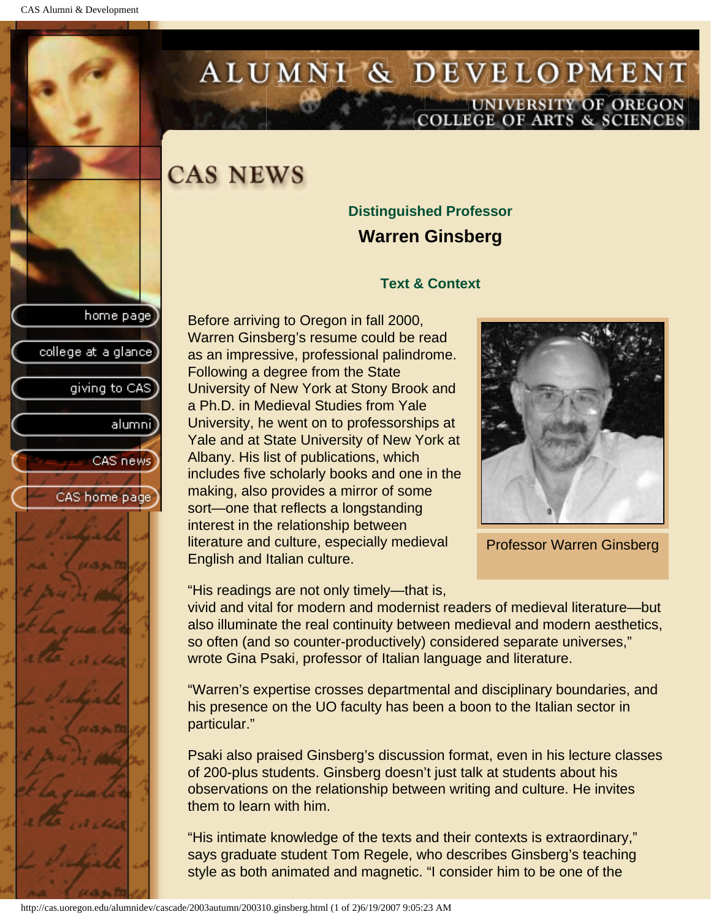<span id="page-31-0"></span>

# ALUMNI & DEVELOPMENT UNIVERSITY OF OREGON<br>COLLEGE OF ARTS & SCIENCES

## **CAS NEWS**

### **Distinguished Professor Warren Ginsberg**

#### **Text & Context**

Before arriving to Oregon in fall 2000, Warren Ginsberg's resume could be read as an impressive, professional palindrome. Following a degree from the State University of New York at Stony Brook and a Ph.D. in Medieval Studies from Yale University, he went on to professorships at Yale and at State University of New York at Albany. His list of publications, which includes five scholarly books and one in the making, also provides a mirror of some sort—one that reflects a longstanding interest in the relationship between literature and culture, especially medieval English and Italian culture.



Professor Warren Ginsberg

"His readings are not only timely—that is,

vivid and vital for modern and modernist readers of medieval literature—but also illuminate the real continuity between medieval and modern aesthetics, so often (and so counter-productively) considered separate universes," wrote Gina Psaki, professor of Italian language and literature.

"Warren's expertise crosses departmental and disciplinary boundaries, and his presence on the UO faculty has been a boon to the Italian sector in particular."

Psaki also praised Ginsberg's discussion format, even in his lecture classes of 200-plus students. Ginsberg doesn't just talk at students about his observations on the relationship between writing and culture. He invites them to learn with him.

"His intimate knowledge of the texts and their contexts is extraordinary," says graduate student Tom Regele, who describes Ginsberg's teaching style as both animated and magnetic. "I consider him to be one of the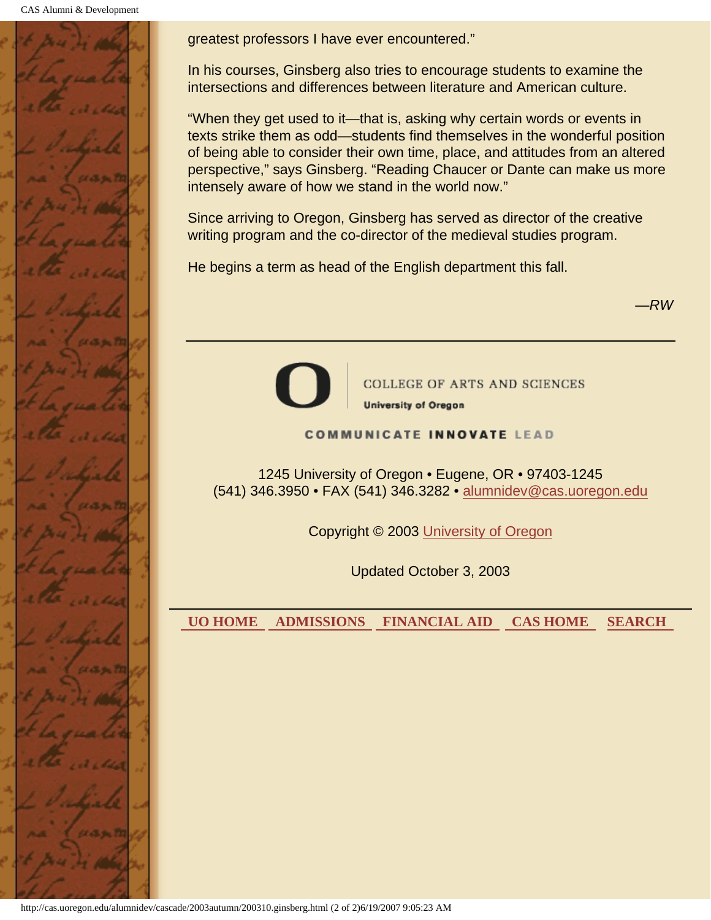CAS Alumni & Development



greatest professors I have ever encountered."

In his courses, Ginsberg also tries to encourage students to examine the intersections and differences between literature and American culture.

"When they get used to it—that is, asking why certain words or events in texts strike them as odd—students find themselves in the wonderful position of being able to consider their own time, place, and attitudes from an altered perspective," says Ginsberg. "Reading Chaucer or Dante can make us more intensely aware of how we stand in the world now."

Since arriving to Oregon, Ginsberg has served as director of the creative writing program and the co-director of the medieval studies program.

He begins a term as head of the English department this fall.

—*RW*



**COLLEGE OF ARTS AND SCIENCES University of Oregon** 

#### **COMMUNICATE INNOVATE LEAD**

1245 University of Oregon • Eugene, OR • 97403-1245 (541) 346.3950 • FAX (541) 346.3282 • alumnidev@cas.uoregon.edu

Copyright © 2003 University of Oregon

Updated October 3, 2003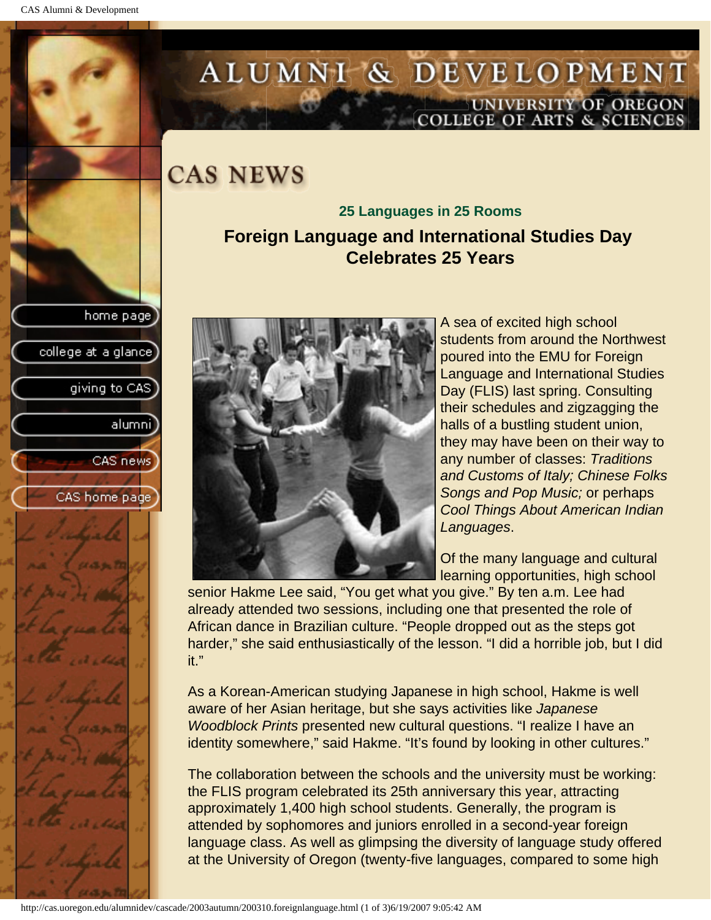college at a glance]

giving to CAS

alumnil

CAS news

CAS home page

# <span id="page-33-0"></span>ALUMNI & DEVELOPMENT UNIVERSITY OF OREGON<br>COLLEGE OF ARTS & SCIENCES

**CAS NEWS** 

**25 Languages in 25 Rooms Foreign Language and International Studies Day Celebrates 25 Years**



A sea of excited high school students from around the Northwest poured into the EMU for Foreign Language and International Studies Day (FLIS) last spring. Consulting their schedules and zigzagging the halls of a bustling student union, they may have been on their way to any number of classes: *Traditions and Customs of Italy; Chinese Folks Songs and Pop Music;* or perhaps *Cool Things About American Indian Languages*.

Of the many language and cultural learning opportunities, high school

senior Hakme Lee said, "You get what you give." By ten a.m. Lee had already attended two sessions, including one that presented the role of African dance in Brazilian culture. "People dropped out as the steps got harder," she said enthusiastically of the lesson. "I did a horrible job, but I did it."

As a Korean-American studying Japanese in high school, Hakme is well aware of her Asian heritage, but she says activities like *Japanese Woodblock Prints* presented new cultural questions. "I realize I have an identity somewhere," said Hakme. "It's found by looking in other cultures."

The collaboration between the schools and the university must be working: the FLIS program celebrated its 25th anniversary this year, attracting approximately 1,400 high school students. Generally, the program is attended by sophomores and juniors enrolled in a second-year foreign language class. As well as glimpsing the diversity of language study offered at the University of Oregon (twenty-five languages, compared to some high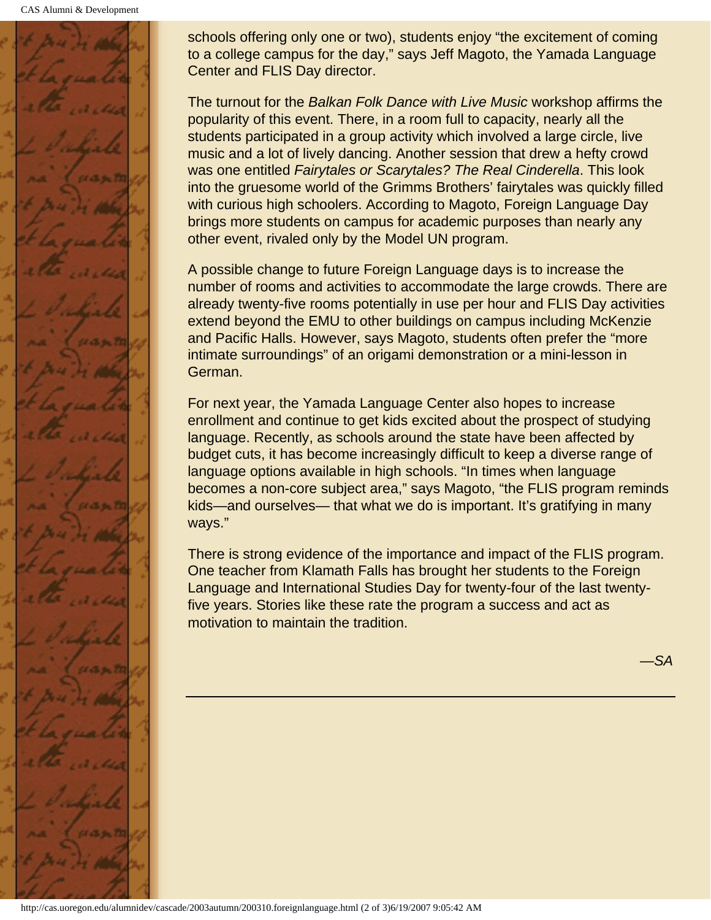CAS Alumni & Development



schools offering only one or two), students enjoy "the excitement of coming to a college campus for the day," says Jeff Magoto, the Yamada Language Center and FLIS Day director.

The turnout for the *Balkan Folk Dance with Live Music* workshop affirms the popularity of this event. There, in a room full to capacity, nearly all the students participated in a group activity which involved a large circle, live music and a lot of lively dancing. Another session that drew a hefty crowd was one entitled *Fairytales or Scarytales? The Real Cinderella*. This look into the gruesome world of the Grimms Brothers' fairytales was quickly filled with curious high schoolers. According to Magoto, Foreign Language Day brings more students on campus for academic purposes than nearly any other event, rivaled only by the Model UN program.

A possible change to future Foreign Language days is to increase the number of rooms and activities to accommodate the large crowds. There are already twenty-five rooms potentially in use per hour and FLIS Day activities extend beyond the EMU to other buildings on campus including McKenzie and Pacific Halls. However, says Magoto, students often prefer the "more intimate surroundings" of an origami demonstration or a mini-lesson in German.

For next year, the Yamada Language Center also hopes to increase enrollment and continue to get kids excited about the prospect of studying language. Recently, as schools around the state have been affected by budget cuts, it has become increasingly difficult to keep a diverse range of language options available in high schools. "In times when language becomes a non-core subject area," says Magoto, "the FLIS program reminds kids—and ourselves— that what we do is important. It's gratifying in many ways."

There is strong evidence of the importance and impact of the FLIS program. One teacher from Klamath Falls has brought her students to the Foreign Language and International Studies Day for twenty-four of the last twentyfive years. Stories like these rate the program a success and act as motivation to maintain the tradition.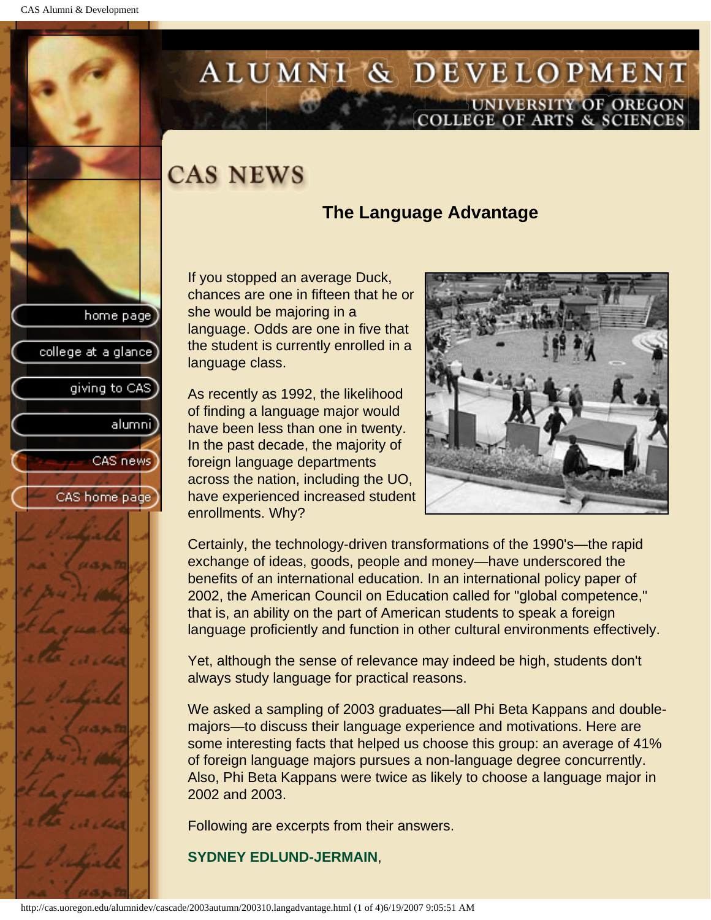college at a glance

giving to CAS

alumnil

CAS news

CAS home page

# <span id="page-35-0"></span>ALUMNI & DEVELOPMENT UNIVERSITY OF OREGON<br>COLLEGE OF ARTS & SCIENCES

## **CAS NEWS**

### **The Language Advantage**

If you stopped an average Duck, chances are one in fifteen that he or she would be majoring in a language. Odds are one in five that the student is currently enrolled in a language class.

As recently as 1992, the likelihood of finding a language major would have been less than one in twenty. In the past decade, the majority of foreign language departments across the nation, including the UO, have experienced increased student enrollments. Why?



Certainly, the technology-driven transformations of the 1990's—the rapid exchange of ideas, goods, people and money—have underscored the benefits of an international education. In an international policy paper of 2002, the American Council on Education called for "global competence," that is, an ability on the part of American students to speak a foreign language proficiently and function in other cultural environments effectively.

Yet, although the sense of relevance may indeed be high, students don't always study language for practical reasons.

We asked a sampling of 2003 graduates—all Phi Beta Kappans and doublemajors—to discuss their language experience and motivations. Here are some interesting facts that helped us choose this group: an average of 41% of foreign language majors pursues a non-language degree concurrently. Also, Phi Beta Kappans were twice as likely to choose a language major in 2002 and 2003.

Following are excerpts from their answers.

**SYDNEY EDLUND-JERMAIN**,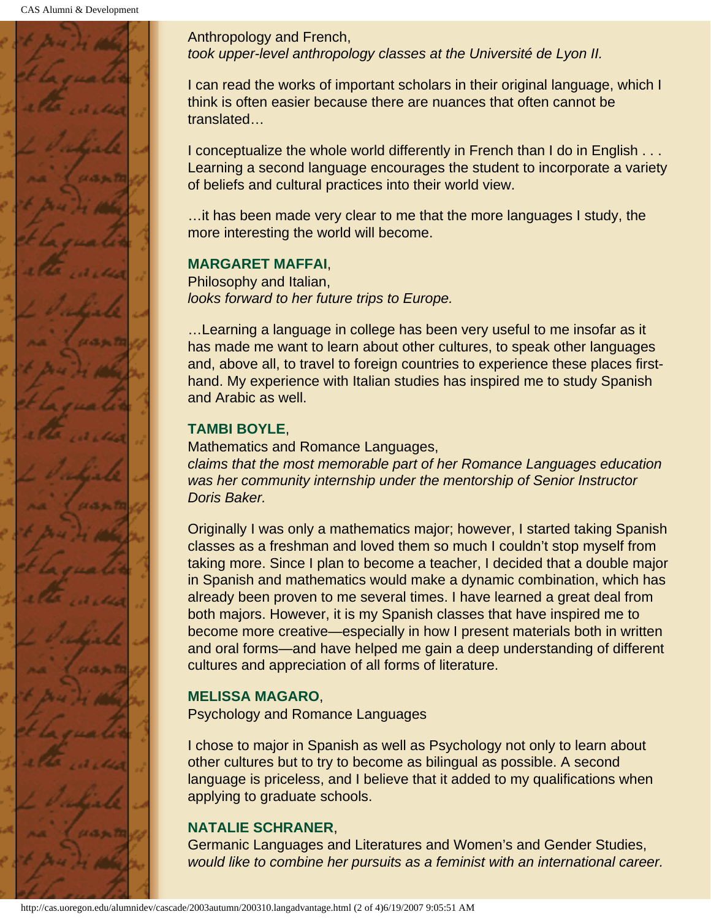

Anthropology and French, *took upper-level anthropology classes at the Université de Lyon II.*

I can read the works of important scholars in their original language, which I think is often easier because there are nuances that often cannot be translated…

I conceptualize the whole world differently in French than I do in English . . . Learning a second language encourages the student to incorporate a variety of beliefs and cultural practices into their world view.

…it has been made very clear to me that the more languages I study, the more interesting the world will become.

### **MARGARET MAFFAI**,

Philosophy and Italian, *looks forward to her future trips to Europe.*

…Learning a language in college has been very useful to me insofar as it has made me want to learn about other cultures, to speak other languages and, above all, to travel to foreign countries to experience these places firsthand. My experience with Italian studies has inspired me to study Spanish and Arabic as well.

## **TAMBI BOYLE**,

Mathematics and Romance Languages, *claims that the most memorable part of her Romance Languages education was her community internship under the mentorship of Senior Instructor Doris Baker.*

Originally I was only a mathematics major; however, I started taking Spanish classes as a freshman and loved them so much I couldn't stop myself from taking more. Since I plan to become a teacher, I decided that a double major in Spanish and mathematics would make a dynamic combination, which has already been proven to me several times. I have learned a great deal from both majors. However, it is my Spanish classes that have inspired me to become more creative—especially in how I present materials both in written and oral forms—and have helped me gain a deep understanding of different cultures and appreciation of all forms of literature.

### **MELISSA MAGARO**,

Psychology and Romance Languages

I chose to major in Spanish as well as Psychology not only to learn about other cultures but to try to become as bilingual as possible. A second language is priceless, and I believe that it added to my qualifications when applying to graduate schools.

### **NATALIE SCHRANER**,

Germanic Languages and Literatures and Women's and Gender Studies, *would like to combine her pursuits as a feminist with an international career.*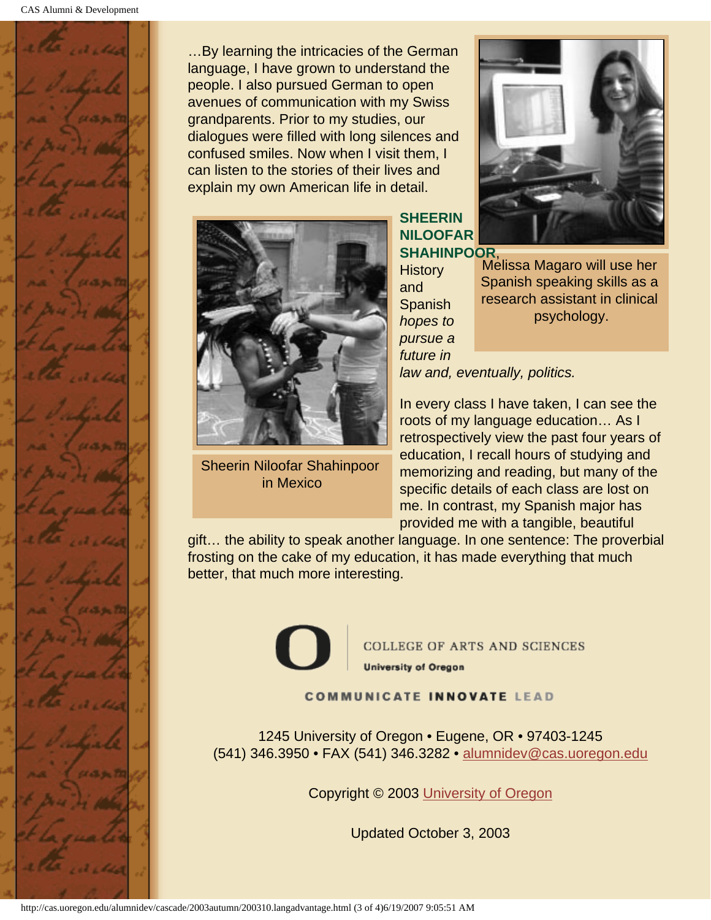

…By learning the intricacies of the German language, I have grown to understand the people. I also pursued German to open avenues of communication with my Swiss grandparents. Prior to my studies, our dialogues were filled with long silences and confused smiles. Now when I visit them, I can listen to the stories of their lives and explain my own American life in detail.



Sheerin Niloofar Shahinpoor in Mexico



**SHEERIN NILOOFAR SHAHINPOOR**,

**History** and **Spanish** *hopes to pursue a future in* 

Melissa Magaro will use her Spanish speaking skills as a research assistant in clinical psychology.

*law and, eventually, politics.*

In every class I have taken, I can see the roots of my language education… As I retrospectively view the past four years of education, I recall hours of studying and memorizing and reading, but many of the specific details of each class are lost on me. In contrast, my Spanish major has provided me with a tangible, beautiful

gift… the ability to speak another language. In one sentence: The proverbial frosting on the cake of my education, it has made everything that much better, that much more interesting.



**COLLEGE OF ARTS AND SCIENCES University of Oregon** 

**COMMUNICATE INNOVATE LEAD** 

1245 University of Oregon • Eugene, OR • 97403-1245 (541) 346.3950 • FAX (541) 346.3282 • alumnidev@cas.uoregon.edu

Copyright © 2003 University of Oregon

Updated October 3, 2003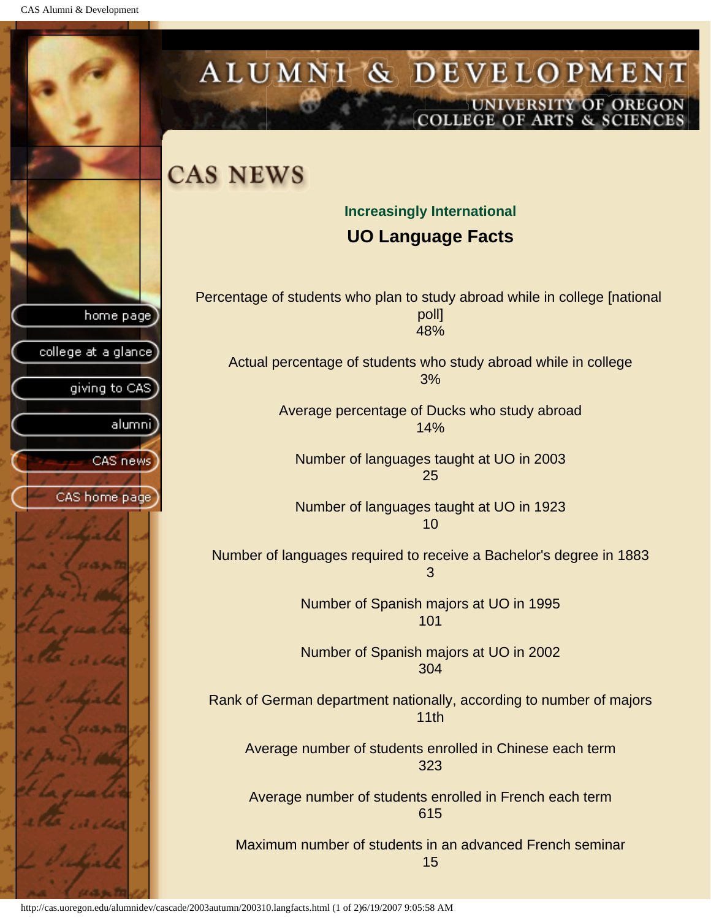CAS Alumni & Development

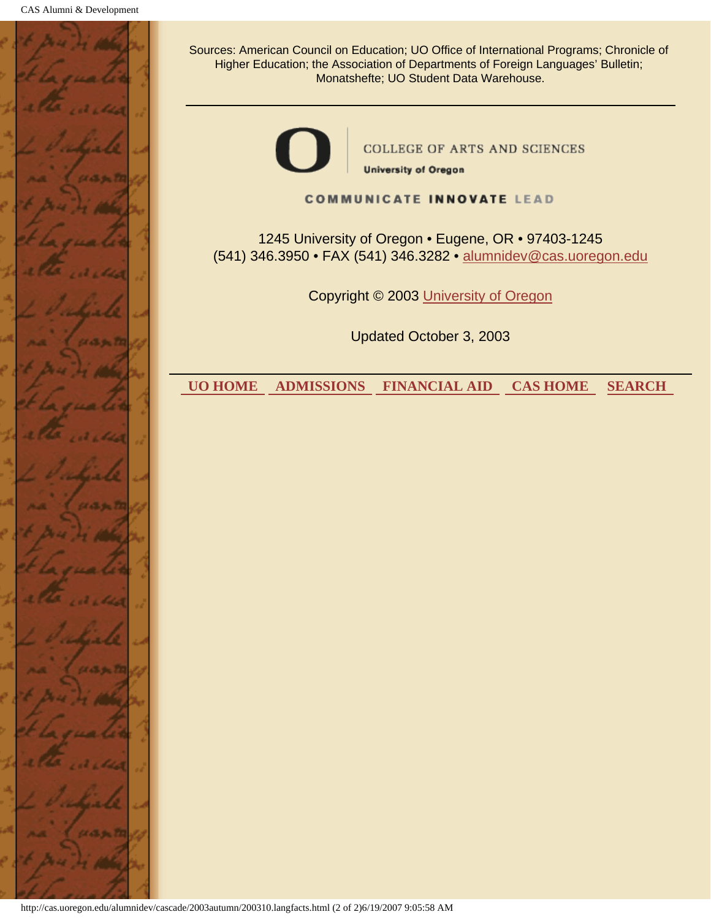

http://cas.uoregon.edu/alumnidev/cascade/2003autumn/200310.langfacts.html (2 of 2)6/19/2007 9:05:58 AM

Sources: American Council on Education; UO Office of International Programs; Chronicle of Higher Education; the Association of Departments of Foreign Languages' Bulletin; Monatshefte; UO Student Data Warehouse.



**COLLEGE OF ARTS AND SCIENCES** 

**University of Oregon** 

#### **COMMUNICATE INNOVATE LEAD**

1245 University of Oregon • Eugene, OR • 97403-1245 (541) 346.3950 • FAX (541) 346.3282 • alumnidev@cas.uoregon.edu

Copyright © 2003 University of Oregon

Updated October 3, 2003

 **UO HOME ADMISSIONS FINANCIAL AID CAS HOME SEARCH**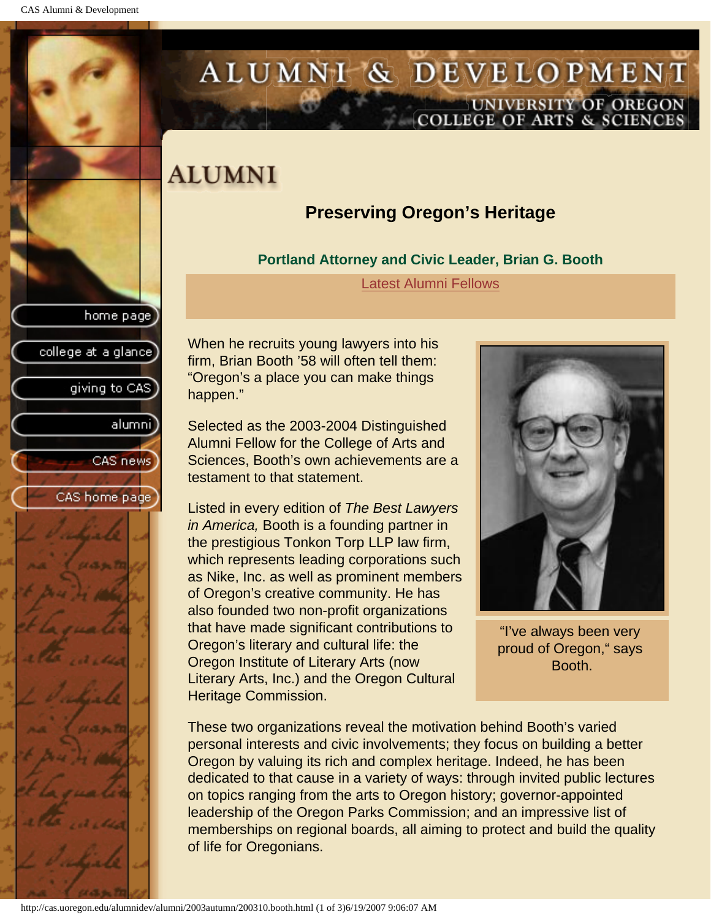home page

college at a glance]

giving to CAS

alumni]

CAS news

CAS home page

# ALUMNI & DEVELOPMENT UNIVERSITY OF OREGON<br>COLLEGE OF ARTS & SCIENCES

# **ALUMNI**

# **Preserving Oregon's Heritage**

### **Portland Attorney and Civic Leader, Brian G. Booth**

Latest Alumni Fellows

When he recruits young lawyers into his firm, Brian Booth '58 will often tell them: "Oregon's a place you can make things happen."

Selected as the 2003-2004 Distinguished Alumni Fellow for the College of Arts and Sciences, Booth's own achievements are a testament to that statement.

Listed in every edition of *The Best Lawyers in America,* Booth is a founding partner in the prestigious Tonkon Torp LLP law firm, which represents leading corporations such as Nike, Inc. as well as prominent members of Oregon's creative community. He has also founded two non-profit organizations that have made significant contributions to Oregon's literary and cultural life: the Oregon Institute of Literary Arts (now Literary Arts, Inc.) and the Oregon Cultural Heritage Commission.



"I've always been very proud of Oregon," says Booth.

These two organizations reveal the motivation behind Booth's varied personal interests and civic involvements; they focus on building a better Oregon by valuing its rich and complex heritage. Indeed, he has been dedicated to that cause in a variety of ways: through invited public lectures on topics ranging from the arts to Oregon history; governor-appointed leadership of the Oregon Parks Commission; and an impressive list of memberships on regional boards, all aiming to protect and build the quality of life for Oregonians.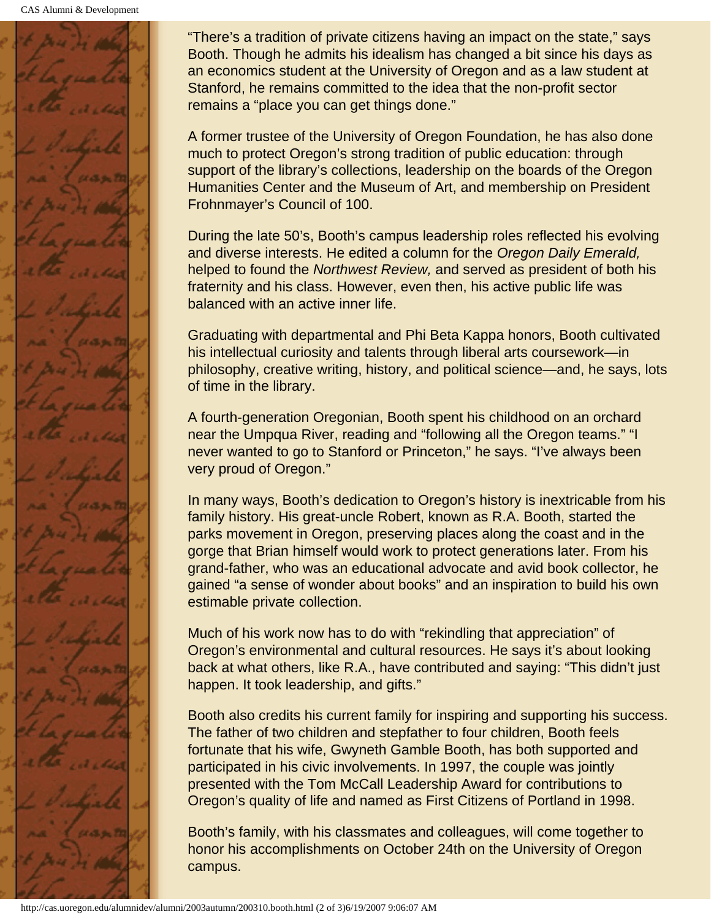

"There's a tradition of private citizens having an impact on the state," says Booth. Though he admits his idealism has changed a bit since his days as an economics student at the University of Oregon and as a law student at Stanford, he remains committed to the idea that the non-profit sector remains a "place you can get things done."

A former trustee of the University of Oregon Foundation, he has also done much to protect Oregon's strong tradition of public education: through support of the library's collections, leadership on the boards of the Oregon Humanities Center and the Museum of Art, and membership on President Frohnmayer's Council of 100.

During the late 50's, Booth's campus leadership roles reflected his evolving and diverse interests. He edited a column for the *Oregon Daily Emerald,* helped to found the *Northwest Review,* and served as president of both his fraternity and his class. However, even then, his active public life was balanced with an active inner life.

Graduating with departmental and Phi Beta Kappa honors, Booth cultivated his intellectual curiosity and talents through liberal arts coursework—in philosophy, creative writing, history, and political science—and, he says, lots of time in the library.

A fourth-generation Oregonian, Booth spent his childhood on an orchard near the Umpqua River, reading and "following all the Oregon teams." "I never wanted to go to Stanford or Princeton," he says. "I've always been very proud of Oregon."

In many ways, Booth's dedication to Oregon's history is inextricable from his family history. His great-uncle Robert, known as R.A. Booth, started the parks movement in Oregon, preserving places along the coast and in the gorge that Brian himself would work to protect generations later. From his grand-father, who was an educational advocate and avid book collector, he gained "a sense of wonder about books" and an inspiration to build his own estimable private collection.

Much of his work now has to do with "rekindling that appreciation" of Oregon's environmental and cultural resources. He says it's about looking back at what others, like R.A., have contributed and saying: "This didn't just happen. It took leadership, and gifts."

Booth also credits his current family for inspiring and supporting his success. The father of two children and stepfather to four children, Booth feels fortunate that his wife, Gwyneth Gamble Booth, has both supported and participated in his civic involvements. In 1997, the couple was jointly presented with the Tom McCall Leadership Award for contributions to Oregon's quality of life and named as First Citizens of Portland in 1998.

Booth's family, with his classmates and colleagues, will come together to honor his accomplishments on October 24th on the University of Oregon campus.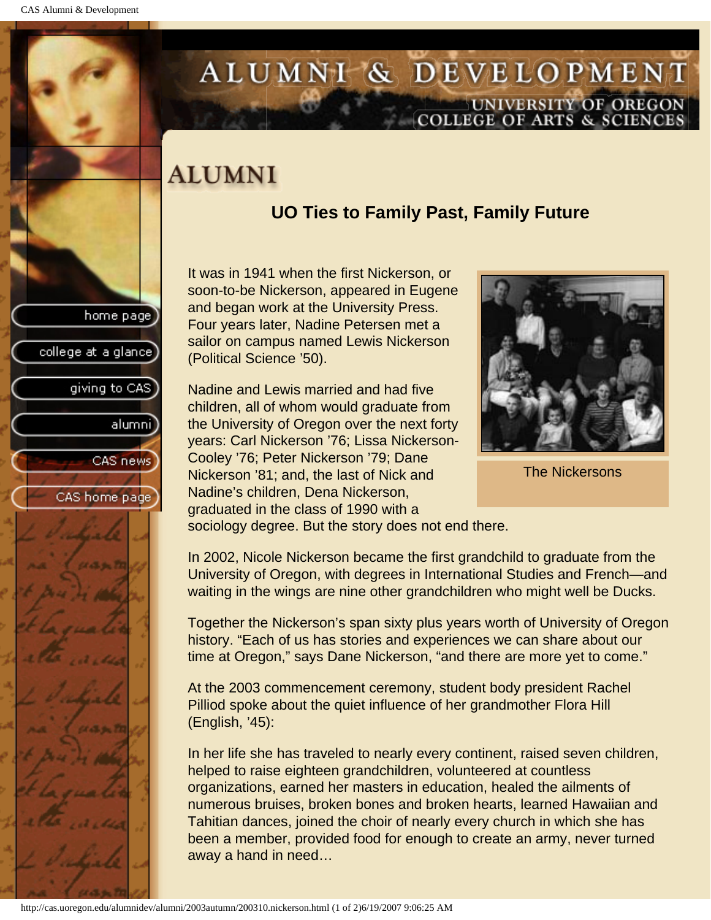home page

giving to CAS

alumnil

CAS news

CAS home page

college at a glance

# ALUMNI & DEVELOPMENT UNIVERSITY OF OREGON<br>COLLEGE OF ARTS & SCIENCES

# **ALUMNI**

# **UO Ties to Family Past, Family Future**

It was in 1941 when the first Nickerson, or soon-to-be Nickerson, appeared in Eugene and began work at the University Press. Four years later, Nadine Petersen met a sailor on campus named Lewis Nickerson (Political Science '50).

Nadine and Lewis married and had five children, all of whom would graduate from the University of Oregon over the next forty years: Carl Nickerson '76; Lissa Nickerson-Cooley '76; Peter Nickerson '79; Dane Nickerson '81; and, the last of Nick and Nadine's children, Dena Nickerson, graduated in the class of 1990 with a sociology degree. But the story does not end there.



The Nickersons

In 2002, Nicole Nickerson became the first grandchild to graduate from the University of Oregon, with degrees in International Studies and French—and waiting in the wings are nine other grandchildren who might well be Ducks.

Together the Nickerson's span sixty plus years worth of University of Oregon history. "Each of us has stories and experiences we can share about our time at Oregon," says Dane Nickerson, "and there are more yet to come."

At the 2003 commencement ceremony, student body president Rachel Pilliod spoke about the quiet influence of her grandmother Flora Hill (English, '45):

In her life she has traveled to nearly every continent, raised seven children, helped to raise eighteen grandchildren, volunteered at countless organizations, earned her masters in education, healed the ailments of numerous bruises, broken bones and broken hearts, learned Hawaiian and Tahitian dances, joined the choir of nearly every church in which she has been a member, provided food for enough to create an army, never turned away a hand in need…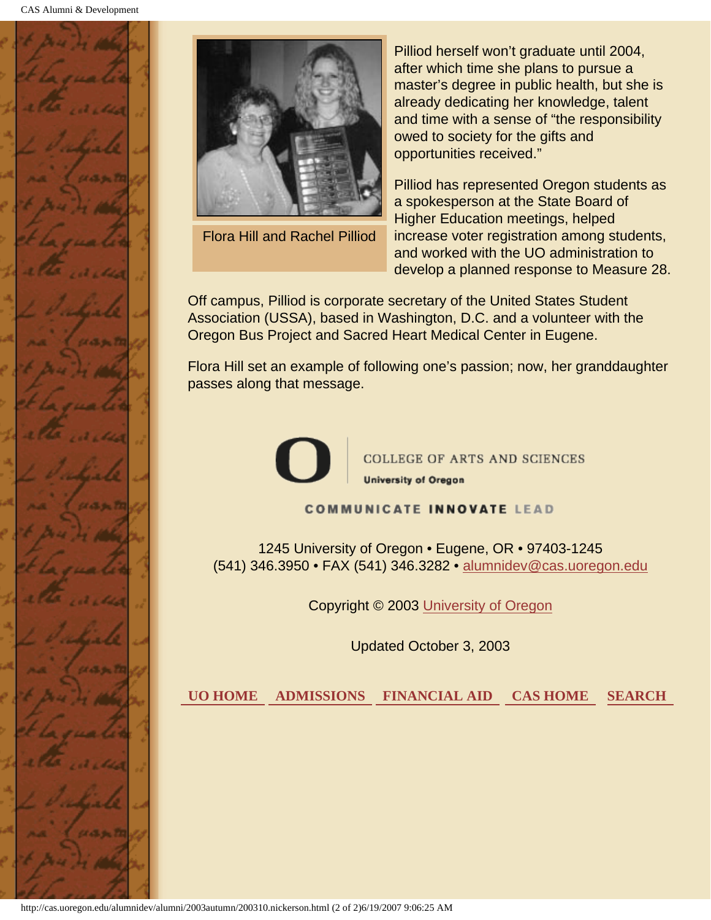



Flora Hill and Rachel Pilliod

Pilliod herself won't graduate until 2004, after which time she plans to pursue a master's degree in public health, but she is already dedicating her knowledge, talent and time with a sense of "the responsibility owed to society for the gifts and opportunities received."

Pilliod has represented Oregon students as a spokesperson at the State Board of Higher Education meetings, helped increase voter registration among students, and worked with the UO administration to develop a planned response to Measure 28.

Off campus, Pilliod is corporate secretary of the United States Student Association (USSA), based in Washington, D.C. and a volunteer with the Oregon Bus Project and Sacred Heart Medical Center in Eugene.

Flora Hill set an example of following one's passion; now, her granddaughter passes along that message.



COLLEGE OF ARTS AND SCIENCES **University of Oregon** 

**COMMUNICATE INNOVATE LEAD** 

1245 University of Oregon • Eugene, OR • 97403-1245 (541) 346.3950 • FAX (541) 346.3282 • alumnidev@cas.uoregon.edu

Copyright © 2003 University of Oregon

Updated October 3, 2003

 **UO HOME ADMISSIONS FINANCIAL AID CAS HOME SEARCH**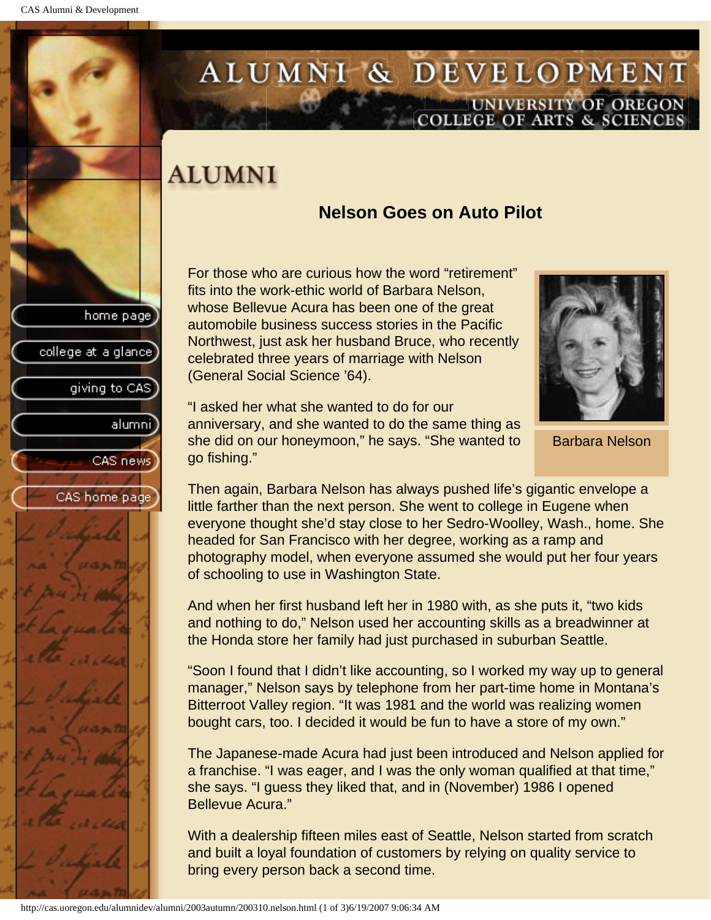home page

college at a glance

giving to CAS

alumnil

CAS news

CAS home page

# ALUMNI & DEVELOPMENT UNIVERSITY OF OREGON<br>COLLEGE OF ARTS & SCIENCES

# **ALUMNI**

# **Nelson Goes on Auto Pilot**

For those who are curious how the word "retirement" fits into the work-ethic world of Barbara Nelson, whose Bellevue Acura has been one of the great automobile business success stories in the Pacific Northwest, just ask her husband Bruce, who recently celebrated three years of marriage with Nelson (General Social Science '64).



Barbara Nelson

"I asked her what she wanted to do for our anniversary, and she wanted to do the same thing as she did on our honeymoon," he says. "She wanted to go fishing."

Then again, Barbara Nelson has always pushed life's gigantic envelope a little farther than the next person. She went to college in Eugene when everyone thought she'd stay close to her Sedro-Woolley, Wash., home. She headed for San Francisco with her degree, working as a ramp and photography model, when everyone assumed she would put her four years of schooling to use in Washington State.

And when her first husband left her in 1980 with, as she puts it, "two kids and nothing to do," Nelson used her accounting skills as a breadwinner at the Honda store her family had just purchased in suburban Seattle.

"Soon I found that I didn't like accounting, so I worked my way up to general manager," Nelson says by telephone from her part-time home in Montana's Bitterroot Valley region. "It was 1981 and the world was realizing women bought cars, too. I decided it would be fun to have a store of my own."

The Japanese-made Acura had just been introduced and Nelson applied for a franchise. "I was eager, and I was the only woman qualified at that time," she says. "I guess they liked that, and in (November) 1986 I opened Bellevue Acura."

With a dealership fifteen miles east of Seattle, Nelson started from scratch and built a loyal foundation of customers by relying on quality service to bring every person back a second time.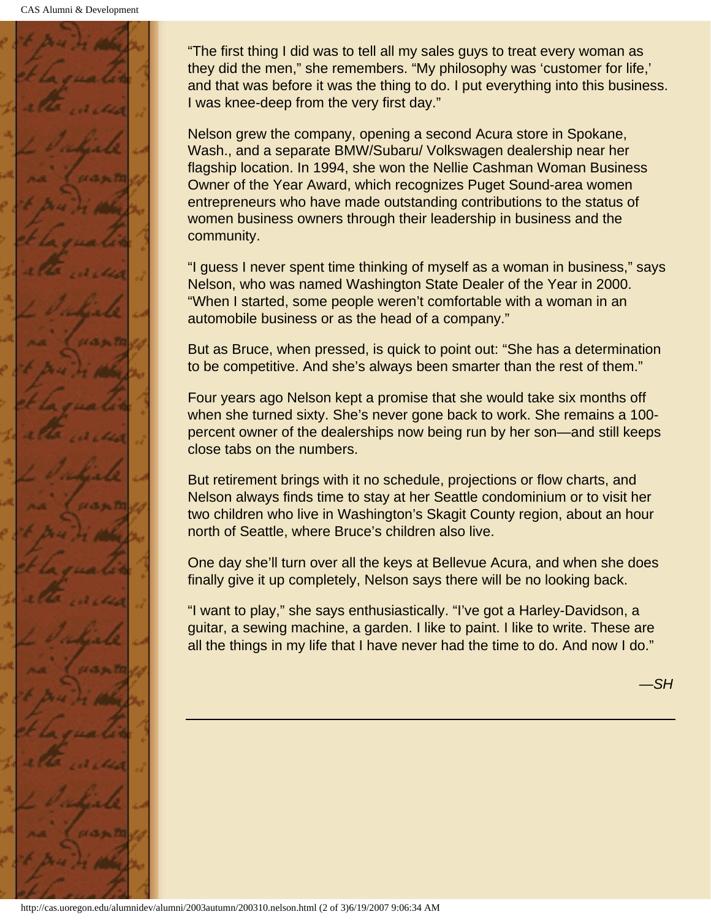

"The first thing I did was to tell all my sales guys to treat every woman as they did the men," she remembers. "My philosophy was 'customer for life,' and that was before it was the thing to do. I put everything into this business. I was knee-deep from the very first day."

Nelson grew the company, opening a second Acura store in Spokane, Wash., and a separate BMW/Subaru/ Volkswagen dealership near her flagship location. In 1994, she won the Nellie Cashman Woman Business Owner of the Year Award, which recognizes Puget Sound-area women entrepreneurs who have made outstanding contributions to the status of women business owners through their leadership in business and the community.

"I guess I never spent time thinking of myself as a woman in business," says Nelson, who was named Washington State Dealer of the Year in 2000. "When I started, some people weren't comfortable with a woman in an automobile business or as the head of a company."

But as Bruce, when pressed, is quick to point out: "She has a determination to be competitive. And she's always been smarter than the rest of them."

Four years ago Nelson kept a promise that she would take six months off when she turned sixty. She's never gone back to work. She remains a 100 percent owner of the dealerships now being run by her son—and still keeps close tabs on the numbers.

But retirement brings with it no schedule, projections or flow charts, and Nelson always finds time to stay at her Seattle condominium or to visit her two children who live in Washington's Skagit County region, about an hour north of Seattle, where Bruce's children also live.

One day she'll turn over all the keys at Bellevue Acura, and when she does finally give it up completely, Nelson says there will be no looking back.

"I want to play," she says enthusiastically. "I've got a Harley-Davidson, a guitar, a sewing machine, a garden. I like to paint. I like to write. These are all the things in my life that I have never had the time to do. And now I do."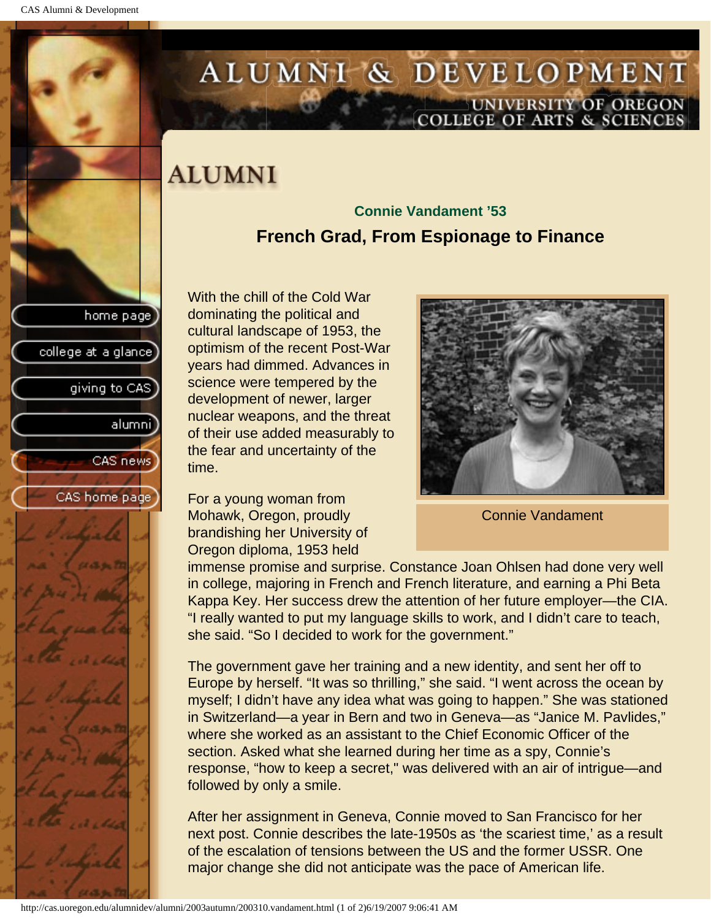home page

college at a glance

giving to CAS

alumnil

CAS news

CAS home page

# ALUMNI & DEVELOPMENT UNIVERSITY OF OREGON<br>COLLEGE OF ARTS & SCIENCES

# **ALUMNI**

# **Connie Vandament '53 French Grad, From Espionage to Finance**

With the chill of the Cold War dominating the political and cultural landscape of 1953, the optimism of the recent Post-War years had dimmed. Advances in science were tempered by the development of newer, larger nuclear weapons, and the threat of their use added measurably to the fear and uncertainty of the time.

For a young woman from Mohawk, Oregon, proudly brandishing her University of Oregon diploma, 1953 held



Connie Vandament

immense promise and surprise. Constance Joan Ohlsen had done very well in college, majoring in French and French literature, and earning a Phi Beta Kappa Key. Her success drew the attention of her future employer—the CIA. "I really wanted to put my language skills to work, and I didn't care to teach, she said. "So I decided to work for the government."

The government gave her training and a new identity, and sent her off to Europe by herself. "It was so thrilling," she said. "I went across the ocean by myself; I didn't have any idea what was going to happen." She was stationed in Switzerland—a year in Bern and two in Geneva—as "Janice M. Pavlides," where she worked as an assistant to the Chief Economic Officer of the section. Asked what she learned during her time as a spy, Connie's response, "how to keep a secret," was delivered with an air of intrigue—and followed by only a smile.

After her assignment in Geneva, Connie moved to San Francisco for her next post. Connie describes the late-1950s as 'the scariest time,' as a result of the escalation of tensions between the US and the former USSR. One major change she did not anticipate was the pace of American life.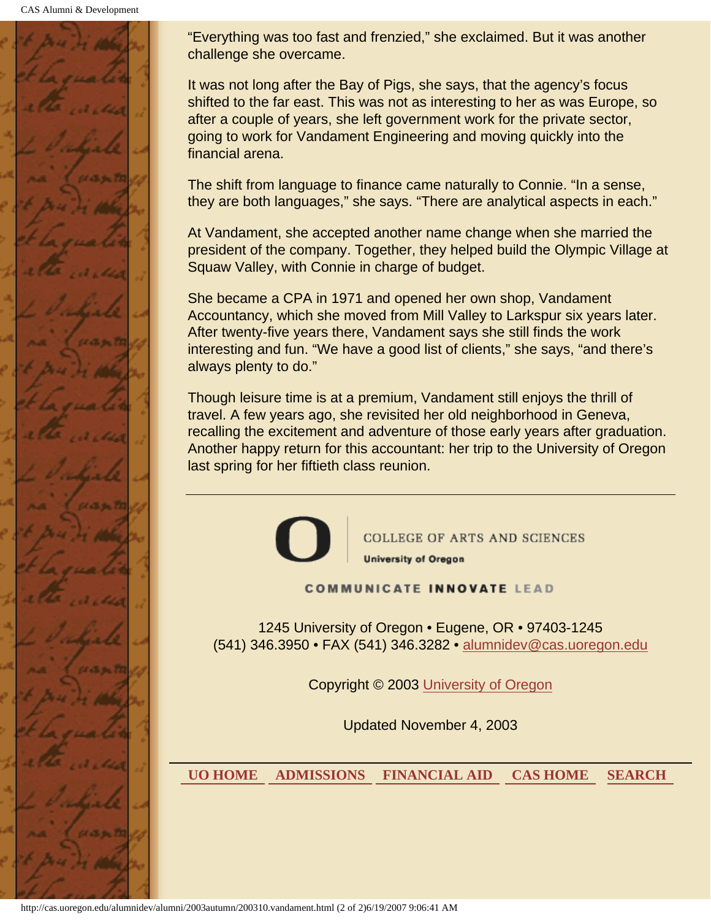CAS Alumni & Development



"Everything was too fast and frenzied," she exclaimed. But it was another challenge she overcame.

It was not long after the Bay of Pigs, she says, that the agency's focus shifted to the far east. This was not as interesting to her as was Europe, so after a couple of years, she left government work for the private sector, going to work for Vandament Engineering and moving quickly into the financial arena.

The shift from language to finance came naturally to Connie. "In a sense, they are both languages," she says. "There are analytical aspects in each."

At Vandament, she accepted another name change when she married the president of the company. Together, they helped build the Olympic Village at Squaw Valley, with Connie in charge of budget.

She became a CPA in 1971 and opened her own shop, Vandament Accountancy, which she moved from Mill Valley to Larkspur six years later. After twenty-five years there, Vandament says she still finds the work interesting and fun. "We have a good list of clients," she says, "and there's always plenty to do."

Though leisure time is at a premium, Vandament still enjoys the thrill of travel. A few years ago, she revisited her old neighborhood in Geneva, recalling the excitement and adventure of those early years after graduation. Another happy return for this accountant: her trip to the University of Oregon last spring for her fiftieth class reunion.



**COLLEGE OF ARTS AND SCIENCES University of Oregon** 

#### **COMMUNICATE INNOVATE LEAD**

1245 University of Oregon • Eugene, OR • 97403-1245 (541) 346.3950 • FAX (541) 346.3282 • alumnidev@cas.uoregon.edu

Copyright © 2003 University of Oregon

Updated November 4, 2003

 **UO HOME ADMISSIONS FINANCIAL AID CAS HOME SEARCH**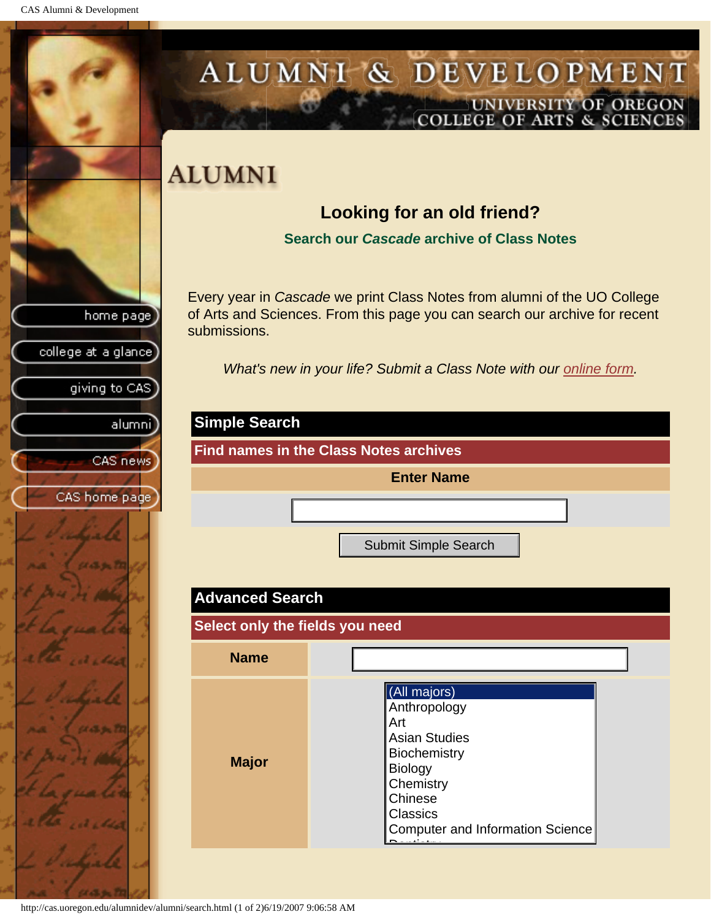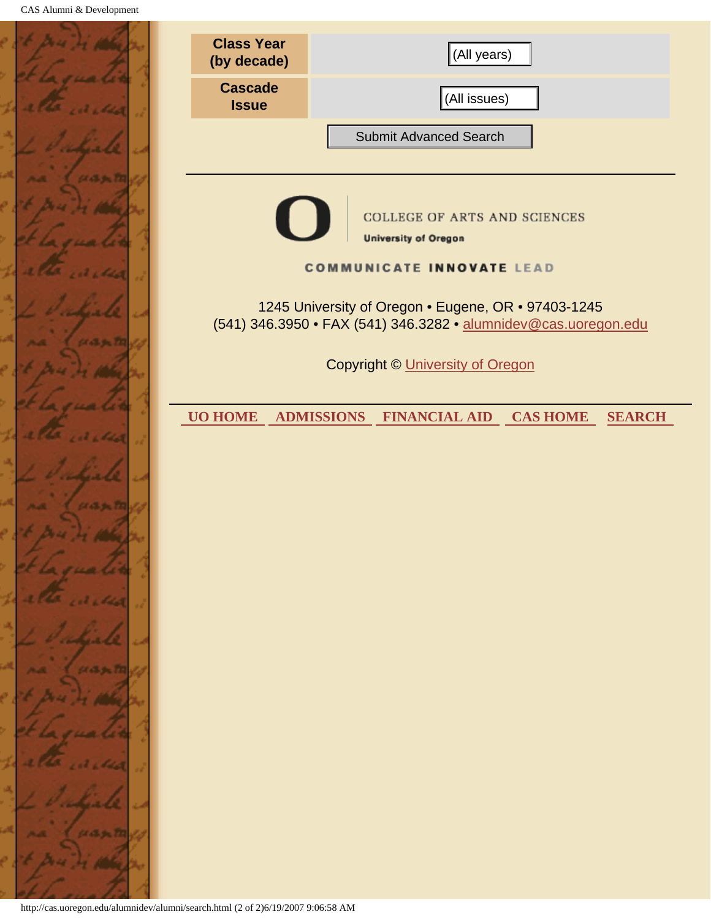|              | <b>Class Year</b><br>(by decade)                                                                                       | (All years)                                                                   |  |
|--------------|------------------------------------------------------------------------------------------------------------------------|-------------------------------------------------------------------------------|--|
|              | <b>Cascade</b><br><b>Issue</b>                                                                                         | (All issues)                                                                  |  |
|              |                                                                                                                        | <b>Submit Advanced Search</b>                                                 |  |
| 65296        |                                                                                                                        |                                                                               |  |
|              |                                                                                                                        | COLLEGE OF ARTS AND SCIENCES<br><b>University of Oregon</b>                   |  |
|              | <b>COMMUNICATE INNOVATE LEAD</b>                                                                                       |                                                                               |  |
|              | 1245 University of Oregon . Eugene, OR . 97403-1245<br>(541) 346.3950 • FAX (541) 346.3282 • alumnidev@cas.uoregon.edu |                                                                               |  |
|              | <b>Copyright © University of Oregon</b>                                                                                |                                                                               |  |
|              | <b>UO HOME</b>                                                                                                         | <b>ADMISSIONS</b><br><b>FINANCIAL AID</b><br><b>CAS HOME</b><br><b>SEARCH</b> |  |
|              |                                                                                                                        |                                                                               |  |
| 6. September |                                                                                                                        |                                                                               |  |
|              |                                                                                                                        |                                                                               |  |
|              |                                                                                                                        |                                                                               |  |
|              |                                                                                                                        |                                                                               |  |
|              |                                                                                                                        |                                                                               |  |
|              |                                                                                                                        |                                                                               |  |
|              |                                                                                                                        |                                                                               |  |
|              |                                                                                                                        |                                                                               |  |
|              |                                                                                                                        |                                                                               |  |
|              | http://cas.uoregon.edu/alumnidev/alumni/search.html (2 of 2)6/19/2007 9:06:58 AM                                       |                                                                               |  |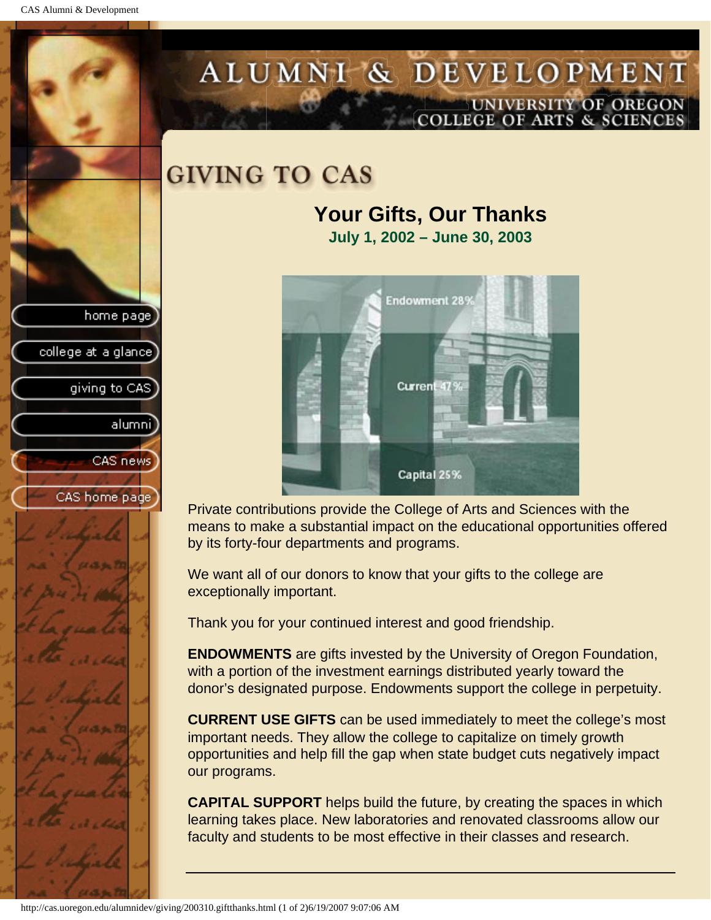CAS Alumni & Development

home page

college at a glance

giving to CAS

alumni

CAS news

CAS home page

# ALUMNI & DEVELOPMENT UNIVERSITY OF OREGON OLLEGE OF ARTS & SCIENCE

# **GIVING TO CAS**

# **Your Gifts, Our Thanks July 1, 2002 – June 30, 2003**



Private contributions provide the College of Arts and Sciences with the means to make a substantial impact on the educational opportunities offered by its forty-four departments and programs.

We want all of our donors to know that your gifts to the college are exceptionally important.

Thank you for your continued interest and good friendship.

**ENDOWMENTS** are gifts invested by the University of Oregon Foundation, with a portion of the investment earnings distributed yearly toward the donor's designated purpose. Endowments support the college in perpetuity.

**CURRENT USE GIFTS** can be used immediately to meet the college's most important needs. They allow the college to capitalize on timely growth opportunities and help fill the gap when state budget cuts negatively impact our programs.

**CAPITAL SUPPORT** helps build the future, by creating the spaces in which learning takes place. New laboratories and renovated classrooms allow our faculty and students to be most effective in their classes and research.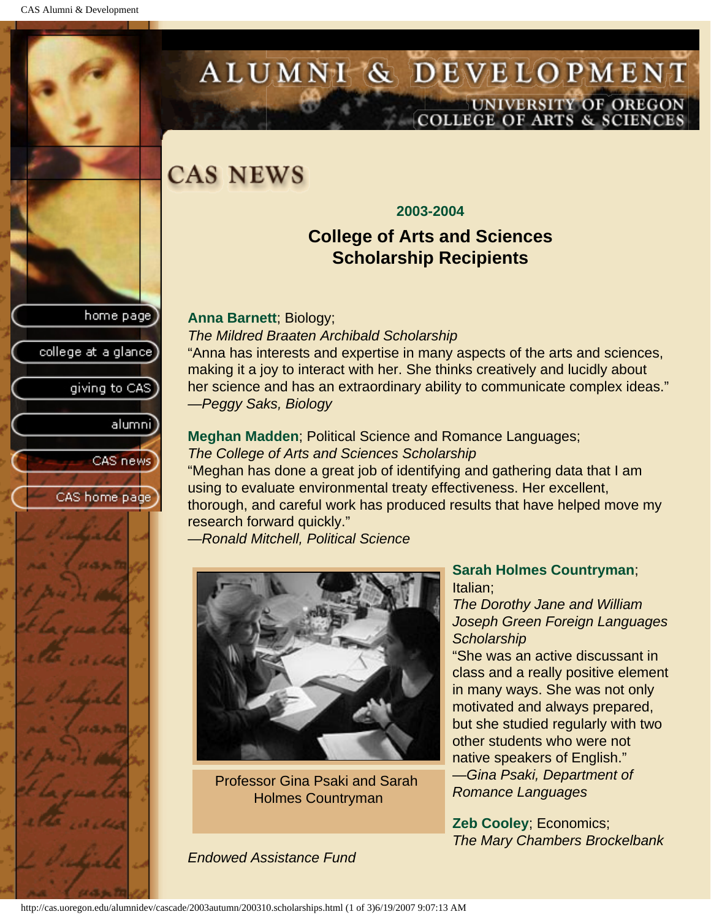home page

college at a glance

giving to CAS

alumnil

CAS news

CAS home page



# **CAS NEWS**

#### **2003-2004**

# **College of Arts and Sciences Scholarship Recipients**

**Anna Barnett**; Biology;

#### *The Mildred Braaten Archibald Scholarship*

"Anna has interests and expertise in many aspects of the arts and sciences, making it a joy to interact with her. She thinks creatively and lucidly about her science and has an extraordinary ability to communicate complex ideas." *—Peggy Saks, Biology*

**Meghan Madden**; Political Science and Romance Languages; *The College of Arts and Sciences Scholarship* "Meghan has done a great job of identifying and gathering data that I am

using to evaluate environmental treaty effectiveness. Her excellent, thorough, and careful work has produced results that have helped move my research forward quickly."

—*Ronald Mitchell, Political Science*



Professor Gina Psaki and Sarah Holmes Countryman

#### **Sarah Holmes Countryman**; Italian;

*The Dorothy Jane and William Joseph Green Foreign Languages Scholarship*

"She was an active discussant in class and a really positive element in many ways. She was not only motivated and always prepared, but she studied regularly with two other students who were not native speakers of English." —*Gina Psaki, Department of Romance Languages*

**Zeb Cooley**; Economics; *The Mary Chambers Brockelbank* 

*Endowed Assistance Fund*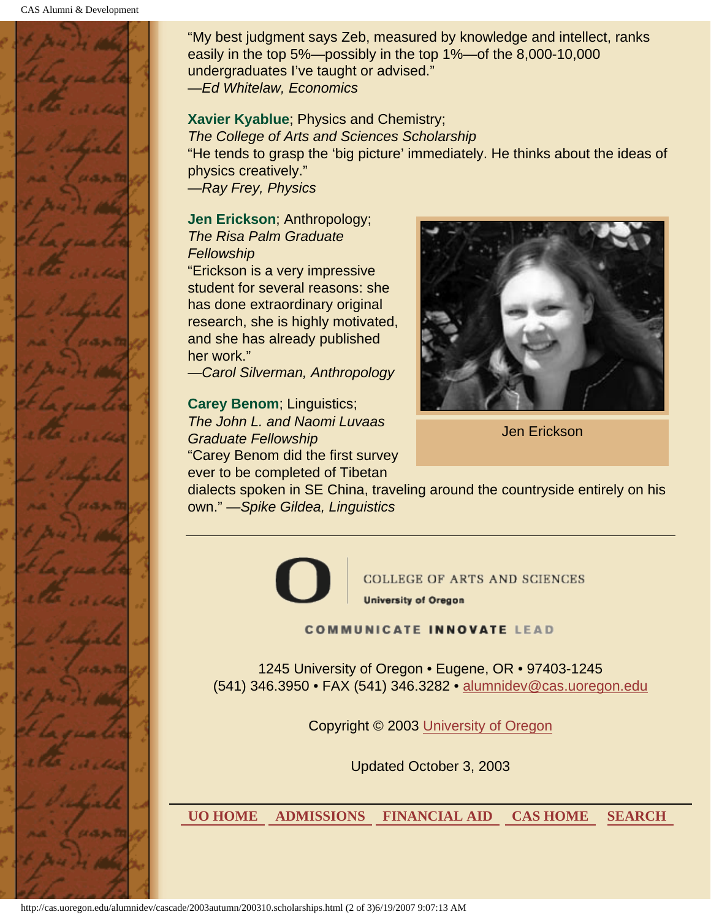

"My best judgment says Zeb, measured by knowledge and intellect, ranks easily in the top 5%—possibly in the top 1%—of the 8,000-10,000 undergraduates I've taught or advised." —*Ed Whitelaw, Economics*

#### **Xavier Kyablue**; Physics and Chemistry;

*The College of Arts and Sciences Scholarship* "He tends to grasp the 'big picture' immediately. He thinks about the ideas of physics creatively." —*Ray Frey, Physics*

**Jen Erickson**; Anthropology; *The Risa Palm Graduate Fellowship*

"Erickson is a very impressive student for several reasons: she has done extraordinary original research, she is highly motivated, and she has already published her work."

—*Carol Silverman, Anthropology*

**Carey Benom**; Linguistics; *The John L. and Naomi Luvaas Graduate Fellowship* "Carey Benom did the first survey ever to be completed of Tibetan



Jen Erickson

dialects spoken in SE China, traveling around the countryside entirely on his own." —*Spike Gildea, Linguistics*



**COLLEGE OF ARTS AND SCIENCES University of Oregon** 

**COMMUNICATE INNOVATE LEAD** 

1245 University of Oregon • Eugene, OR • 97403-1245 (541) 346.3950 • FAX (541) 346.3282 • alumnidev@cas.uoregon.edu

Copyright © 2003 University of Oregon

Updated October 3, 2003

 **UO HOME ADMISSIONS FINANCIAL AID CAS HOME SEARCH**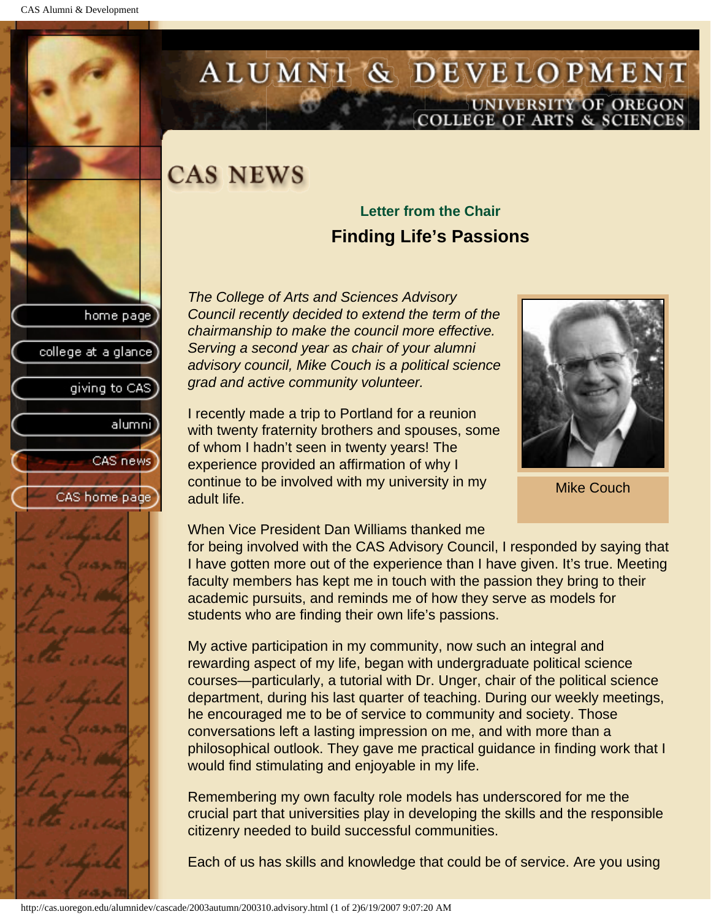home page

college at a glance

giving to CAS

alumnil

CAS news

CAS home page

# ALUMNI & DEVELOPMENT UNIVERSITY OF OREGON<br>COLLEGE OF ARTS & SCIENCES

# **CAS NEWS**

# **Letter from the Chair Finding Life's Passions**

*The College of Arts and Sciences Advisory Council recently decided to extend the term of the chairmanship to make the council more effective. Serving a second year as chair of your alumni advisory council, Mike Couch is a political science grad and active community volunteer.*

I recently made a trip to Portland for a reunion with twenty fraternity brothers and spouses, some of whom I hadn't seen in twenty years! The experience provided an affirmation of why I continue to be involved with my university in my adult life.



Mike Couch

# When Vice President Dan Williams thanked me

for being involved with the CAS Advisory Council, I responded by saying that I have gotten more out of the experience than I have given. It's true. Meeting faculty members has kept me in touch with the passion they bring to their academic pursuits, and reminds me of how they serve as models for students who are finding their own life's passions.

My active participation in my community, now such an integral and rewarding aspect of my life, began with undergraduate political science courses—particularly, a tutorial with Dr. Unger, chair of the political science department, during his last quarter of teaching. During our weekly meetings, he encouraged me to be of service to community and society. Those conversations left a lasting impression on me, and with more than a philosophical outlook. They gave me practical guidance in finding work that I would find stimulating and enjoyable in my life.

Remembering my own faculty role models has underscored for me the crucial part that universities play in developing the skills and the responsible citizenry needed to build successful communities.

Each of us has skills and knowledge that could be of service. Are you using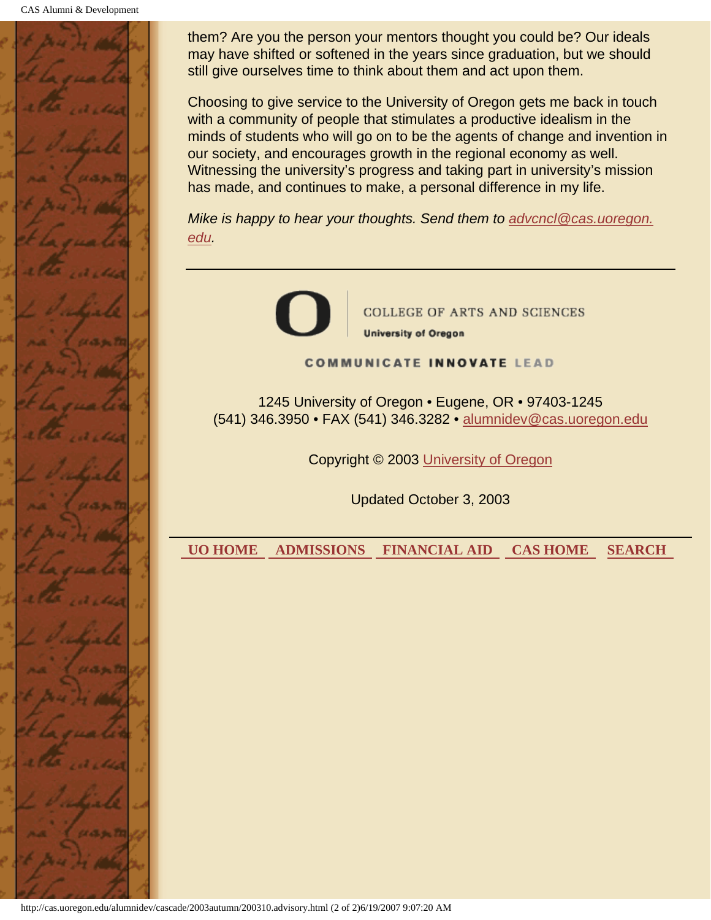

them? Are you the person your mentors thought you could be? Our ideals may have shifted or softened in the years since graduation, but we should still give ourselves time to think about them and act upon them.

Choosing to give service to the University of Oregon gets me back in touch with a community of people that stimulates a productive idealism in the minds of students who will go on to be the agents of change and invention in our society, and encourages growth in the regional economy as well. Witnessing the university's progress and taking part in university's mission has made, and continues to make, a personal difference in my life.

*Mike is happy to hear your thoughts. Send them to advcncl@cas.uoregon. edu.*

COLLEGE OF ARTS AND SCIENCES **University of Oregon** 

**COMMUNICATE INNOVATE LEAD** 

1245 University of Oregon • Eugene, OR • 97403-1245 (541) 346.3950 • FAX (541) 346.3282 • alumnidev@cas.uoregon.edu

Copyright © 2003 University of Oregon

Updated October 3, 2003

 **UO HOME ADMISSIONS FINANCIAL AID CAS HOME SEARCH**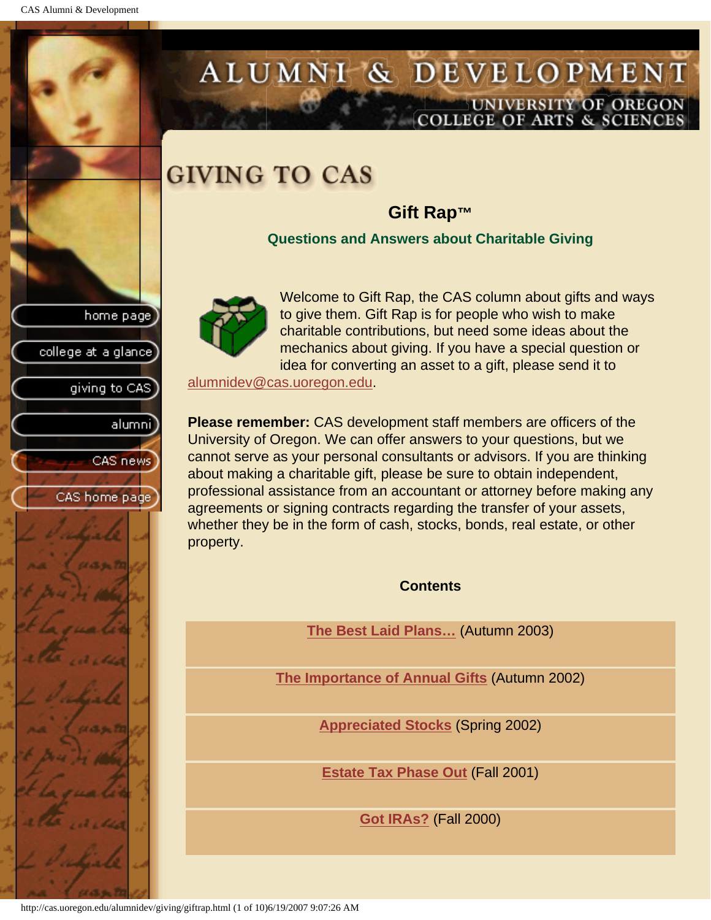CAS Alumni & Development

home page

college at a glance

giving to CAS

alumnil

CAS news

CAS home page

# ALUMNI & DEVELOPMENT UNIVERSITY OF OREGON OLLEGE OF ARTS & SCIENCE

# **GIVING TO CAS**

# **Gift Rap™**

**Questions and Answers about Charitable Giving**



Welcome to Gift Rap, the CAS column about gifts and ways to give them. Gift Rap is for people who wish to make charitable contributions, but need some ideas about the mechanics about giving. If you have a special question or idea for converting an asset to a gift, please send it to

alumnidev@cas.uoregon.edu.

**Please remember:** CAS development staff members are officers of the University of Oregon. We can offer answers to your questions, but we cannot serve as your personal consultants or advisors. If you are thinking about making a charitable gift, please be sure to obtain independent, professional assistance from an accountant or attorney before making any agreements or signing contracts regarding the transfer of your assets, whether they be in the form of cash, stocks, bonds, real estate, or other property.

**Contents**

**The Best Laid Plans…** (Autumn 2003)

**The Importance of Annual Gifts** (Autumn 2002)

**Appreciated Stocks** (Spring 2002)

**Estate Tax Phase Out** (Fall 2001)

**Got IRAs?** (Fall 2000)

http://cas.uoregon.edu/alumnidev/giving/giftrap.html (1 of 10)6/19/2007 9:07:26 AM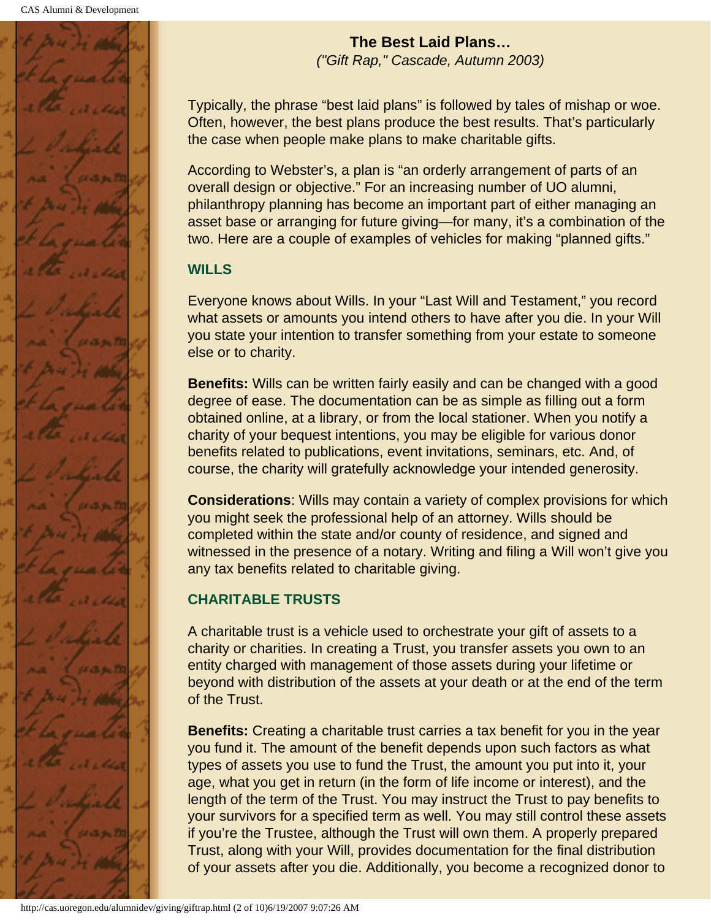

**The Best Laid Plans…** *("Gift Rap," Cascade, Autumn 2003)*

Typically, the phrase "best laid plans" is followed by tales of mishap or woe. Often, however, the best plans produce the best results. That's particularly the case when people make plans to make charitable gifts.

According to Webster's, a plan is "an orderly arrangement of parts of an overall design or objective." For an increasing number of UO alumni, philanthropy planning has become an important part of either managing an asset base or arranging for future giving—for many, it's a combination of the two. Here are a couple of examples of vehicles for making "planned gifts."

# **WILLS**

Everyone knows about Wills. In your "Last Will and Testament," you record what assets or amounts you intend others to have after you die. In your Will you state your intention to transfer something from your estate to someone else or to charity.

**Benefits:** Wills can be written fairly easily and can be changed with a good degree of ease. The documentation can be as simple as filling out a form obtained online, at a library, or from the local stationer. When you notify a charity of your bequest intentions, you may be eligible for various donor benefits related to publications, event invitations, seminars, etc. And, of course, the charity will gratefully acknowledge your intended generosity.

**Considerations**: Wills may contain a variety of complex provisions for which you might seek the professional help of an attorney. Wills should be completed within the state and/or county of residence, and signed and witnessed in the presence of a notary. Writing and filing a Will won't give you any tax benefits related to charitable giving.

# **CHARITABLE TRUSTS**

A charitable trust is a vehicle used to orchestrate your gift of assets to a charity or charities. In creating a Trust, you transfer assets you own to an entity charged with management of those assets during your lifetime or beyond with distribution of the assets at your death or at the end of the term of the Trust.

**Benefits:** Creating a charitable trust carries a tax benefit for you in the year you fund it. The amount of the benefit depends upon such factors as what types of assets you use to fund the Trust, the amount you put into it, your age, what you get in return (in the form of life income or interest), and the length of the term of the Trust. You may instruct the Trust to pay benefits to your survivors for a specified term as well. You may still control these assets if you're the Trustee, although the Trust will own them. A properly prepared Trust, along with your Will, provides documentation for the final distribution of your assets after you die. Additionally, you become a recognized donor to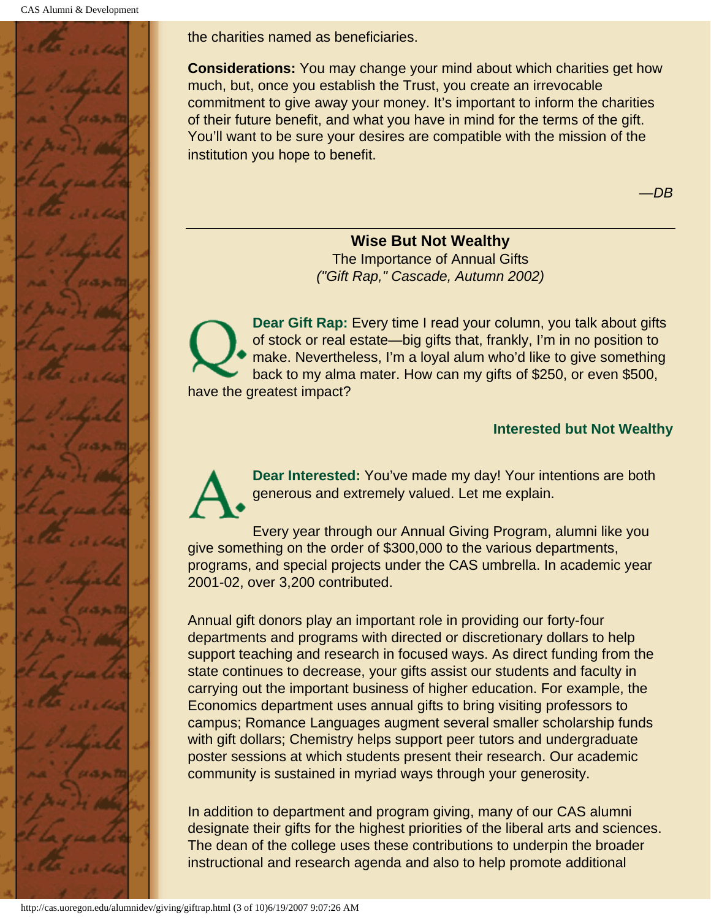

the charities named as beneficiaries.

**Considerations:** You may change your mind about which charities get how much, but, once you establish the Trust, you create an irrevocable commitment to give away your money. It's important to inform the charities of their future benefit, and what you have in mind for the terms of the gift. You'll want to be sure your desires are compatible with the mission of the institution you hope to benefit.

—*DB*

#### **Wise But Not Wealthy**

The Importance of Annual Gifts *("Gift Rap," Cascade, Autumn 2002)*

**Dear Gift Rap:** Every time I read your column, you talk about gifts of stock or real estate—big gifts that, frankly, I'm in no position to make. Nevertheless, I'm a loyal alum who'd like to give something back to my alma mater. How can my gifts of \$250, or even \$500, have the greatest impact?

#### **Interested but Not Wealthy**

**Dear Interested:** You've made my day! Your intentions are both generous and extremely valued. Let me explain.

Every year through our Annual Giving Program, alumni like you give something on the order of \$300,000 to the various departments, programs, and special projects under the CAS umbrella. In academic year 2001-02, over 3,200 contributed.

Annual gift donors play an important role in providing our forty-four departments and programs with directed or discretionary dollars to help support teaching and research in focused ways. As direct funding from the state continues to decrease, your gifts assist our students and faculty in carrying out the important business of higher education. For example, the Economics department uses annual gifts to bring visiting professors to campus; Romance Languages augment several smaller scholarship funds with gift dollars; Chemistry helps support peer tutors and undergraduate poster sessions at which students present their research. Our academic community is sustained in myriad ways through your generosity.

In addition to department and program giving, many of our CAS alumni designate their gifts for the highest priorities of the liberal arts and sciences. The dean of the college uses these contributions to underpin the broader instructional and research agenda and also to help promote additional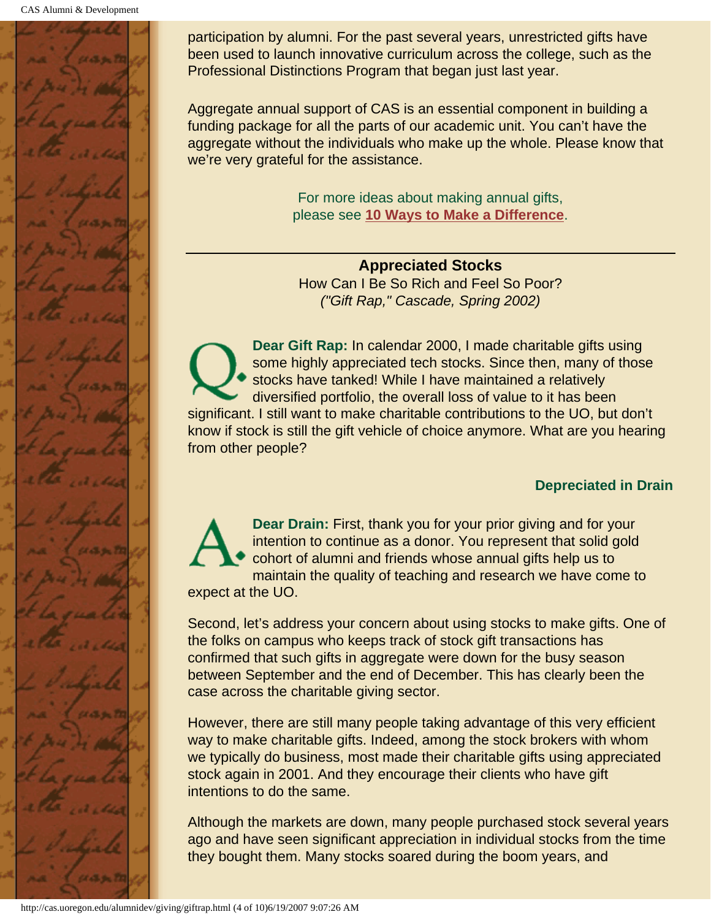

participation by alumni. For the past several years, unrestricted gifts have been used to launch innovative curriculum across the college, such as the Professional Distinctions Program that began just last year.

Aggregate annual support of CAS is an essential component in building a funding package for all the parts of our academic unit. You can't have the aggregate without the individuals who make up the whole. Please know that we're very grateful for the assistance.

> For more ideas about making annual gifts, please see **10 Ways to Make a Difference**.

**Appreciated Stocks** How Can I Be So Rich and Feel So Poor? *("Gift Rap," Cascade, Spring 2002)*

**Dear Gift Rap:** In calendar 2000, I made charitable gifts using some highly appreciated tech stocks. Since then, many of those stocks have tanked! While I have maintained a relatively diversified portfolio, the overall loss of value to it has been significant. I still want to make charitable contributions to the UO, but don't know if stock is still the gift vehicle of choice anymore. What are you hearing from other people?

### **Depreciated in Drain**

**Dear Drain:** First, thank you for your prior giving and for your intention to continue as a donor. You represent that solid gold cohort of alumni and friends whose annual gifts help us to maintain the quality of teaching and research we have come to expect at the UO.

Second, let's address your concern about using stocks to make gifts. One of the folks on campus who keeps track of stock gift transactions has confirmed that such gifts in aggregate were down for the busy season between September and the end of December. This has clearly been the case across the charitable giving sector.

However, there are still many people taking advantage of this very efficient way to make charitable gifts. Indeed, among the stock brokers with whom we typically do business, most made their charitable gifts using appreciated stock again in 2001. And they encourage their clients who have gift intentions to do the same.

Although the markets are down, many people purchased stock several years ago and have seen significant appreciation in individual stocks from the time they bought them. Many stocks soared during the boom years, and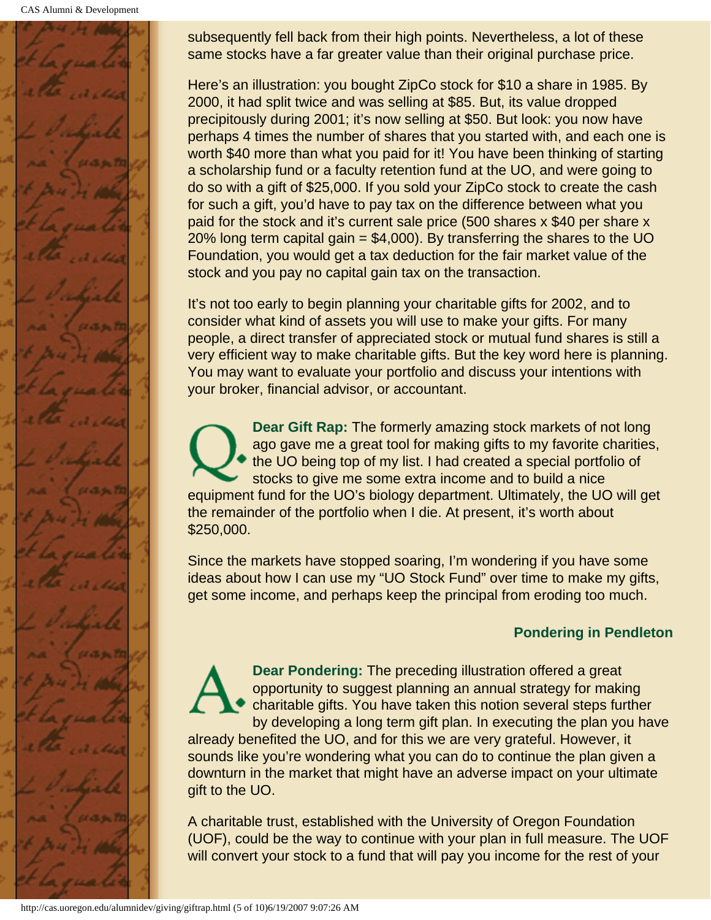CAS Alumni & Development



subsequently fell back from their high points. Nevertheless, a lot of these same stocks have a far greater value than their original purchase price.

Here's an illustration: you bought ZipCo stock for \$10 a share in 1985. By 2000, it had split twice and was selling at \$85. But, its value dropped precipitously during 2001; it's now selling at \$50. But look: you now have perhaps 4 times the number of shares that you started with, and each one is worth \$40 more than what you paid for it! You have been thinking of starting a scholarship fund or a faculty retention fund at the UO, and were going to do so with a gift of \$25,000. If you sold your ZipCo stock to create the cash for such a gift, you'd have to pay tax on the difference between what you paid for the stock and it's current sale price (500 shares x \$40 per share x 20% long term capital gain  $= $4,000$ ). By transferring the shares to the UO Foundation, you would get a tax deduction for the fair market value of the stock and you pay no capital gain tax on the transaction.

It's not too early to begin planning your charitable gifts for 2002, and to consider what kind of assets you will use to make your gifts. For many people, a direct transfer of appreciated stock or mutual fund shares is still a very efficient way to make charitable gifts. But the key word here is planning. You may want to evaluate your portfolio and discuss your intentions with your broker, financial advisor, or accountant.

**Dear Gift Rap:** The formerly amazing stock markets of not long ago gave me a great tool for making gifts to my favorite charities, the UO being top of my list. I had created a special portfolio of stocks to give me some extra income and to build a nice equipment fund for the UO's biology department. Ultimately, the UO will get the remainder of the portfolio when I die. At present, it's worth about \$250,000.

Since the markets have stopped soaring, I'm wondering if you have some ideas about how I can use my "UO Stock Fund" over time to make my gifts, get some income, and perhaps keep the principal from eroding too much.

## **Pondering in Pendleton**

**Dear Pondering:** The preceding illustration offered a great opportunity to suggest planning an annual strategy for making charitable gifts. You have taken this notion several steps further by developing a long term gift plan. In executing the plan you have already benefited the UO, and for this we are very grateful. However, it sounds like you're wondering what you can do to continue the plan given a downturn in the market that might have an adverse impact on your ultimate gift to the UO.

A charitable trust, established with the University of Oregon Foundation (UOF), could be the way to continue with your plan in full measure. The UOF will convert your stock to a fund that will pay you income for the rest of your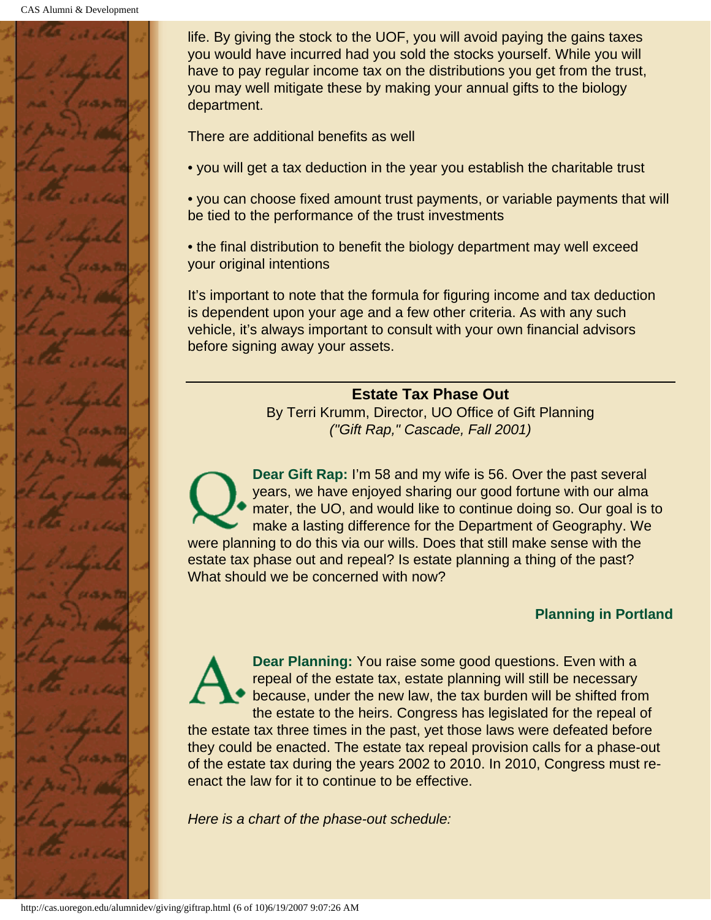

life. By giving the stock to the UOF, you will avoid paying the gains taxes you would have incurred had you sold the stocks yourself. While you will have to pay regular income tax on the distributions you get from the trust, you may well mitigate these by making your annual gifts to the biology department.

There are additional benefits as well

• you will get a tax deduction in the year you establish the charitable trust

• you can choose fixed amount trust payments, or variable payments that will be tied to the performance of the trust investments

• the final distribution to benefit the biology department may well exceed your original intentions

It's important to note that the formula for figuring income and tax deduction is dependent upon your age and a few other criteria. As with any such vehicle, it's always important to consult with your own financial advisors before signing away your assets.

#### **Estate Tax Phase Out**

By Terri Krumm, Director, UO Office of Gift Planning *("Gift Rap," Cascade, Fall 2001)*

**Dear Gift Rap:** I'm 58 and my wife is 56. Over the past several years, we have enjoyed sharing our good fortune with our alma mater, the UO, and would like to continue doing so. Our goal is to make a lasting difference for the Department of Geography. We were planning to do this via our wills. Does that still make sense with the estate tax phase out and repeal? Is estate planning a thing of the past? What should we be concerned with now?

#### **Planning in Portland**

**Dear Planning:** You raise some good questions. Even with a repeal of the estate tax, estate planning will still be necessary because, under the new law, the tax burden will be shifted from the estate to the heirs. Congress has legislated for the repeal of

the estate tax three times in the past, yet those laws were defeated before they could be enacted. The estate tax repeal provision calls for a phase-out of the estate tax during the years 2002 to 2010. In 2010, Congress must reenact the law for it to continue to be effective.

*Here is a chart of the phase-out schedule:*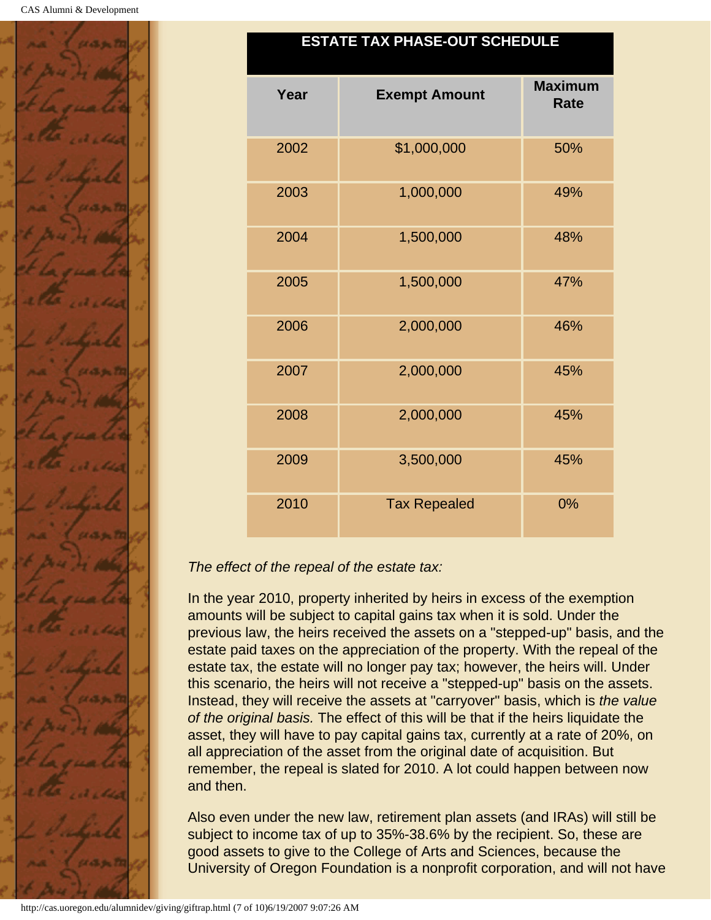

### **ESTATE TAX PHASE-OUT SCHEDULE**

| Year | <b>Exempt Amount</b> | <b>Maximum</b><br><b>Rate</b> |
|------|----------------------|-------------------------------|
| 2002 | \$1,000,000          | 50%                           |
| 2003 | 1,000,000            | 49%                           |
| 2004 | 1,500,000            | 48%                           |
| 2005 | 1,500,000            | 47%                           |
| 2006 | 2,000,000            | 46%                           |
| 2007 | 2,000,000            | 45%                           |
| 2008 | 2,000,000            | 45%                           |
| 2009 | 3,500,000            | 45%                           |
| 2010 | <b>Tax Repealed</b>  | 0%                            |

### *The effect of the repeal of the estate tax:*

In the year 2010, property inherited by heirs in excess of the exemption amounts will be subject to capital gains tax when it is sold. Under the previous law, the heirs received the assets on a "stepped-up" basis, and the estate paid taxes on the appreciation of the property. With the repeal of the estate tax, the estate will no longer pay tax; however, the heirs will. Under this scenario, the heirs will not receive a "stepped-up" basis on the assets. Instead, they will receive the assets at "carryover" basis, which is *the value of the original basis.* The effect of this will be that if the heirs liquidate the asset, they will have to pay capital gains tax, currently at a rate of 20%, on all appreciation of the asset from the original date of acquisition. But remember, the repeal is slated for 2010. A lot could happen between now and then.

Also even under the new law, retirement plan assets (and IRAs) will still be subject to income tax of up to 35%-38.6% by the recipient. So, these are good assets to give to the College of Arts and Sciences, because the University of Oregon Foundation is a nonprofit corporation, and will not have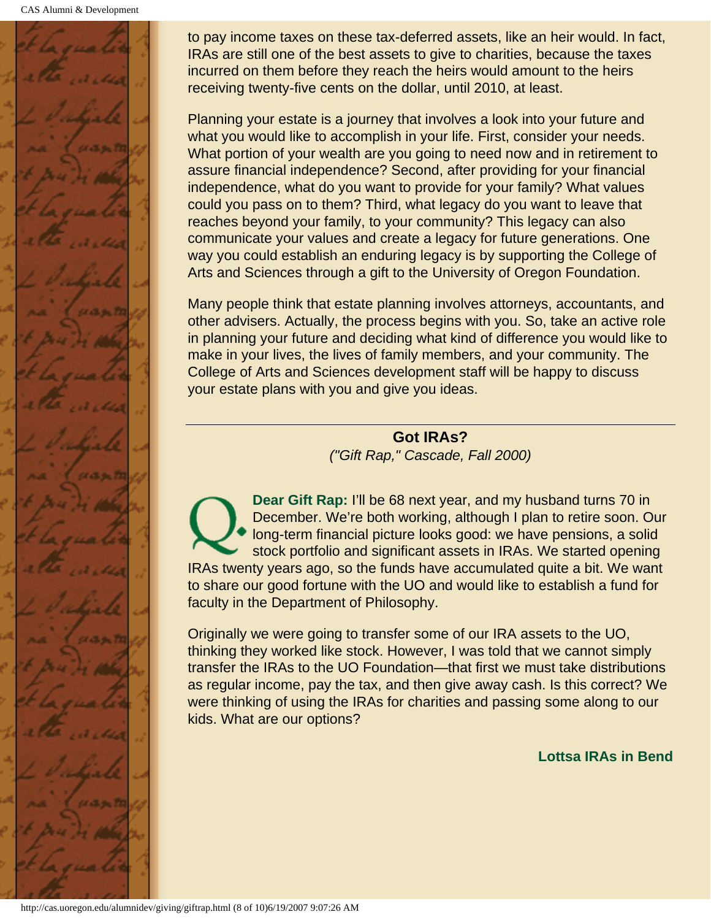CAS Alumni & Development



to pay income taxes on these tax-deferred assets, like an heir would. In fact, IRAs are still one of the best assets to give to charities, because the taxes incurred on them before they reach the heirs would amount to the heirs receiving twenty-five cents on the dollar, until 2010, at least.

Planning your estate is a journey that involves a look into your future and what you would like to accomplish in your life. First, consider your needs. What portion of your wealth are you going to need now and in retirement to assure financial independence? Second, after providing for your financial independence, what do you want to provide for your family? What values could you pass on to them? Third, what legacy do you want to leave that reaches beyond your family, to your community? This legacy can also communicate your values and create a legacy for future generations. One way you could establish an enduring legacy is by supporting the College of Arts and Sciences through a gift to the University of Oregon Foundation.

Many people think that estate planning involves attorneys, accountants, and other advisers. Actually, the process begins with you. So, take an active role in planning your future and deciding what kind of difference you would like to make in your lives, the lives of family members, and your community. The College of Arts and Sciences development staff will be happy to discuss your estate plans with you and give you ideas.

> **Got IRAs?** *("Gift Rap," Cascade, Fall 2000)*

**Dear Gift Rap:** I'll be 68 next year, and my husband turns 70 in December. We're both working, although I plan to retire soon. Our long-term financial picture looks good: we have pensions, a solid stock portfolio and significant assets in IRAs. We started opening IRAs twenty years ago, so the funds have accumulated quite a bit. We want to share our good fortune with the UO and would like to establish a fund for faculty in the Department of Philosophy.

Originally we were going to transfer some of our IRA assets to the UO, thinking they worked like stock. However, I was told that we cannot simply transfer the IRAs to the UO Foundation—that first we must take distributions as regular income, pay the tax, and then give away cash. Is this correct? We were thinking of using the IRAs for charities and passing some along to our kids. What are our options?

**Lottsa IRAs in Bend**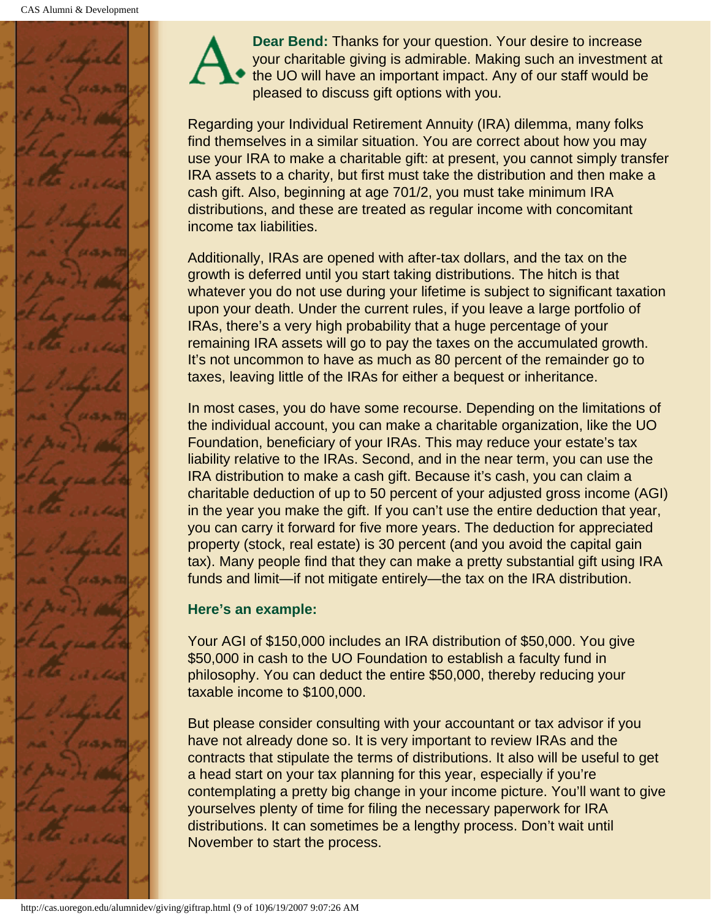

**Dear Bend:** Thanks for your question. Your desire to increase your charitable giving is admirable. Making such an investment at the UO will have an important impact. Any of our staff would be pleased to discuss gift options with you.

Regarding your Individual Retirement Annuity (IRA) dilemma, many folks find themselves in a similar situation. You are correct about how you may use your IRA to make a charitable gift: at present, you cannot simply transfer IRA assets to a charity, but first must take the distribution and then make a cash gift. Also, beginning at age 701/2, you must take minimum IRA distributions, and these are treated as regular income with concomitant income tax liabilities.

Additionally, IRAs are opened with after-tax dollars, and the tax on the growth is deferred until you start taking distributions. The hitch is that whatever you do not use during your lifetime is subject to significant taxation upon your death. Under the current rules, if you leave a large portfolio of IRAs, there's a very high probability that a huge percentage of your remaining IRA assets will go to pay the taxes on the accumulated growth. It's not uncommon to have as much as 80 percent of the remainder go to taxes, leaving little of the IRAs for either a bequest or inheritance.

In most cases, you do have some recourse. Depending on the limitations of the individual account, you can make a charitable organization, like the UO Foundation, beneficiary of your IRAs. This may reduce your estate's tax liability relative to the IRAs. Second, and in the near term, you can use the IRA distribution to make a cash gift. Because it's cash, you can claim a charitable deduction of up to 50 percent of your adjusted gross income (AGI) in the year you make the gift. If you can't use the entire deduction that year, you can carry it forward for five more years. The deduction for appreciated property (stock, real estate) is 30 percent (and you avoid the capital gain tax). Many people find that they can make a pretty substantial gift using IRA funds and limit—if not mitigate entirely—the tax on the IRA distribution.

## **Here's an example:**

Your AGI of \$150,000 includes an IRA distribution of \$50,000. You give \$50,000 in cash to the UO Foundation to establish a faculty fund in philosophy. You can deduct the entire \$50,000, thereby reducing your taxable income to \$100,000.

But please consider consulting with your accountant or tax advisor if you have not already done so. It is very important to review IRAs and the contracts that stipulate the terms of distributions. It also will be useful to get a head start on your tax planning for this year, especially if you're contemplating a pretty big change in your income picture. You'll want to give yourselves plenty of time for filing the necessary paperwork for IRA distributions. It can sometimes be a lengthy process. Don't wait until November to start the process.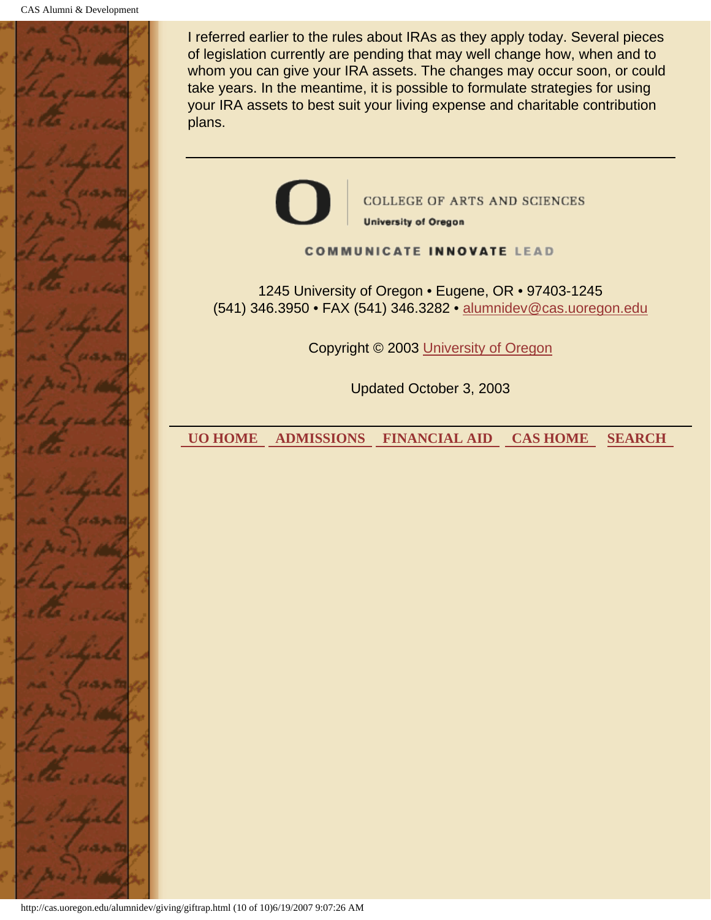

I referred earlier to the rules about IRAs as they apply today. Several pieces of legislation currently are pending that may well change how, when and to whom you can give your IRA assets. The changes may occur soon, or could take years. In the meantime, it is possible to formulate strategies for using your IRA assets to best suit your living expense and charitable contribution plans.

**COLLEGE OF ARTS AND SCIENCES University of Oregon COMMUNICATE INNOVATE LEAD** 1245 University of Oregon • Eugene, OR • 97403-1245 (541) 346.3950 • FAX (541) 346.3282 • alumnidev@cas.uoregon.edu Copyright © 2003 University of Oregon Updated October 3, 2003  **UO HOME ADMISSIONS FINANCIAL AID CAS HOME SEARCH** 

http://cas.uoregon.edu/alumnidev/giving/giftrap.html (10 of 10)6/19/2007 9:07:26 AM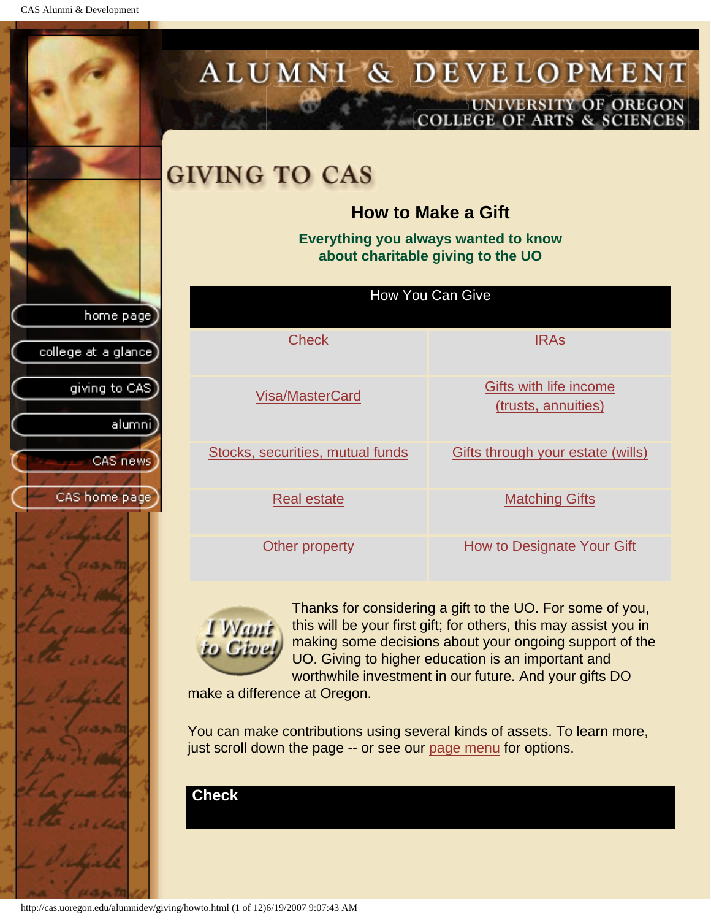CAS Alumni & Development

<span id="page-65-1"></span><span id="page-65-0"></span>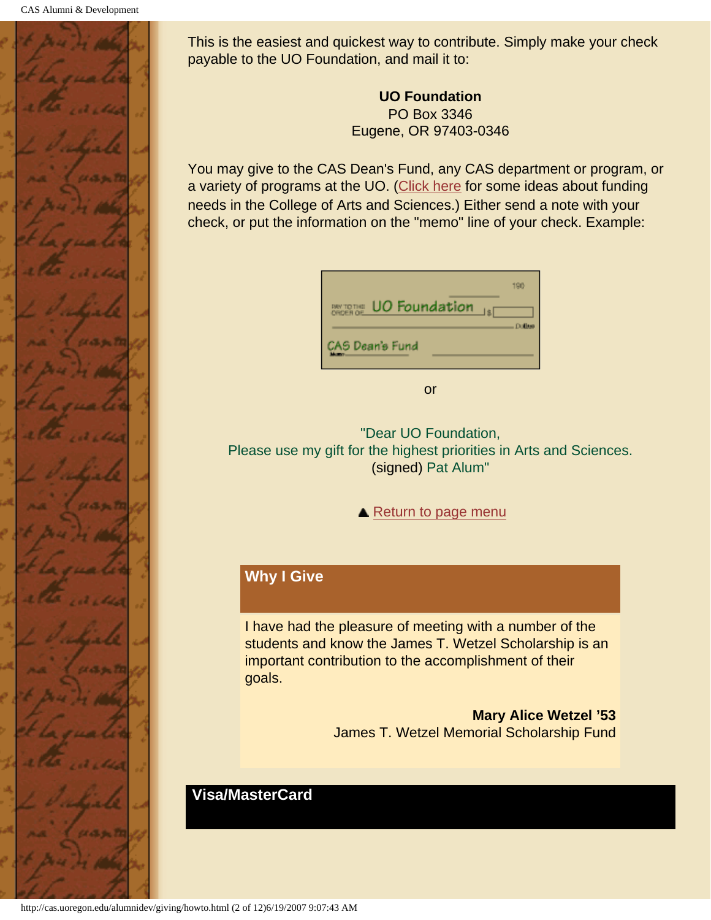

This is the easiest and quickest way to contribute. Simply make your check payable to the UO Foundation, and mail it to:

> **UO Foundation** PO Box 3346 Eugene, OR 97403-0346

You may give to the CAS Dean's Fund, any CAS department or program, or a variety of programs at the UO. [\(Click here](#page-73-1) for some ideas about funding needs in the College of Arts and Sciences.) Either send a note with your check, or put the information on the "memo" line of your check. Example:

| UO Foundation<br><b>BW TOTHE</b><br>ORDER OF | 190           |
|----------------------------------------------|---------------|
| CAS Dean's Fund                              | <b>Dollar</b> |

or

"Dear UO Foundation, Please use my gift for the highest priorities in Arts and Sciences. (signed) Pat Alum"

▲ [Return to page menu](#page-65-1)

# **Why I Give**

I have had the pleasure of meeting with a number of the students and know the James T. Wetzel Scholarship is an important contribution to the accomplishment of their goals.

> **Mary Alice Wetzel '53** James T. Wetzel Memorial Scholarship Fund

### **Visa/MasterCard**

<span id="page-66-0"></span>http://cas.uoregon.edu/alumnidev/giving/howto.html (2 of 12)6/19/2007 9:07:43 AM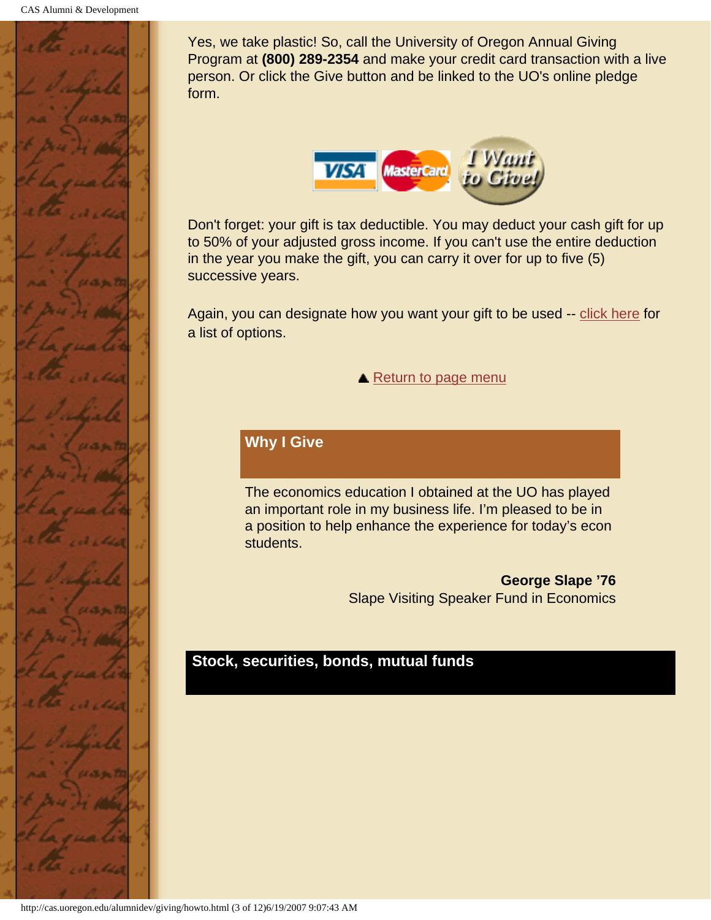

Yes, we take plastic! So, call the University of Oregon Annual Giving Program at **(800) 289-2354** and make your credit card transaction with a live person. Or click the Give button and be linked to the UO's online pledge form.



Don't forget: your gift is tax deductible. You may deduct your cash gift for up to 50% of your adjusted gross income. If you can't use the entire deduction in the year you make the gift, you can carry it over for up to five (5) successive years.

Again, you can designate how you want your gift to be used -- [click here](#page-73-1) for a list of options.

**A** [Return to page menu](#page-65-1)

# **Why I Give**

The economics education I obtained at the UO has played an important role in my business life. I'm pleased to be in a position to help enhance the experience for today's econ students.

> **George Slape '76** Slape Visiting Speaker Fund in Economics

## <span id="page-67-0"></span>**Stock, securities, bonds, mutual funds**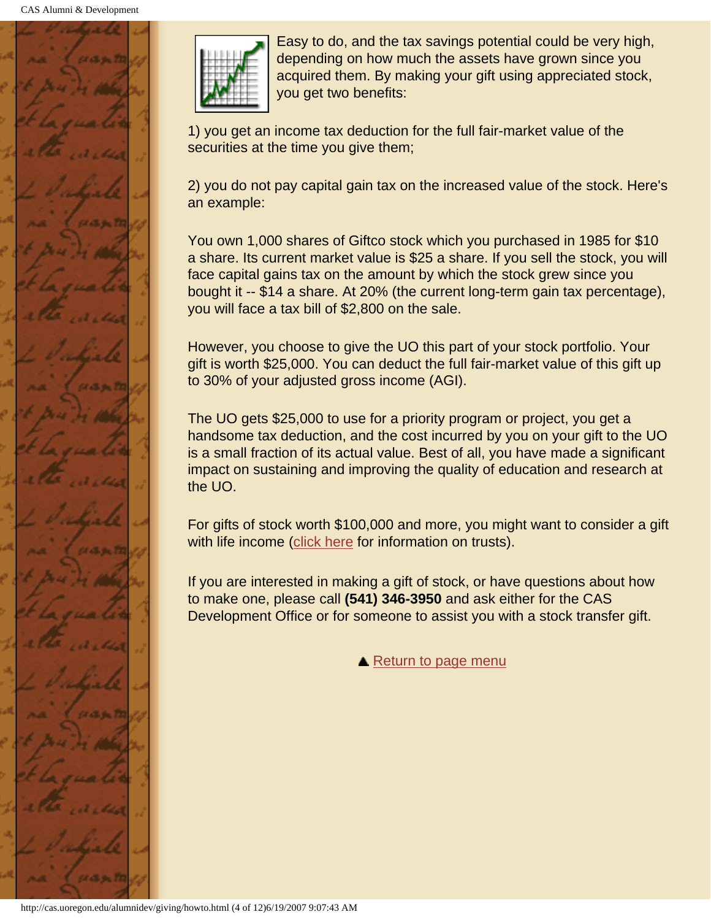



Easy to do, and the tax savings potential could be very high, depending on how much the assets have grown since you acquired them. By making your gift using appreciated stock, you get two benefits:

1) you get an income tax deduction for the full fair-market value of the securities at the time you give them;

2) you do not pay capital gain tax on the increased value of the stock. Here's an example:

You own 1,000 shares of Giftco stock which you purchased in 1985 for \$10 a share. Its current market value is \$25 a share. If you sell the stock, you will face capital gains tax on the amount by which the stock grew since you bought it -- \$14 a share. At 20% (the current long-term gain tax percentage), you will face a tax bill of \$2,800 on the sale.

However, you choose to give the UO this part of your stock portfolio. Your gift is worth \$25,000. You can deduct the full fair-market value of this gift up to 30% of your adjusted gross income (AGI).

The UO gets \$25,000 to use for a priority program or project, you get a handsome tax deduction, and the cost incurred by you on your gift to the UO is a small fraction of its actual value. Best of all, you have made a significant impact on sustaining and improving the quality of education and research at the UO.

For gifts of stock worth \$100,000 and more, you might want to consider a gift with life income ([click here](#page-72-0) for information on trusts).

If you are interested in making a gift of stock, or have questions about how to make one, please call **(541) 346-3950** and ask either for the CAS Development Office or for someone to assist you with a stock transfer gift.

**A** [Return to page menu](#page-65-1)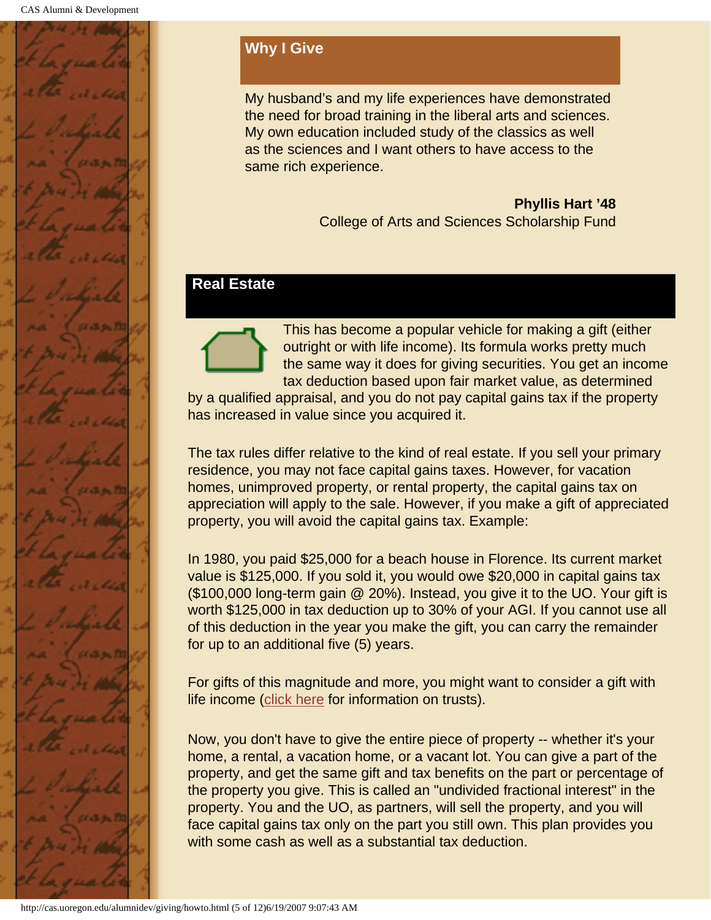

# **Why I Give**

My husband's and my life experiences have demonstrated the need for broad training in the liberal arts and sciences. My own education included study of the classics as well as the sciences and I want others to have access to the same rich experience.

> **Phyllis Hart '48** College of Arts and Sciences Scholarship Fund

## <span id="page-69-0"></span>**Real Estate**



This has become a popular vehicle for making a gift (either outright or with life income). Its formula works pretty much the same way it does for giving securities. You get an income tax deduction based upon fair market value, as determined

by a qualified appraisal, and you do not pay capital gains tax if the property has increased in value since you acquired it.

The tax rules differ relative to the kind of real estate. If you sell your primary residence, you may not face capital gains taxes. However, for vacation homes, unimproved property, or rental property, the capital gains tax on appreciation will apply to the sale. However, if you make a gift of appreciated property, you will avoid the capital gains tax. Example:

In 1980, you paid \$25,000 for a beach house in Florence. Its current market value is \$125,000. If you sold it, you would owe \$20,000 in capital gains tax (\$100,000 long-term gain @ 20%). Instead, you give it to the UO. Your gift is worth \$125,000 in tax deduction up to 30% of your AGI. If you cannot use all of this deduction in the year you make the gift, you can carry the remainder for up to an additional five (5) years.

For gifts of this magnitude and more, you might want to consider a gift with life income ([click here](#page-72-0) for information on trusts).

Now, you don't have to give the entire piece of property -- whether it's your home, a rental, a vacation home, or a vacant lot. You can give a part of the property, and get the same gift and tax benefits on the part or percentage of the property you give. This is called an "undivided fractional interest" in the property. You and the UO, as partners, will sell the property, and you will face capital gains tax only on the part you still own. This plan provides you with some cash as well as a substantial tax deduction.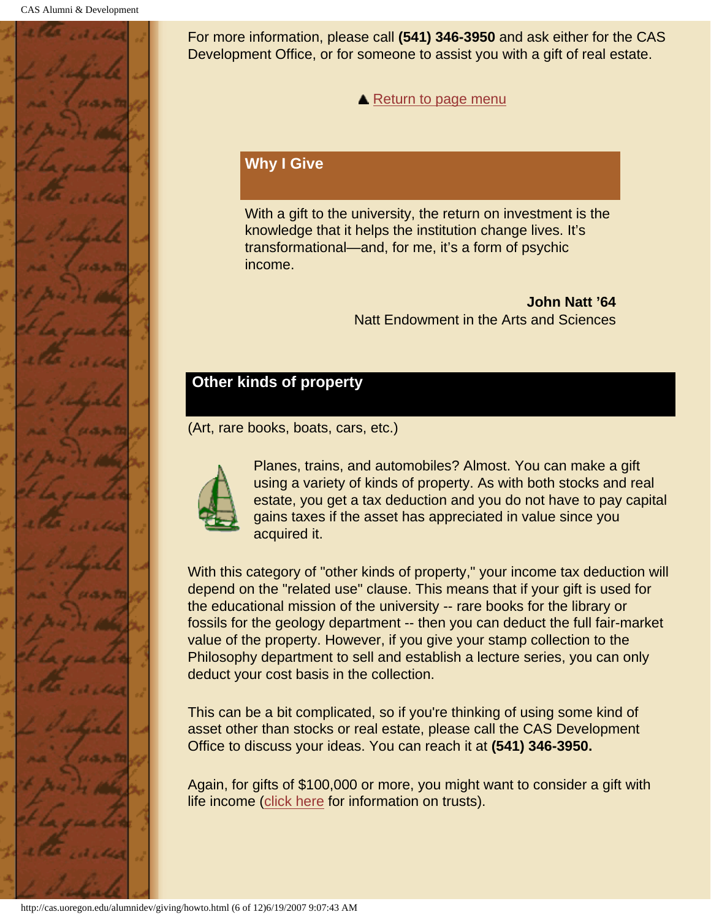

For more information, please call **(541) 346-3950** and ask either for the CAS Development Office, or for someone to assist you with a gift of real estate.

**A** [Return to page menu](#page-65-1)

## **Why I Give**

With a gift to the university, the return on investment is the knowledge that it helps the institution change lives. It's transformational—and, for me, it's a form of psychic income.

> **John Natt '64** Natt Endowment in the Arts and Sciences

# <span id="page-70-0"></span>**Other kinds of property**

(Art, rare books, boats, cars, etc.)



Planes, trains, and automobiles? Almost. You can make a gift using a variety of kinds of property. As with both stocks and real estate, you get a tax deduction and you do not have to pay capital gains taxes if the asset has appreciated in value since you acquired it.

With this category of "other kinds of property," your income tax deduction will depend on the "related use" clause. This means that if your gift is used for the educational mission of the university -- rare books for the library or fossils for the geology department -- then you can deduct the full fair-market value of the property. However, if you give your stamp collection to the Philosophy department to sell and establish a lecture series, you can only deduct your cost basis in the collection.

This can be a bit complicated, so if you're thinking of using some kind of asset other than stocks or real estate, please call the CAS Development Office to discuss your ideas. You can reach it at **(541) 346-3950.**

Again, for gifts of \$100,000 or more, you might want to consider a gift with life income ([click here](#page-72-0) for information on trusts).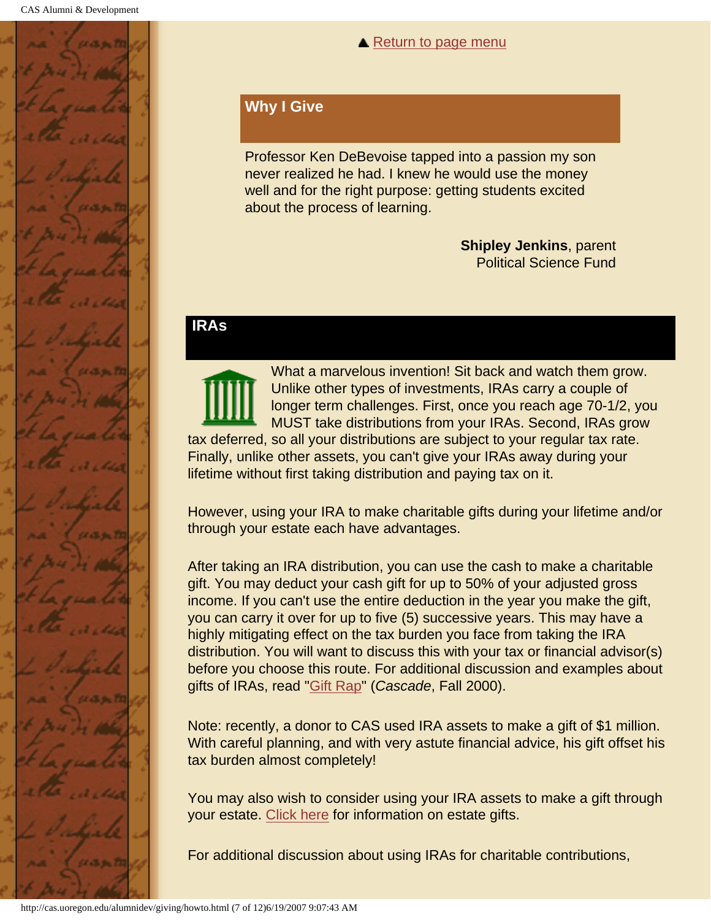

#### **▲ [Return to page menu](#page-65-1)**

### **Why I Give**

Professor Ken DeBevoise tapped into a passion my son never realized he had. I knew he would use the money well and for the right purpose: getting students excited about the process of learning.

> **Shipley Jenkins**, parent Political Science Fund

### <span id="page-71-0"></span>**IRAs**

What a marvelous invention! Sit back and watch them grow. Unlike other types of investments, IRAs carry a couple of longer term challenges. First, once you reach age 70-1/2, you MUST take distributions from your IRAs. Second, IRAs grow tax deferred, so all your distributions are subject to your regular tax rate. Finally, unlike other assets, you can't give your IRAs away during your lifetime without first taking distribution and paying tax on it.

However, using your IRA to make charitable gifts during your lifetime and/or through your estate each have advantages.

After taking an IRA distribution, you can use the cash to make a charitable gift. You may deduct your cash gift for up to 50% of your adjusted gross income. If you can't use the entire deduction in the year you make the gift, you can carry it over for up to five (5) successive years. This may have a highly mitigating effect on the tax burden you face from taking the IRA distribution. You will want to discuss this with your tax or financial advisor(s) before you choose this route. For additional discussion and examples about gifts of IRAs, read "Gift Rap" (*Cascade*, Fall 2000).

Note: recently, a donor to CAS used IRA assets to make a gift of \$1 million. With careful planning, and with very astute financial advice, his gift offset his tax burden almost completely!

You may also wish to consider using your IRA assets to make a gift through your estate. [Click here](#page-73-0) for information on estate gifts.

For additional discussion about using IRAs for charitable contributions,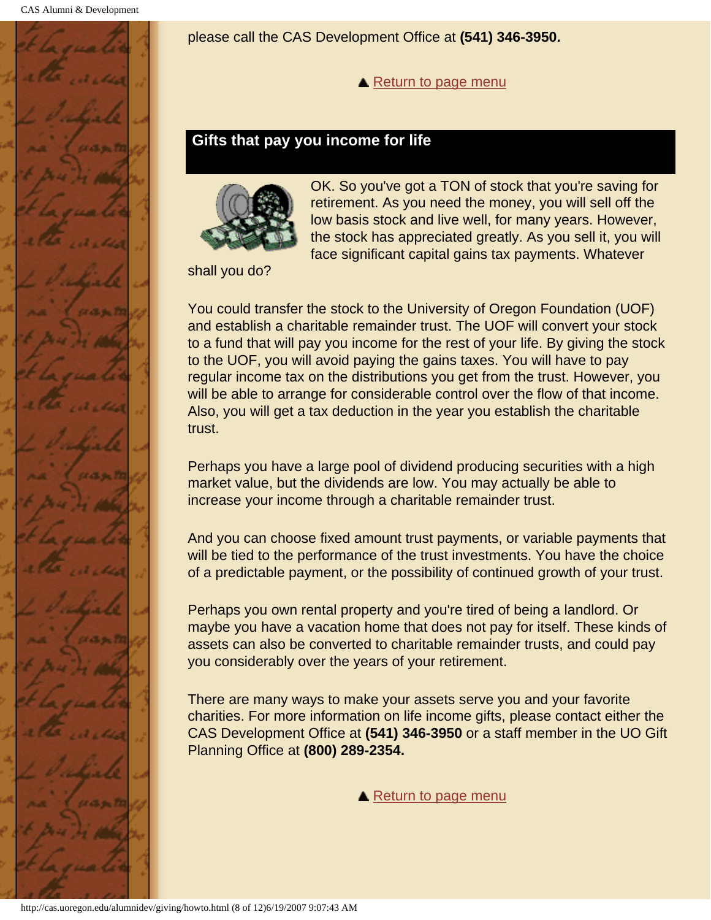

please call the CAS Development Office at **(541) 346-3950.**

**A** [Return to page menu](#page-65-0)

### **Gifts that pay you income for life**



OK. So you've got a TON of stock that you're saving for retirement. As you need the money, you will sell off the low basis stock and live well, for many years. However, the stock has appreciated greatly. As you sell it, you will face significant capital gains tax payments. Whatever

shall you do?

You could transfer the stock to the University of Oregon Foundation (UOF) and establish a charitable remainder trust. The UOF will convert your stock to a fund that will pay you income for the rest of your life. By giving the stock to the UOF, you will avoid paying the gains taxes. You will have to pay regular income tax on the distributions you get from the trust. However, you will be able to arrange for considerable control over the flow of that income. Also, you will get a tax deduction in the year you establish the charitable trust.

Perhaps you have a large pool of dividend producing securities with a high market value, but the dividends are low. You may actually be able to increase your income through a charitable remainder trust.

And you can choose fixed amount trust payments, or variable payments that will be tied to the performance of the trust investments. You have the choice of a predictable payment, or the possibility of continued growth of your trust.

Perhaps you own rental property and you're tired of being a landlord. Or maybe you have a vacation home that does not pay for itself. These kinds of assets can also be converted to charitable remainder trusts, and could pay you considerably over the years of your retirement.

There are many ways to make your assets serve you and your favorite charities. For more information on life income gifts, please contact either the CAS Development Office at **(541) 346-3950** or a staff member in the UO Gift Planning Office at **(800) 289-2354.**

**▲ [Return to page menu](#page-65-0)**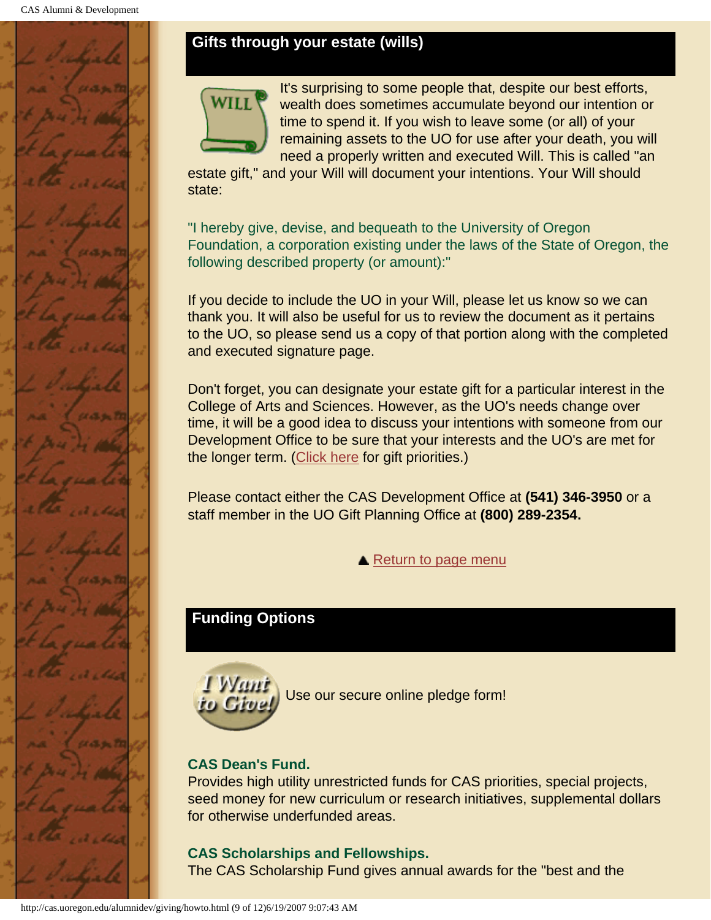### **Gifts through your estate (wills)**



It's surprising to some people that, despite our best efforts, wealth does sometimes accumulate beyond our intention or time to spend it. If you wish to leave some (or all) of your remaining assets to the UO for use after your death, you will need a properly written and executed Will. This is called "an

estate gift," and your Will will document your intentions. Your Will should state:

"I hereby give, devise, and bequeath to the University of Oregon Foundation, a corporation existing under the laws of the State of Oregon, the following described property (or amount):"

If you decide to include the UO in your Will, please let us know so we can thank you. It will also be useful for us to review the document as it pertains to the UO, so please send us a copy of that portion along with the completed and executed signature page.

Don't forget, you can designate your estate gift for a particular interest in the College of Arts and Sciences. However, as the UO's needs change over time, it will be a good idea to discuss your intentions with someone from our Development Office to be sure that your interests and the UO's are met for the longer term. ([Click here](#page-73-0) for gift priorities.)

Please contact either the CAS Development Office at **(541) 346-3950** or a staff member in the UO Gift Planning Office at **(800) 289-2354.**

**▲ [Return to page menu](#page-65-0)** 

# <span id="page-73-0"></span>**Funding Options**



Use our secure online pledge form!

### **CAS Dean's Fund.**

Provides high utility unrestricted funds for CAS priorities, special projects, seed money for new curriculum or research initiatives, supplemental dollars for otherwise underfunded areas.

### **CAS Scholarships and Fellowships.**

The CAS Scholarship Fund gives annual awards for the "best and the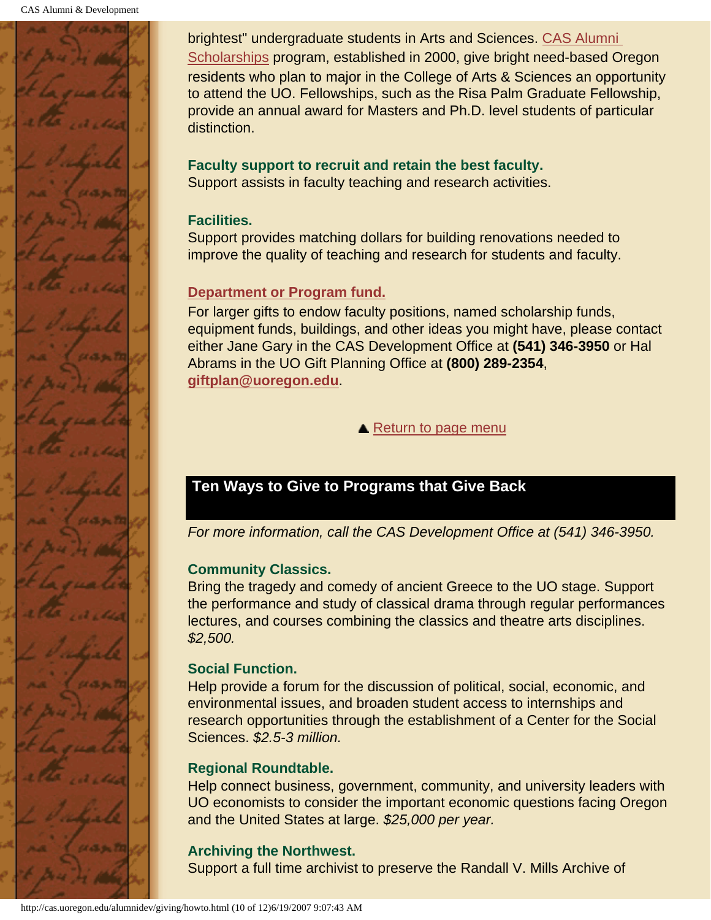

brightest" undergraduate students in Arts and Sciences. CAS Alumni Scholarships program, established in 2000, give bright need-based Oregon residents who plan to major in the College of Arts & Sciences an opportunity to attend the UO. Fellowships, such as the Risa Palm Graduate Fellowship, provide an annual award for Masters and Ph.D. level students of particular distinction.

# **Faculty support to recruit and retain the best faculty.**

Support assists in faculty teaching and research activities.

#### **Facilities.**

Support provides matching dollars for building renovations needed to improve the quality of teaching and research for students and faculty.

### **Department or Program fund.**

For larger gifts to endow faculty positions, named scholarship funds, equipment funds, buildings, and other ideas you might have, please contact either Jane Gary in the CAS Development Office at **(541) 346-3950** or Hal Abrams in the UO Gift Planning Office at **(800) 289-2354**, **giftplan@uoregon.edu**.

**▲ [Return to page menu](#page-65-0)** 

# **Ten Ways to Give to Programs that Give Back**

*For more information, call the CAS Development Office at (541) 346-3950.*

### **Community Classics.**

Bring the tragedy and comedy of ancient Greece to the UO stage. Support the performance and study of classical drama through regular performances lectures, and courses combining the classics and theatre arts disciplines. *\$2,500.*

### **Social Function.**

Help provide a forum for the discussion of political, social, economic, and environmental issues, and broaden student access to internships and research opportunities through the establishment of a Center for the Social Sciences. *\$2.5-3 million.*

#### **Regional Roundtable.**

Help connect business, government, community, and university leaders with UO economists to consider the important economic questions facing Oregon and the United States at large. *\$25,000 per year.*

# **Archiving the Northwest.**

Support a full time archivist to preserve the Randall V. Mills Archive of